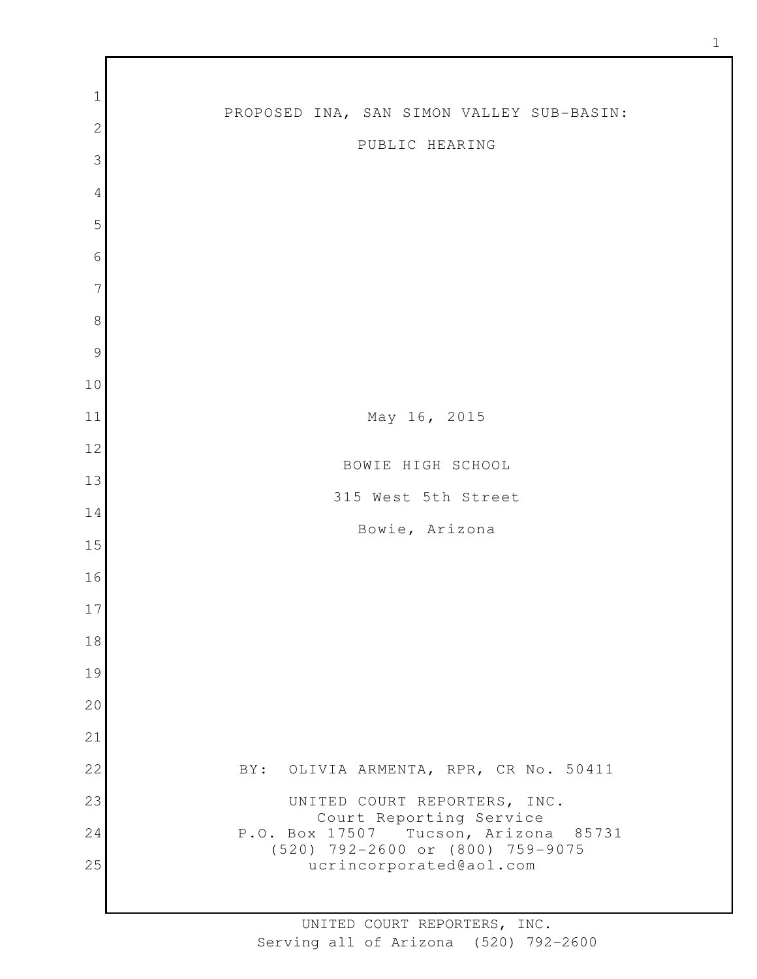| $\mathbf{1}$   |                                                                          |
|----------------|--------------------------------------------------------------------------|
| $\mathbf{2}$   | PROPOSED INA, SAN SIMON VALLEY SUB-BASIN:                                |
| 3              | PUBLIC HEARING                                                           |
| $\sqrt{4}$     |                                                                          |
| 5              |                                                                          |
| 6              |                                                                          |
| $\overline{7}$ |                                                                          |
| $\,8\,$        |                                                                          |
| $\mathcal{G}$  |                                                                          |
| 10             |                                                                          |
| 11             | May 16, 2015                                                             |
| 12             |                                                                          |
| 13             | BOWIE HIGH SCHOOL                                                        |
| 14             | 315 West 5th Street                                                      |
| 15             | Bowie, Arizona                                                           |
| 16             |                                                                          |
| 17             |                                                                          |
|                |                                                                          |
| 18             |                                                                          |
| 19             |                                                                          |
| 20             |                                                                          |
| 21             |                                                                          |
| 22             | BY: OLIVIA ARMENTA, RPR, CR No. 50411                                    |
| 23             | UNITED COURT REPORTERS, INC.<br>Court Reporting Service                  |
| 24             | P.O. Box 17507 Tucson, Arizona 85731<br>(520) 792-2600 or (800) 759-9075 |
| 25             | ucrincorporated@aol.com                                                  |
|                |                                                                          |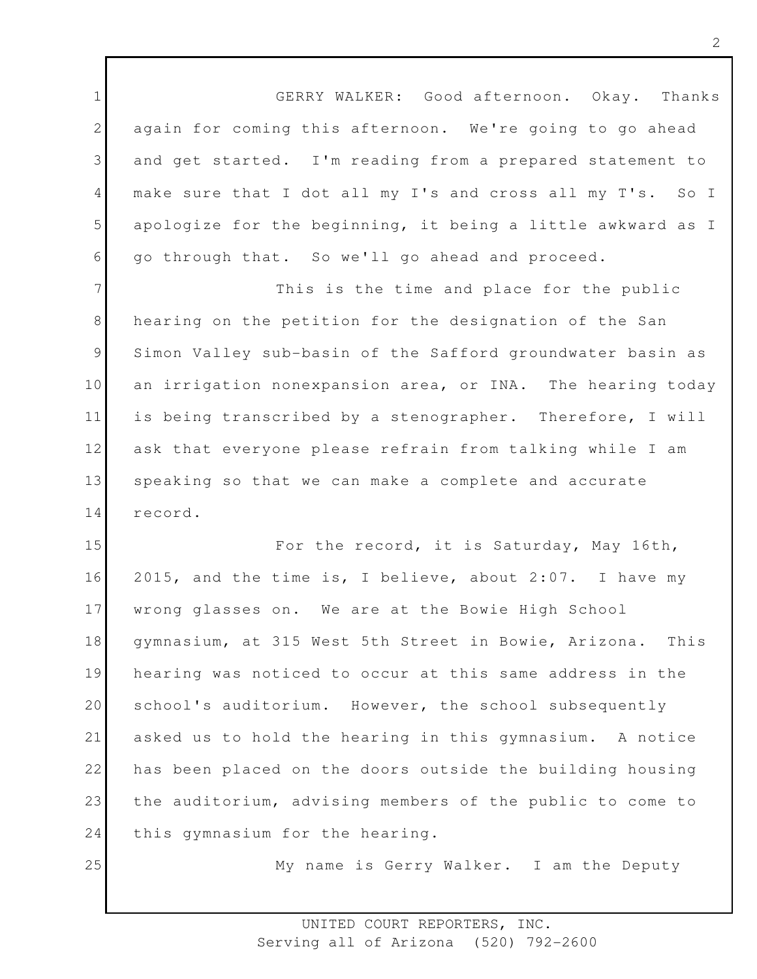1 2 3 4 5 6 GERRY WALKER: Good afternoon. Okay. Thanks again for coming this afternoon. We're going to go ahead and get started. I'm reading from a prepared statement to make sure that I dot all my I's and cross all my T's. So I apologize for the beginning, it being a little awkward as I go through that. So we'll go ahead and proceed.

7 8 9 10 11 12 13 14 This is the time and place for the public hearing on the petition for the designation of the San Simon Valley sub-basin of the Safford groundwater basin as an irrigation nonexpansion area, or INA. The hearing today is being transcribed by a stenographer. Therefore, I will ask that everyone please refrain from talking while I am speaking so that we can make a complete and accurate record.

15 16 17 18 19 20 21 22 23 24 For the record, it is Saturday, May 16th, 2015, and the time is, I believe, about 2:07. I have my wrong glasses on. We are at the Bowie High School gymnasium, at 315 West 5th Street in Bowie, Arizona. This hearing was noticed to occur at this same address in the school's auditorium. However, the school subsequently asked us to hold the hearing in this gymnasium. A notice has been placed on the doors outside the building housing the auditorium, advising members of the public to come to this gymnasium for the hearing.

25

My name is Gerry Walker. I am the Deputy

2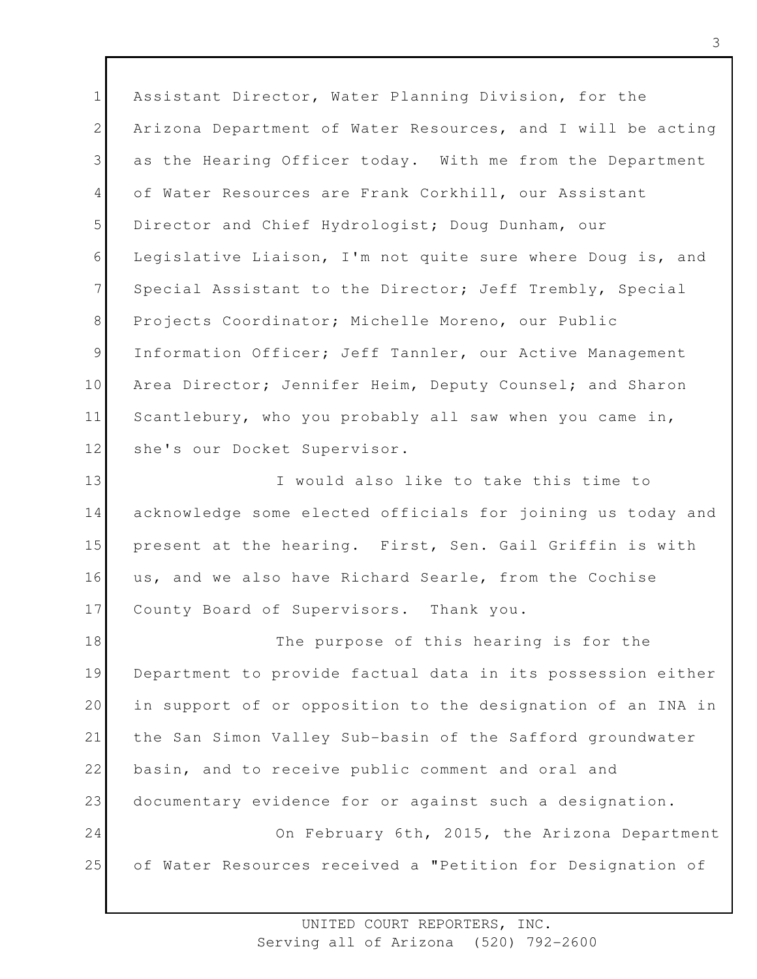1 2 3 4 5 6 7 8 9 10 11 12 Assistant Director, Water Planning Division, for the Arizona Department of Water Resources, and I will be acting as the Hearing Officer today. With me from the Department of Water Resources are Frank Corkhill, our Assistant Director and Chief Hydrologist; Doug Dunham, our Legislative Liaison, I'm not quite sure where Doug is, and Special Assistant to the Director; Jeff Trembly, Special Projects Coordinator; Michelle Moreno, our Public Information Officer; Jeff Tannler, our Active Management Area Director; Jennifer Heim, Deputy Counsel; and Sharon Scantlebury, who you probably all saw when you came in, she's our Docket Supervisor.

13 14 15 16 17 I would also like to take this time to acknowledge some elected officials for joining us today and present at the hearing. First, Sen. Gail Griffin is with us, and we also have Richard Searle, from the Cochise County Board of Supervisors. Thank you.

18 19 20 21 22 23 24 25 The purpose of this hearing is for the Department to provide factual data in its possession either in support of or opposition to the designation of an INA in the San Simon Valley Sub-basin of the Safford groundwater basin, and to receive public comment and oral and documentary evidence for or against such a designation. On February 6th, 2015, the Arizona Department of Water Resources received a "Petition for Designation of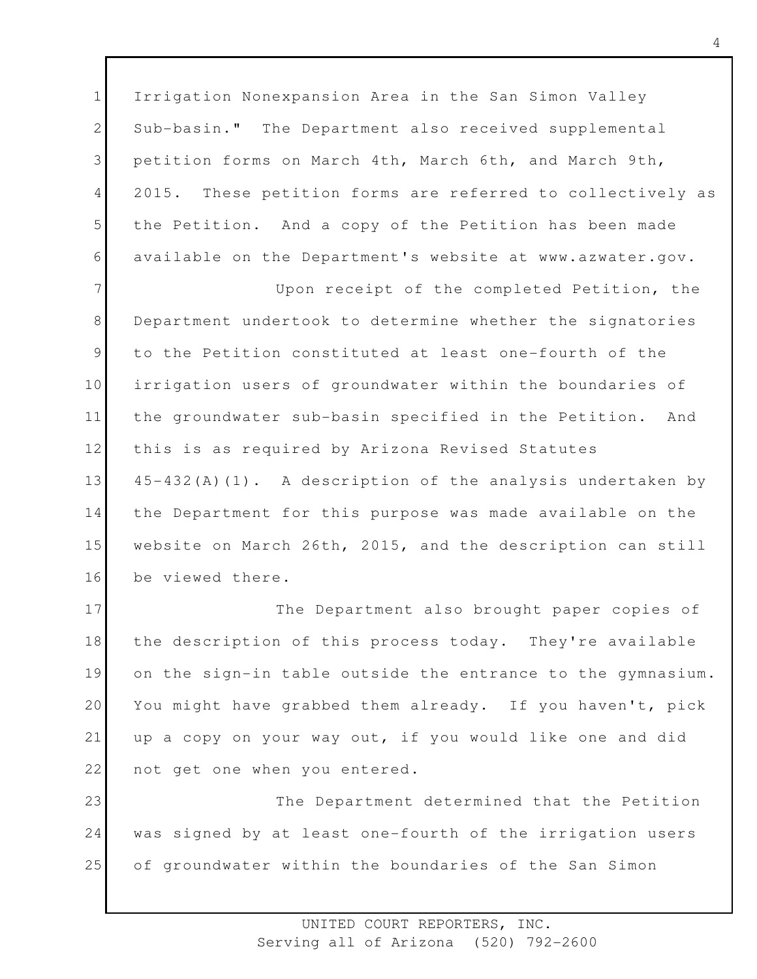1 2 3 4 5 6 Irrigation Nonexpansion Area in the San Simon Valley Sub-basin." The Department also received supplemental petition forms on March 4th, March 6th, and March 9th, 2015. These petition forms are referred to collectively as the Petition. And a copy of the Petition has been made available on the Department's website at www.azwater.gov.

7 8 9 10 11 12 13 14 15 16 Upon receipt of the completed Petition, the Department undertook to determine whether the signatories to the Petition constituted at least one-fourth of the irrigation users of groundwater within the boundaries of the groundwater sub-basin specified in the Petition. And this is as required by Arizona Revised Statutes 45-432(A)(1). A description of the analysis undertaken by the Department for this purpose was made available on the website on March 26th, 2015, and the description can still be viewed there.

17 18 19 20 21 22 The Department also brought paper copies of the description of this process today. They're available on the sign-in table outside the entrance to the gymnasium. You might have grabbed them already. If you haven't, pick up a copy on your way out, if you would like one and did not get one when you entered.

23 24 25 The Department determined that the Petition was signed by at least one-fourth of the irrigation users of groundwater within the boundaries of the San Simon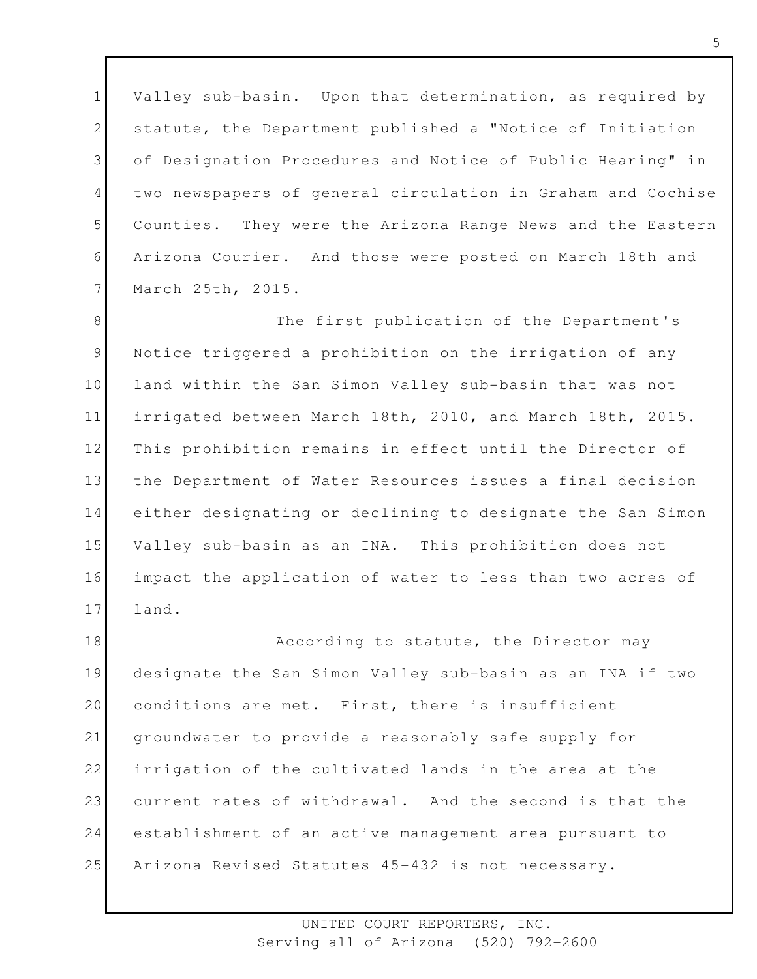1 2 3 4 5 6 7 Valley sub-basin. Upon that determination, as required by statute, the Department published a "Notice of Initiation of Designation Procedures and Notice of Public Hearing" in two newspapers of general circulation in Graham and Cochise Counties. They were the Arizona Range News and the Eastern Arizona Courier. And those were posted on March 18th and March 25th, 2015.

8 9 10 11 12 13 14 15 16 17 The first publication of the Department's Notice triggered a prohibition on the irrigation of any land within the San Simon Valley sub-basin that was not irrigated between March 18th, 2010, and March 18th, 2015. This prohibition remains in effect until the Director of the Department of Water Resources issues a final decision either designating or declining to designate the San Simon Valley sub-basin as an INA. This prohibition does not impact the application of water to less than two acres of land.

18 19 20 21 22 23 24 25 According to statute, the Director may designate the San Simon Valley sub-basin as an INA if two conditions are met. First, there is insufficient groundwater to provide a reasonably safe supply for irrigation of the cultivated lands in the area at the current rates of withdrawal. And the second is that the establishment of an active management area pursuant to Arizona Revised Statutes 45-432 is not necessary.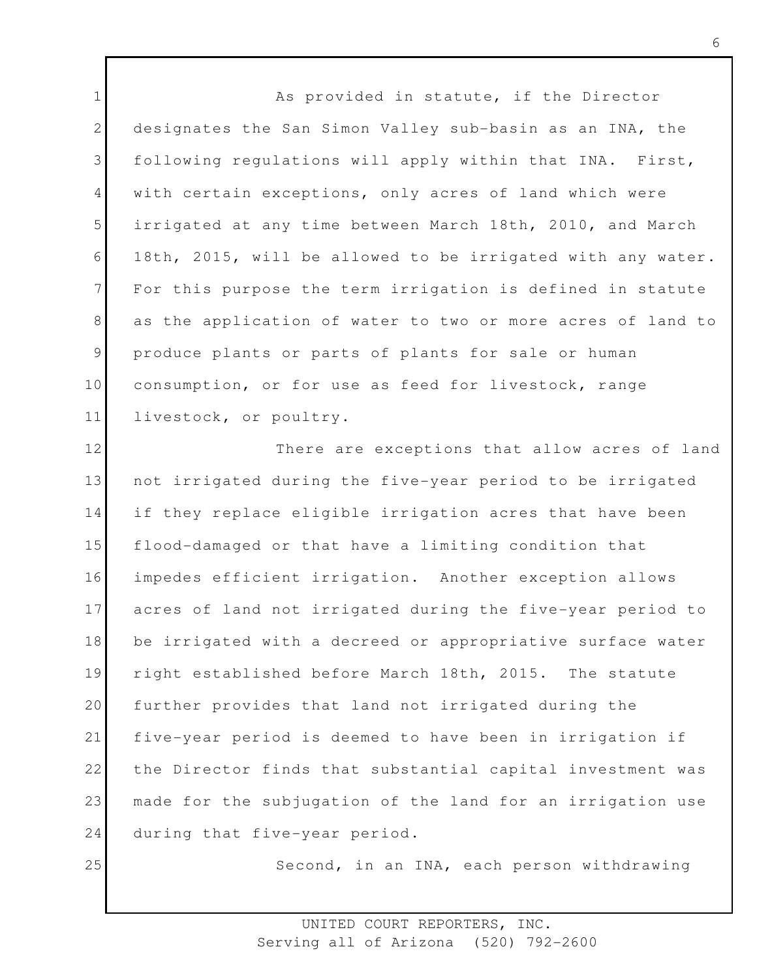1 2 3 4 5 6 7 8 9 10 11 As provided in statute, if the Director designates the San Simon Valley sub-basin as an INA, the following regulations will apply within that INA. First, with certain exceptions, only acres of land which were irrigated at any time between March 18th, 2010, and March 18th, 2015, will be allowed to be irrigated with any water. For this purpose the term irrigation is defined in statute as the application of water to two or more acres of land to produce plants or parts of plants for sale or human consumption, or for use as feed for livestock, range livestock, or poultry.

12 13 14 15 16 17 18 19 20 21 22 23 24 There are exceptions that allow acres of land not irrigated during the five-year period to be irrigated if they replace eligible irrigation acres that have been flood-damaged or that have a limiting condition that impedes efficient irrigation. Another exception allows acres of land not irrigated during the five-year period to be irrigated with a decreed or appropriative surface water right established before March 18th, 2015. The statute further provides that land not irrigated during the five-year period is deemed to have been in irrigation if the Director finds that substantial capital investment was made for the subjugation of the land for an irrigation use during that five-year period.

25

Second, in an INA, each person withdrawing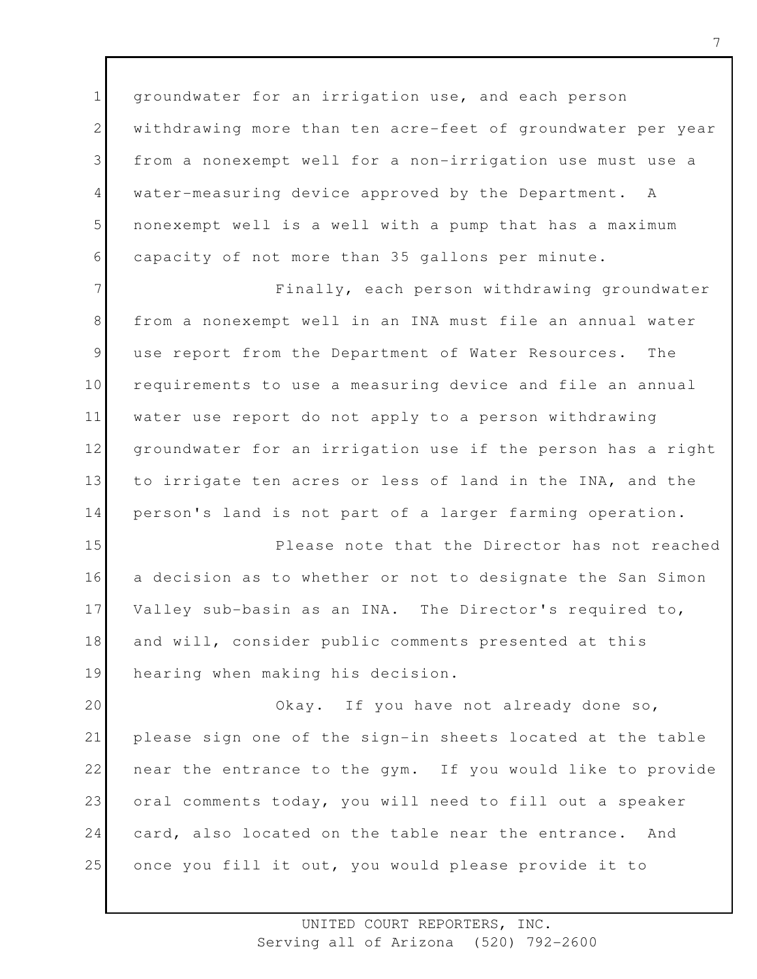1 2 3 4 5 6 groundwater for an irrigation use, and each person withdrawing more than ten acre-feet of groundwater per year from a nonexempt well for a non-irrigation use must use a water-measuring device approved by the Department. A nonexempt well is a well with a pump that has a maximum capacity of not more than 35 gallons per minute.

7 8 9 10 11 12 13 14 Finally, each person withdrawing groundwater from a nonexempt well in an INA must file an annual water use report from the Department of Water Resources. The requirements to use a measuring device and file an annual water use report do not apply to a person withdrawing groundwater for an irrigation use if the person has a right to irrigate ten acres or less of land in the INA, and the person's land is not part of a larger farming operation.

15 16 17 18 19 Please note that the Director has not reached a decision as to whether or not to designate the San Simon Valley sub-basin as an INA. The Director's required to, and will, consider public comments presented at this hearing when making his decision.

20 21 22 23 24 25 Okay. If you have not already done so, please sign one of the sign-in sheets located at the table near the entrance to the gym. If you would like to provide oral comments today, you will need to fill out a speaker card, also located on the table near the entrance. And once you fill it out, you would please provide it to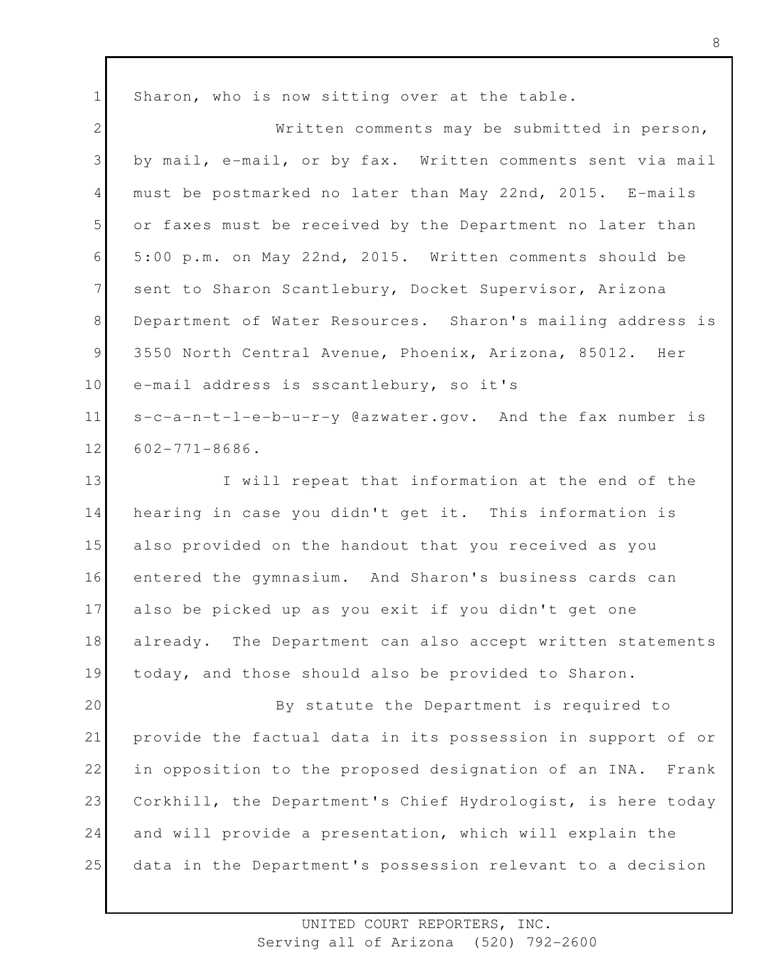1 2 3 4 5 6 7 8 9 10 Sharon, who is now sitting over at the table. Written comments may be submitted in person, by mail, e-mail, or by fax. Written comments sent via mail must be postmarked no later than May 22nd, 2015. E-mails or faxes must be received by the Department no later than 5:00 p.m. on May 22nd, 2015. Written comments should be sent to Sharon Scantlebury, Docket Supervisor, Arizona Department of Water Resources. Sharon's mailing address is 3550 North Central Avenue, Phoenix, Arizona, 85012. Her e-mail address is sscantlebury, so it's

11 12 s-c-a-n-t-l-e-b-u-r-y @azwater.gov. And the fax number is 602-771-8686.

13 14 15 16 17 18 19 I will repeat that information at the end of the hearing in case you didn't get it. This information is also provided on the handout that you received as you entered the gymnasium. And Sharon's business cards can also be picked up as you exit if you didn't get one already. The Department can also accept written statements today, and those should also be provided to Sharon.

20 21 22 23 24 25 By statute the Department is required to provide the factual data in its possession in support of or in opposition to the proposed designation of an INA. Frank Corkhill, the Department's Chief Hydrologist, is here today and will provide a presentation, which will explain the data in the Department's possession relevant to a decision

> UNITED COURT REPORTERS, INC. Serving all of Arizona (520) 792-2600

8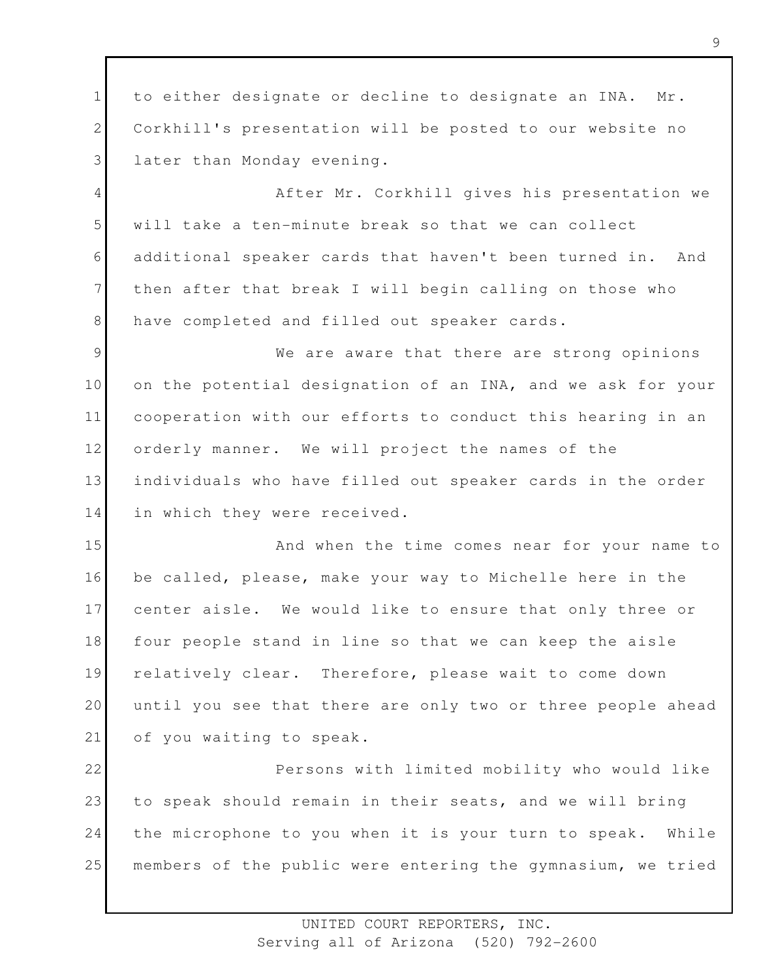1 2 3 4 5 6 7 8 9 10 11 12 13 14 15 16 17 18 19 20 21 22 23 24 25 to either designate or decline to designate an INA. Mr. Corkhill's presentation will be posted to our website no later than Monday evening. After Mr. Corkhill gives his presentation we will take a ten-minute break so that we can collect additional speaker cards that haven't been turned in. And then after that break I will begin calling on those who have completed and filled out speaker cards. We are aware that there are strong opinions on the potential designation of an INA, and we ask for your cooperation with our efforts to conduct this hearing in an orderly manner. We will project the names of the individuals who have filled out speaker cards in the order in which they were received. And when the time comes near for your name to be called, please, make your way to Michelle here in the center aisle. We would like to ensure that only three or four people stand in line so that we can keep the aisle relatively clear. Therefore, please wait to come down until you see that there are only two or three people ahead of you waiting to speak. Persons with limited mobility who would like to speak should remain in their seats, and we will bring the microphone to you when it is your turn to speak. While members of the public were entering the gymnasium, we tried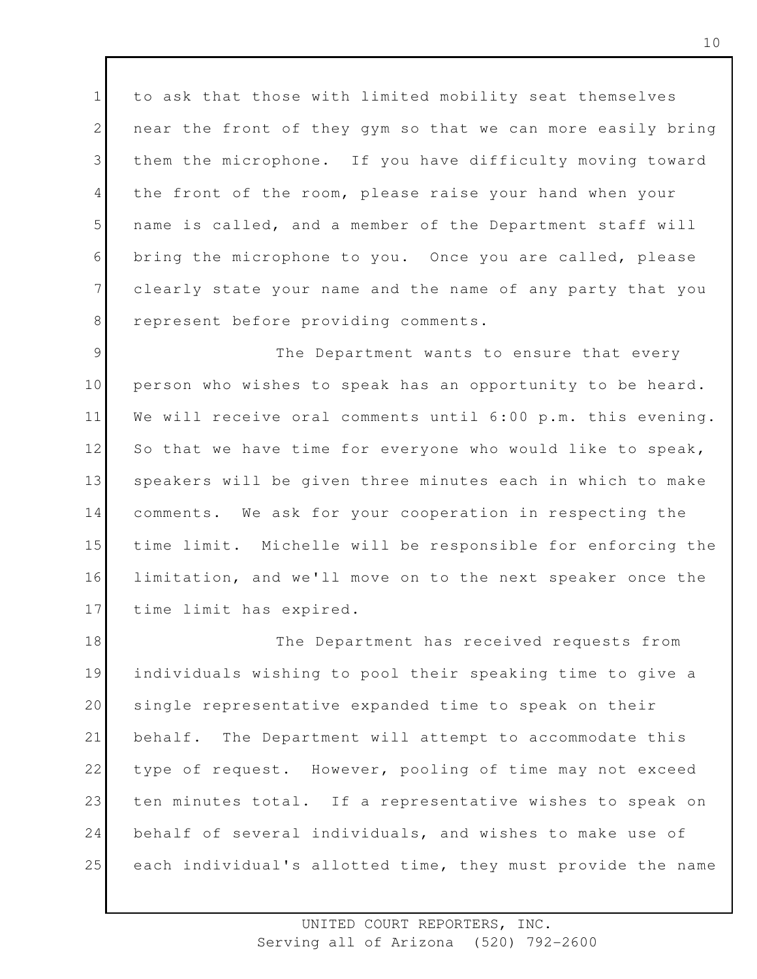1 2 3 4 5 6 7 8 to ask that those with limited mobility seat themselves near the front of they gym so that we can more easily bring them the microphone. If you have difficulty moving toward the front of the room, please raise your hand when your name is called, and a member of the Department staff will bring the microphone to you. Once you are called, please clearly state your name and the name of any party that you represent before providing comments.

9 10 11 12 13 14 15 16 17 The Department wants to ensure that every person who wishes to speak has an opportunity to be heard. We will receive oral comments until 6:00 p.m. this evening. So that we have time for everyone who would like to speak, speakers will be given three minutes each in which to make comments. We ask for your cooperation in respecting the time limit. Michelle will be responsible for enforcing the limitation, and we'll move on to the next speaker once the time limit has expired.

18 19 20 21 22 23 24 25 The Department has received requests from individuals wishing to pool their speaking time to give a single representative expanded time to speak on their behalf. The Department will attempt to accommodate this type of request. However, pooling of time may not exceed ten minutes total. If a representative wishes to speak on behalf of several individuals, and wishes to make use of each individual's allotted time, they must provide the name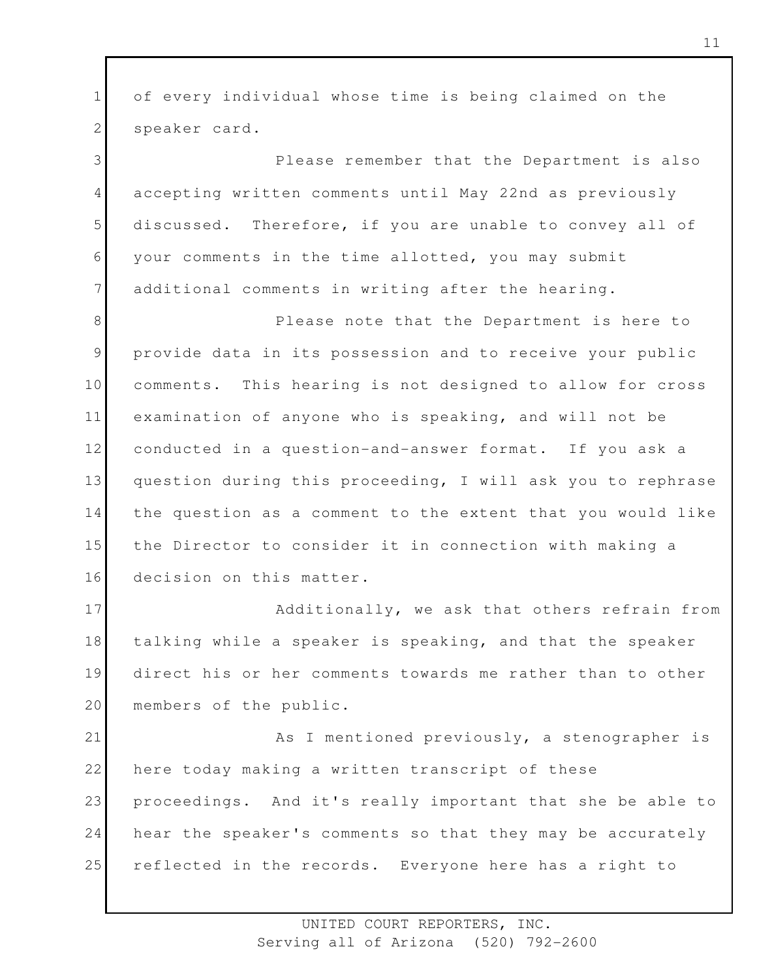1 2 of every individual whose time is being claimed on the speaker card.

3 4 5 6 7 Please remember that the Department is also accepting written comments until May 22nd as previously discussed. Therefore, if you are unable to convey all of your comments in the time allotted, you may submit additional comments in writing after the hearing.

8 9 10 11 12 13 14 15 16 Please note that the Department is here to provide data in its possession and to receive your public comments. This hearing is not designed to allow for cross examination of anyone who is speaking, and will not be conducted in a question-and-answer format. If you ask a question during this proceeding, I will ask you to rephrase the question as a comment to the extent that you would like the Director to consider it in connection with making a decision on this matter.

17 18 19 20 Additionally, we ask that others refrain from talking while a speaker is speaking, and that the speaker direct his or her comments towards me rather than to other members of the public.

21 22 23 24 25 As I mentioned previously, a stenographer is here today making a written transcript of these proceedings. And it's really important that she be able to hear the speaker's comments so that they may be accurately reflected in the records. Everyone here has a right to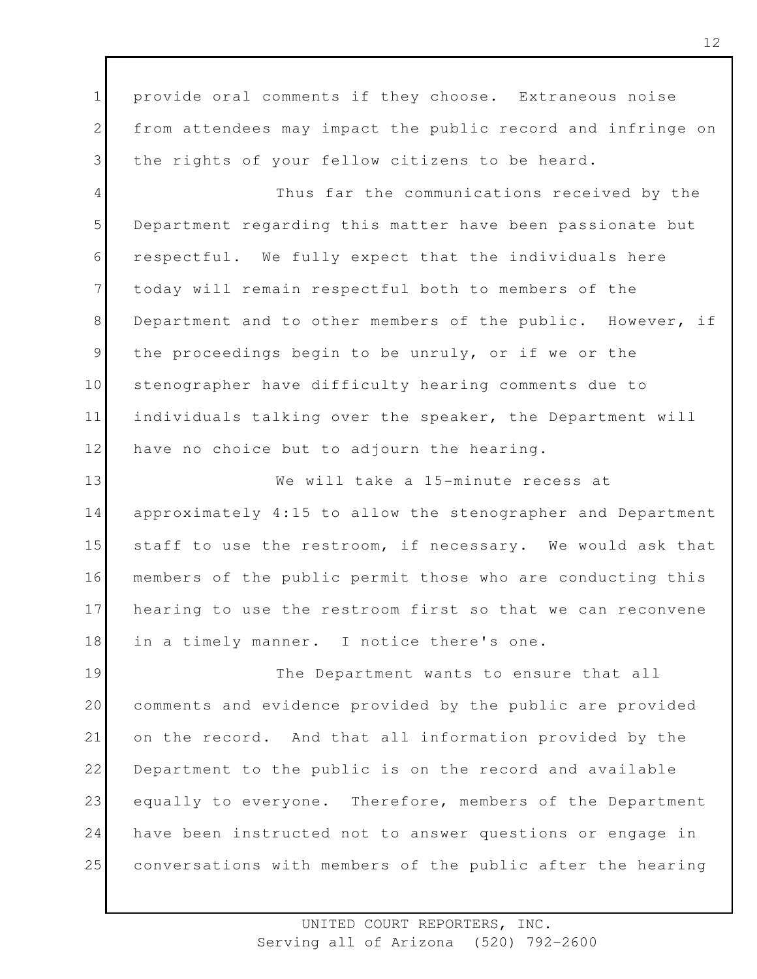1 2 3 provide oral comments if they choose. Extraneous noise from attendees may impact the public record and infringe on the rights of your fellow citizens to be heard.

4 5 6 7 8 9 10 11 12 Thus far the communications received by the Department regarding this matter have been passionate but respectful. We fully expect that the individuals here today will remain respectful both to members of the Department and to other members of the public. However, if the proceedings begin to be unruly, or if we or the stenographer have difficulty hearing comments due to individuals talking over the speaker, the Department will have no choice but to adjourn the hearing.

13 14 15 16 17 18 We will take a 15-minute recess at approximately 4:15 to allow the stenographer and Department staff to use the restroom, if necessary. We would ask that members of the public permit those who are conducting this hearing to use the restroom first so that we can reconvene in a timely manner. I notice there's one.

19 20 21 22 23 24 25 The Department wants to ensure that all comments and evidence provided by the public are provided on the record. And that all information provided by the Department to the public is on the record and available equally to everyone. Therefore, members of the Department have been instructed not to answer questions or engage in conversations with members of the public after the hearing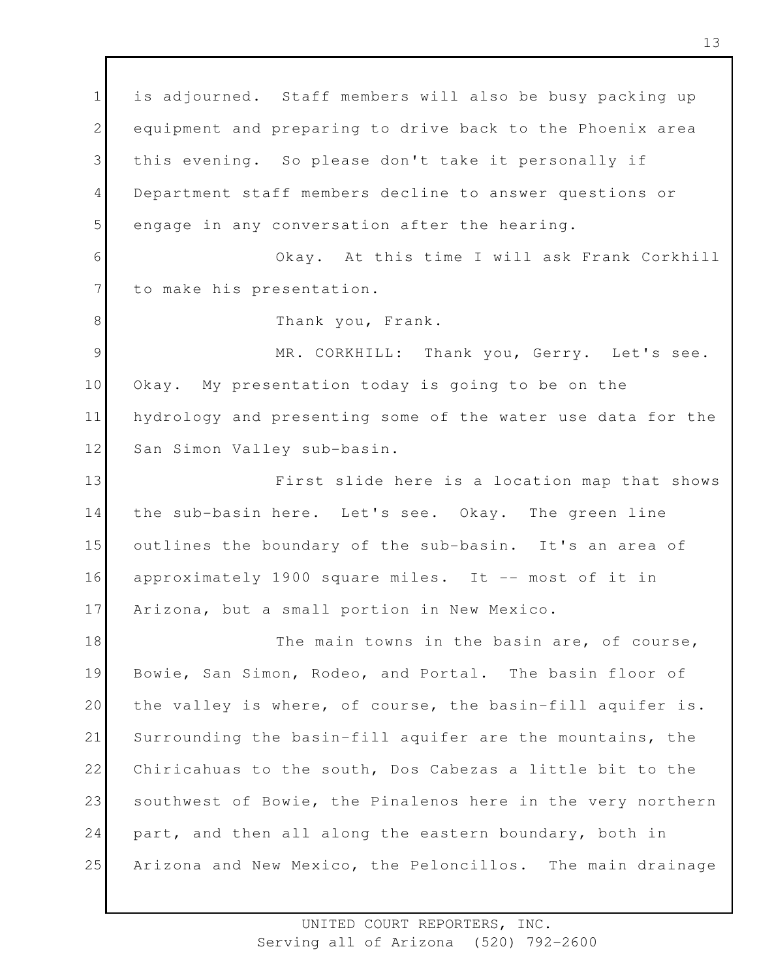1 2 3 4 5 6 7 8 9 10 11 12 13 14 15 16 17 18 19 20 21 22 23 24 25 is adjourned. Staff members will also be busy packing up equipment and preparing to drive back to the Phoenix area this evening. So please don't take it personally if Department staff members decline to answer questions or engage in any conversation after the hearing. Okay. At this time I will ask Frank Corkhill to make his presentation. Thank you, Frank. MR. CORKHILL: Thank you, Gerry. Let's see. Okay. My presentation today is going to be on the hydrology and presenting some of the water use data for the San Simon Valley sub-basin. First slide here is a location map that shows the sub-basin here. Let's see. Okay. The green line outlines the boundary of the sub-basin. It's an area of approximately 1900 square miles. It -- most of it in Arizona, but a small portion in New Mexico. The main towns in the basin are, of course, Bowie, San Simon, Rodeo, and Portal. The basin floor of the valley is where, of course, the basin-fill aquifer is. Surrounding the basin-fill aquifer are the mountains, the Chiricahuas to the south, Dos Cabezas a little bit to the southwest of Bowie, the Pinalenos here in the very northern part, and then all along the eastern boundary, both in Arizona and New Mexico, the Peloncillos. The main drainage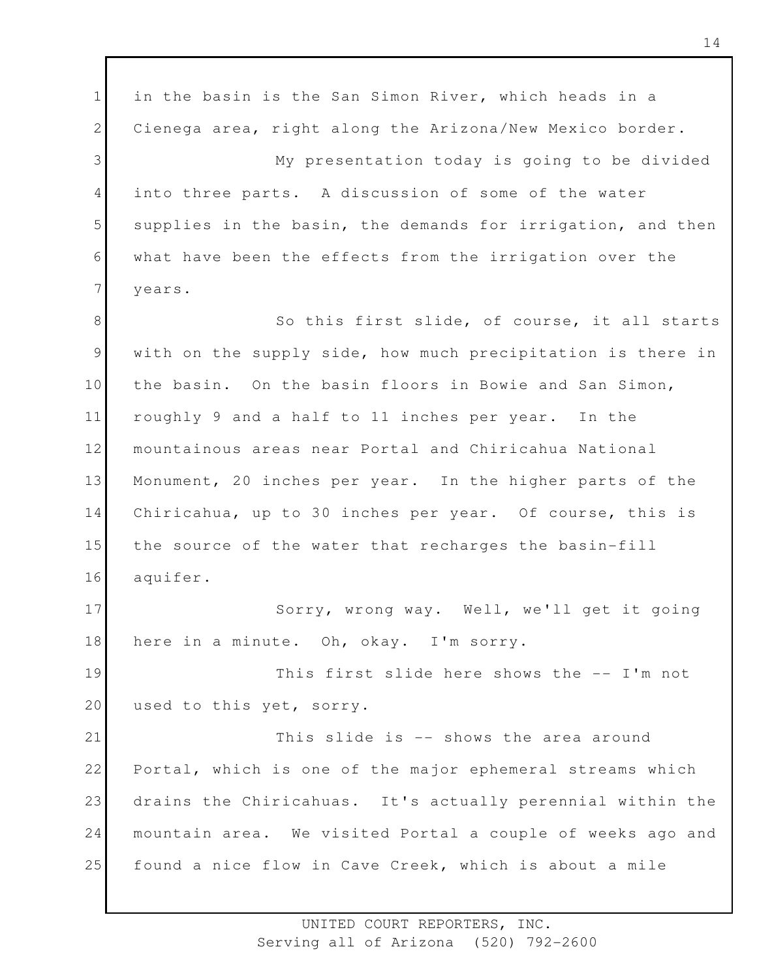1 2 3 4 5 6 7 8 9 10 11 12 13 14 15 16 17 18 19 20 21 22 23 24 25 in the basin is the San Simon River, which heads in a Cienega area, right along the Arizona/New Mexico border. My presentation today is going to be divided into three parts. A discussion of some of the water supplies in the basin, the demands for irrigation, and then what have been the effects from the irrigation over the years. So this first slide, of course, it all starts with on the supply side, how much precipitation is there in the basin. On the basin floors in Bowie and San Simon, roughly 9 and a half to 11 inches per year. In the mountainous areas near Portal and Chiricahua National Monument, 20 inches per year. In the higher parts of the Chiricahua, up to 30 inches per year. Of course, this is the source of the water that recharges the basin-fill aquifer. Sorry, wrong way. Well, we'll get it going here in a minute. Oh, okay. I'm sorry. This first slide here shows the -- I'm not used to this yet, sorry. This slide is -- shows the area around Portal, which is one of the major ephemeral streams which drains the Chiricahuas. It's actually perennial within the mountain area. We visited Portal a couple of weeks ago and found a nice flow in Cave Creek, which is about a mile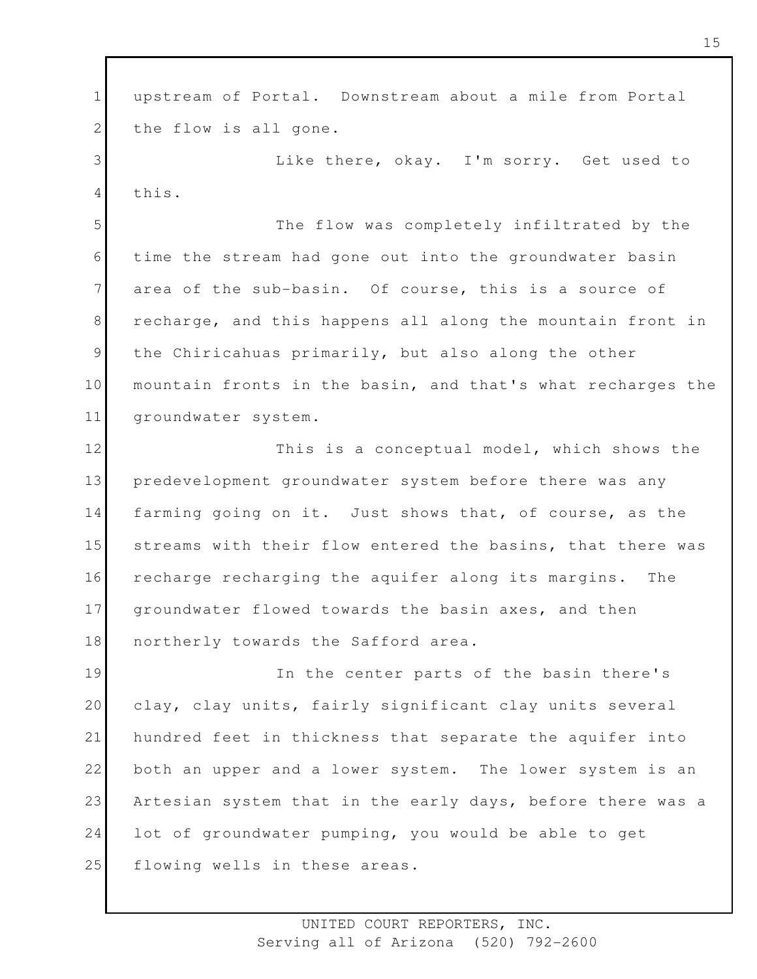1 2 upstream of Portal. Downstream about a mile from Portal the flow is all gone.

3 4 Like there, okay. I'm sorry. Get used to this.

5 6 7 8 9 10 11 The flow was completely infiltrated by the time the stream had gone out into the groundwater basin area of the sub-basin. Of course, this is a source of recharge, and this happens all along the mountain front in the Chiricahuas primarily, but also along the other mountain fronts in the basin, and that's what recharges the groundwater system.

12 13 14 15 16 17 18 This is a conceptual model, which shows the predevelopment groundwater system before there was any farming going on it. Just shows that, of course, as the streams with their flow entered the basins, that there was recharge recharging the aquifer along its margins. The groundwater flowed towards the basin axes, and then northerly towards the Safford area.

19 20 21 22 23 24 25 In the center parts of the basin there's clay, clay units, fairly significant clay units several hundred feet in thickness that separate the aquifer into both an upper and a lower system. The lower system is an Artesian system that in the early days, before there was a lot of groundwater pumping, you would be able to get flowing wells in these areas.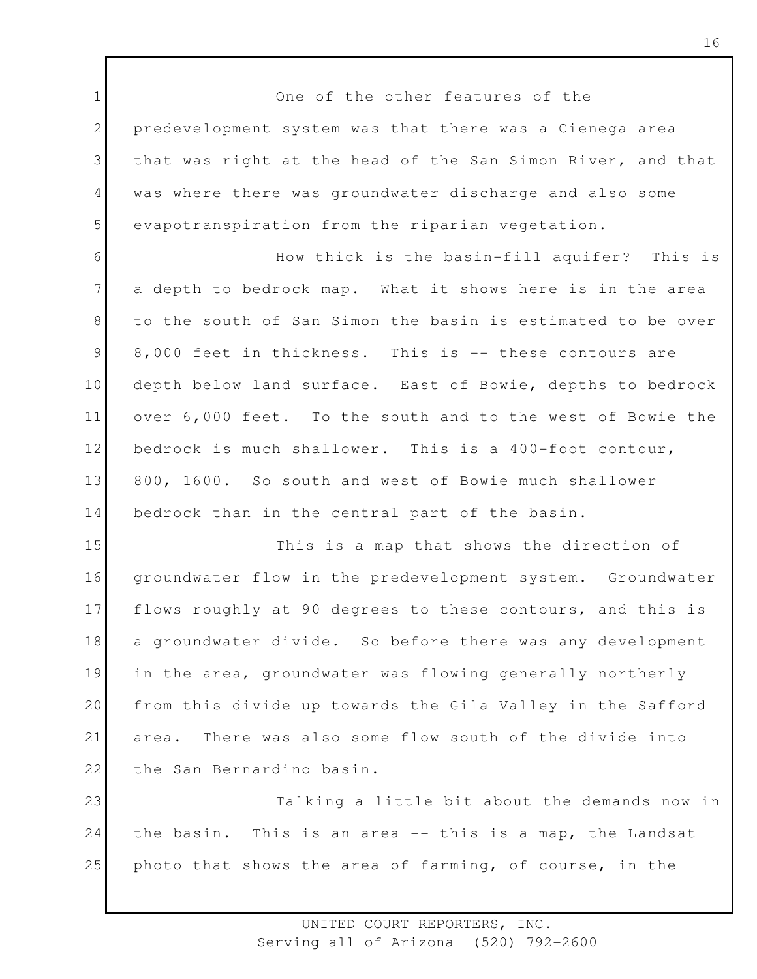1 2 3 4 5 6 7 8 9 10 11 12 13 14 15 16 17 18 19 20 21 22 23 24 25 One of the other features of the predevelopment system was that there was a Cienega area that was right at the head of the San Simon River, and that was where there was groundwater discharge and also some evapotranspiration from the riparian vegetation. How thick is the basin-fill aquifer? This is a depth to bedrock map. What it shows here is in the area to the south of San Simon the basin is estimated to be over 8,000 feet in thickness. This is -- these contours are depth below land surface. East of Bowie, depths to bedrock over 6,000 feet. To the south and to the west of Bowie the bedrock is much shallower. This is a 400-foot contour, 800, 1600. So south and west of Bowie much shallower bedrock than in the central part of the basin. This is a map that shows the direction of groundwater flow in the predevelopment system. Groundwater flows roughly at 90 degrees to these contours, and this is a groundwater divide. So before there was any development in the area, groundwater was flowing generally northerly from this divide up towards the Gila Valley in the Safford area. There was also some flow south of the divide into the San Bernardino basin. Talking a little bit about the demands now in the basin. This is an area -- this is a map, the Landsat photo that shows the area of farming, of course, in the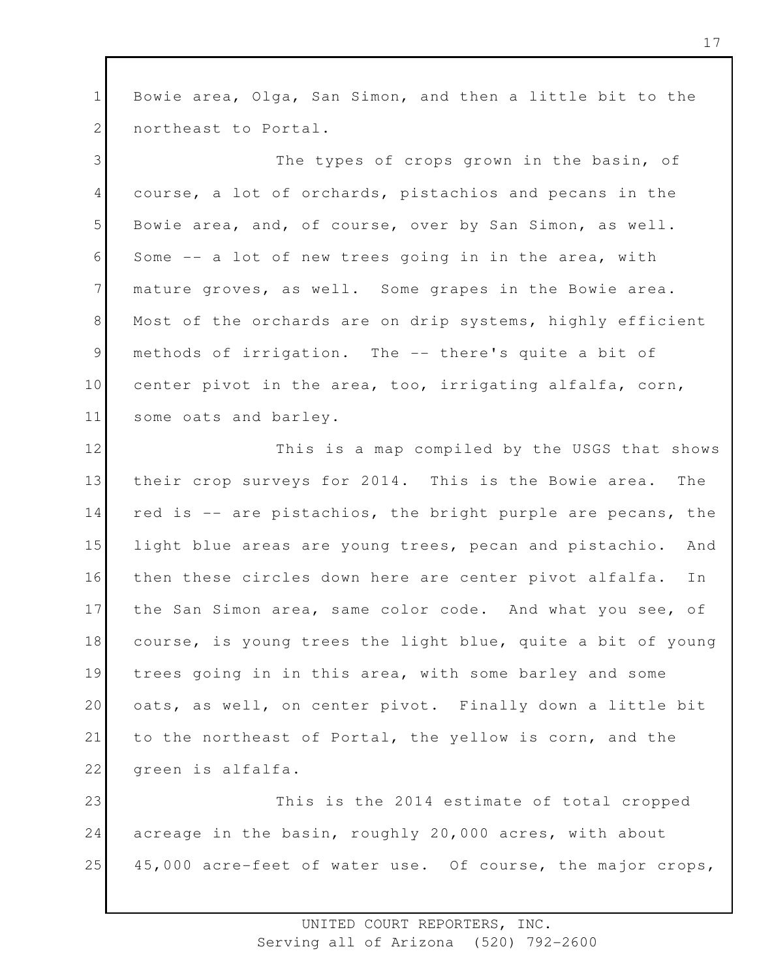1 2 Bowie area, Olga, San Simon, and then a little bit to the northeast to Portal.

3 4 5 6 7 8 9 10 11 The types of crops grown in the basin, of course, a lot of orchards, pistachios and pecans in the Bowie area, and, of course, over by San Simon, as well. Some -- a lot of new trees going in in the area, with mature groves, as well. Some grapes in the Bowie area. Most of the orchards are on drip systems, highly efficient methods of irrigation. The -- there's quite a bit of center pivot in the area, too, irrigating alfalfa, corn, some oats and barley.

12 13 14 15 16 17 18 19 20 21 22 This is a map compiled by the USGS that shows their crop surveys for 2014. This is the Bowie area. The red is -- are pistachios, the bright purple are pecans, the light blue areas are young trees, pecan and pistachio. And then these circles down here are center pivot alfalfa. In the San Simon area, same color code. And what you see, of course, is young trees the light blue, quite a bit of young trees going in in this area, with some barley and some oats, as well, on center pivot. Finally down a little bit to the northeast of Portal, the yellow is corn, and the green is alfalfa.

23 24 25 This is the 2014 estimate of total cropped acreage in the basin, roughly 20,000 acres, with about 45,000 acre-feet of water use. Of course, the major crops,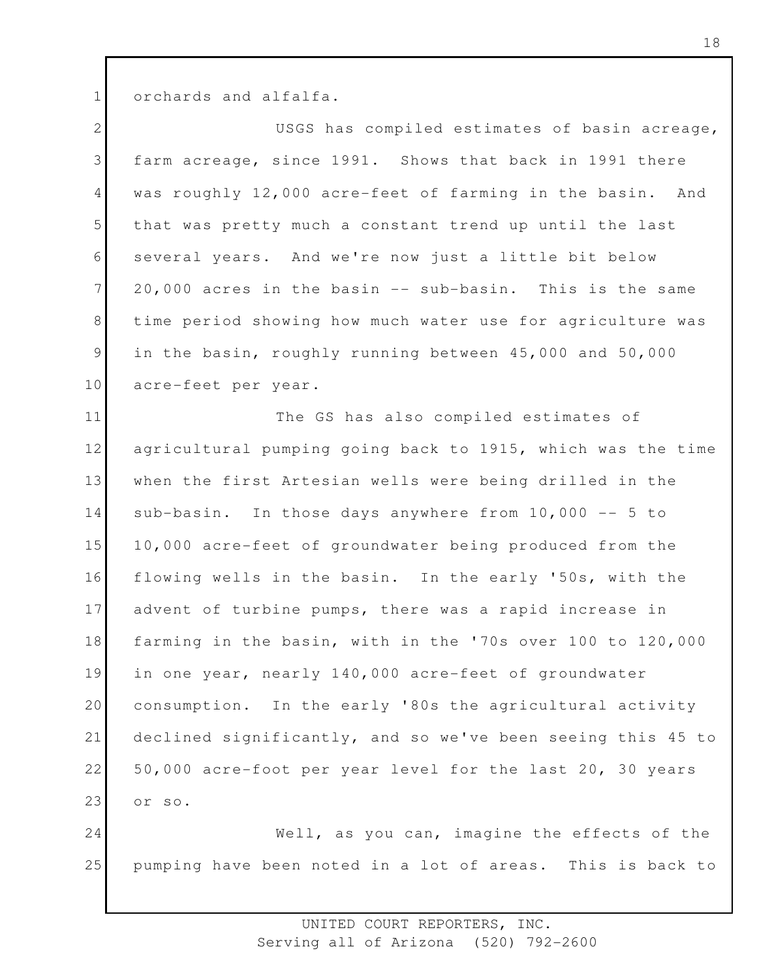1 orchards and alfalfa.

| $\overline{2}$  | USGS has compiled estimates of basin acreage,               |
|-----------------|-------------------------------------------------------------|
| 3               | farm acreage, since 1991. Shows that back in 1991 there     |
| $4\overline{ }$ | was roughly 12,000 acre-feet of farming in the basin. And   |
| 5               | that was pretty much a constant trend up until the last     |
| 6               | several years. And we're now just a little bit below        |
| $7\phantom{.}$  | 20,000 acres in the basin -- sub-basin. This is the same    |
| 8               | time period showing how much water use for agriculture was  |
| 9               | in the basin, roughly running between 45,000 and 50,000     |
| 10              | acre-feet per year.                                         |
| 11              | The GS has also compiled estimates of                       |
| 12              | agricultural pumping going back to 1915, which was the time |
| 13              | when the first Artesian wells were being drilled in the     |
| 14              | sub-basin. In those days anywhere from 10,000 -- 5 to       |
| 15              | 10,000 acre-feet of groundwater being produced from the     |
| 16              | flowing wells in the basin. In the early '50s, with the     |
| 17              | advent of turbine pumps, there was a rapid increase in      |
| 18              | farming in the basin, with in the '70s over 100 to 120,000  |
| 19              | in one year, nearly 140,000 acre-feet of groundwater        |
| 20              | consumption. In the early '80s the agricultural activity    |
| 21              | declined significantly, and so we've been seeing this 45 to |
| 22              | 50,000 acre-foot per year level for the last 20, 30 years   |
| 23              | or so.                                                      |
| 24              | Well, as you can, imagine the effects of the                |
| 25              | pumping have been noted in a lot of areas. This is back to  |
|                 |                                                             |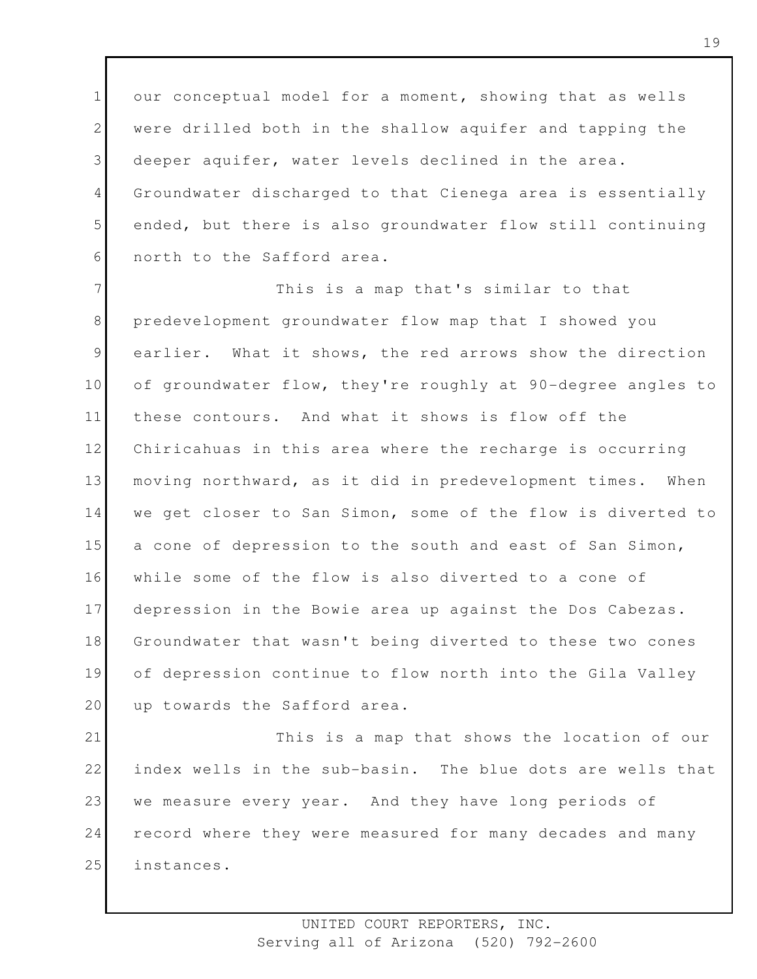1 2 3 4 5 6 our conceptual model for a moment, showing that as wells were drilled both in the shallow aquifer and tapping the deeper aquifer, water levels declined in the area. Groundwater discharged to that Cienega area is essentially ended, but there is also groundwater flow still continuing north to the Safford area.

7 8 9 10 11 12 13 14 15 16 17 18 19 20 This is a map that's similar to that predevelopment groundwater flow map that I showed you earlier. What it shows, the red arrows show the direction of groundwater flow, they're roughly at 90-degree angles to these contours. And what it shows is flow off the Chiricahuas in this area where the recharge is occurring moving northward, as it did in predevelopment times. When we get closer to San Simon, some of the flow is diverted to a cone of depression to the south and east of San Simon, while some of the flow is also diverted to a cone of depression in the Bowie area up against the Dos Cabezas. Groundwater that wasn't being diverted to these two cones of depression continue to flow north into the Gila Valley up towards the Safford area.

21 22 23 24 25 This is a map that shows the location of our index wells in the sub-basin. The blue dots are wells that we measure every year. And they have long periods of record where they were measured for many decades and many instances.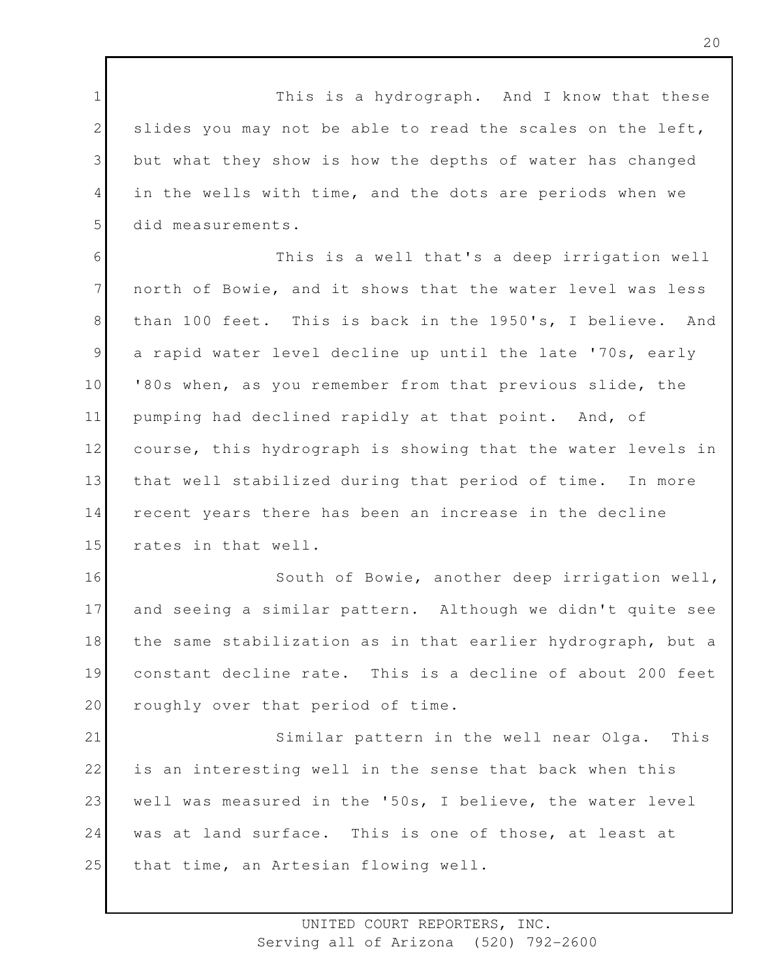1 2 3 4 5 This is a hydrograph. And I know that these slides you may not be able to read the scales on the left, but what they show is how the depths of water has changed in the wells with time, and the dots are periods when we did measurements.

6 7 8 9 10 11 12 13 14 15 This is a well that's a deep irrigation well north of Bowie, and it shows that the water level was less than 100 feet. This is back in the 1950's, I believe. And a rapid water level decline up until the late '70s, early '80s when, as you remember from that previous slide, the pumping had declined rapidly at that point. And, of course, this hydrograph is showing that the water levels in that well stabilized during that period of time. In more recent years there has been an increase in the decline rates in that well.

16 17 18 19 20 South of Bowie, another deep irrigation well, and seeing a similar pattern. Although we didn't quite see the same stabilization as in that earlier hydrograph, but a constant decline rate. This is a decline of about 200 feet roughly over that period of time.

21 22 23 24 25 Similar pattern in the well near Olga. This is an interesting well in the sense that back when this well was measured in the '50s, I believe, the water level was at land surface. This is one of those, at least at that time, an Artesian flowing well.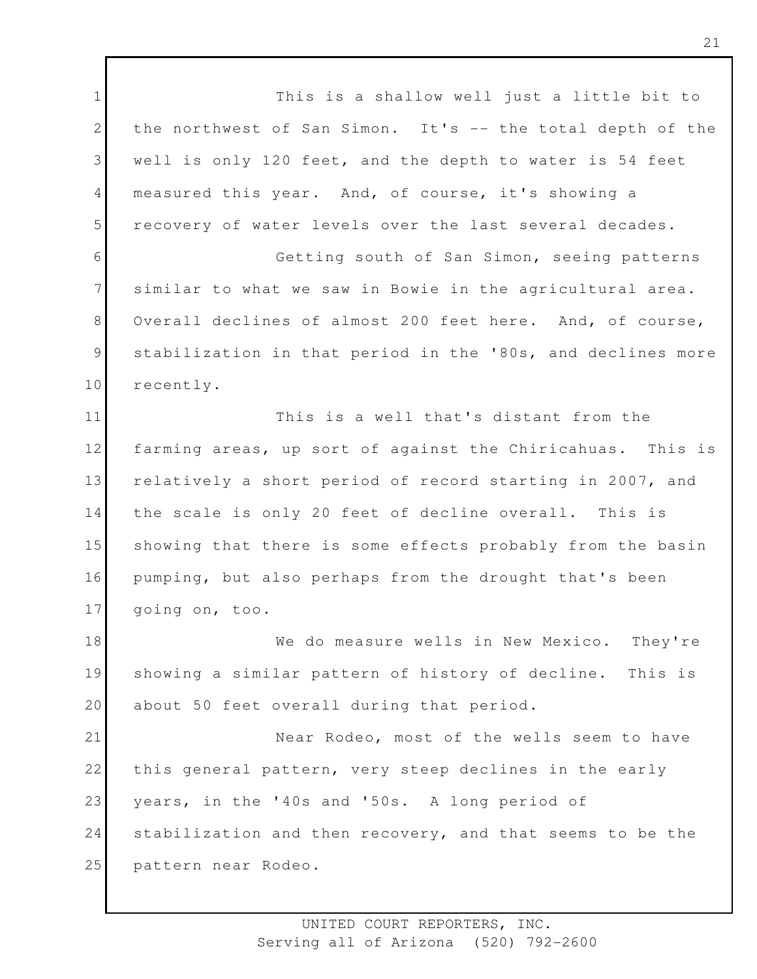1 2 3 4 5 6 7 8 9 10 11 12 13 14 15 16 17 18 19 20 21 22 23 24 25 This is a shallow well just a little bit to the northwest of San Simon. It's -- the total depth of the well is only 120 feet, and the depth to water is 54 feet measured this year. And, of course, it's showing a recovery of water levels over the last several decades. Getting south of San Simon, seeing patterns similar to what we saw in Bowie in the agricultural area. Overall declines of almost 200 feet here. And, of course, stabilization in that period in the '80s, and declines more recently. This is a well that's distant from the farming areas, up sort of against the Chiricahuas. This is relatively a short period of record starting in 2007, and the scale is only 20 feet of decline overall. This is showing that there is some effects probably from the basin pumping, but also perhaps from the drought that's been going on, too. We do measure wells in New Mexico. They're showing a similar pattern of history of decline. This is about 50 feet overall during that period. Near Rodeo, most of the wells seem to have this general pattern, very steep declines in the early years, in the '40s and '50s. A long period of stabilization and then recovery, and that seems to be the pattern near Rodeo.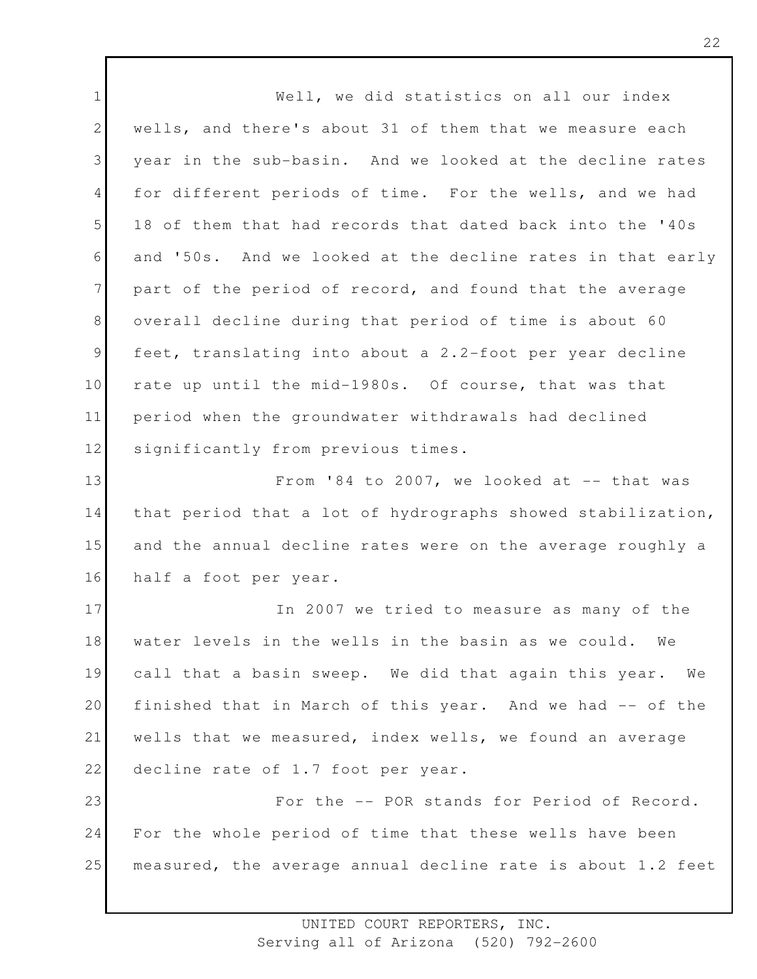1 2 3 4 5 6 7 8 9 10 11 12 13 14 15 16 17 18 19 20 21 22 23 24 25 Well, we did statistics on all our index wells, and there's about 31 of them that we measure each year in the sub-basin. And we looked at the decline rates for different periods of time. For the wells, and we had 18 of them that had records that dated back into the '40s and '50s. And we looked at the decline rates in that early part of the period of record, and found that the average overall decline during that period of time is about 60 feet, translating into about a 2.2-foot per year decline rate up until the mid-1980s. Of course, that was that period when the groundwater withdrawals had declined significantly from previous times. From '84 to 2007, we looked at  $--$  that was that period that a lot of hydrographs showed stabilization, and the annual decline rates were on the average roughly a half a foot per year. In 2007 we tried to measure as many of the water levels in the wells in the basin as we could. We call that a basin sweep. We did that again this year. We finished that in March of this year. And we had -- of the wells that we measured, index wells, we found an average decline rate of 1.7 foot per year. For the -- POR stands for Period of Record. For the whole period of time that these wells have been measured, the average annual decline rate is about 1.2 feet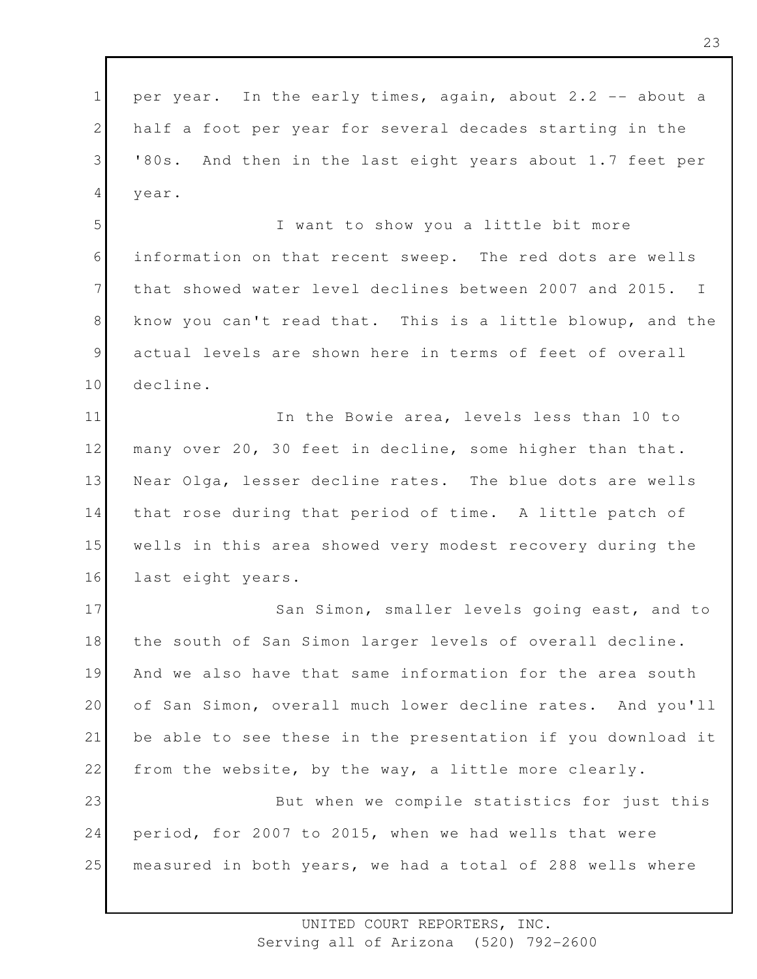1 2 3 4 per year. In the early times, again, about 2.2 -- about a half a foot per year for several decades starting in the '80s. And then in the last eight years about 1.7 feet per year.

5 6 7 8 9 10 I want to show you a little bit more information on that recent sweep. The red dots are wells that showed water level declines between 2007 and 2015. I know you can't read that. This is a little blowup, and the actual levels are shown here in terms of feet of overall decline.

11 12 13 14 15 16 In the Bowie area, levels less than 10 to many over 20, 30 feet in decline, some higher than that. Near Olga, lesser decline rates. The blue dots are wells that rose during that period of time. A little patch of wells in this area showed very modest recovery during the last eight years.

17 18 19 20 21 22 23 San Simon, smaller levels going east, and to the south of San Simon larger levels of overall decline. And we also have that same information for the area south of San Simon, overall much lower decline rates. And you'll be able to see these in the presentation if you download it from the website, by the way, a little more clearly. But when we compile statistics for just this

24 25 period, for 2007 to 2015, when we had wells that were measured in both years, we had a total of 288 wells where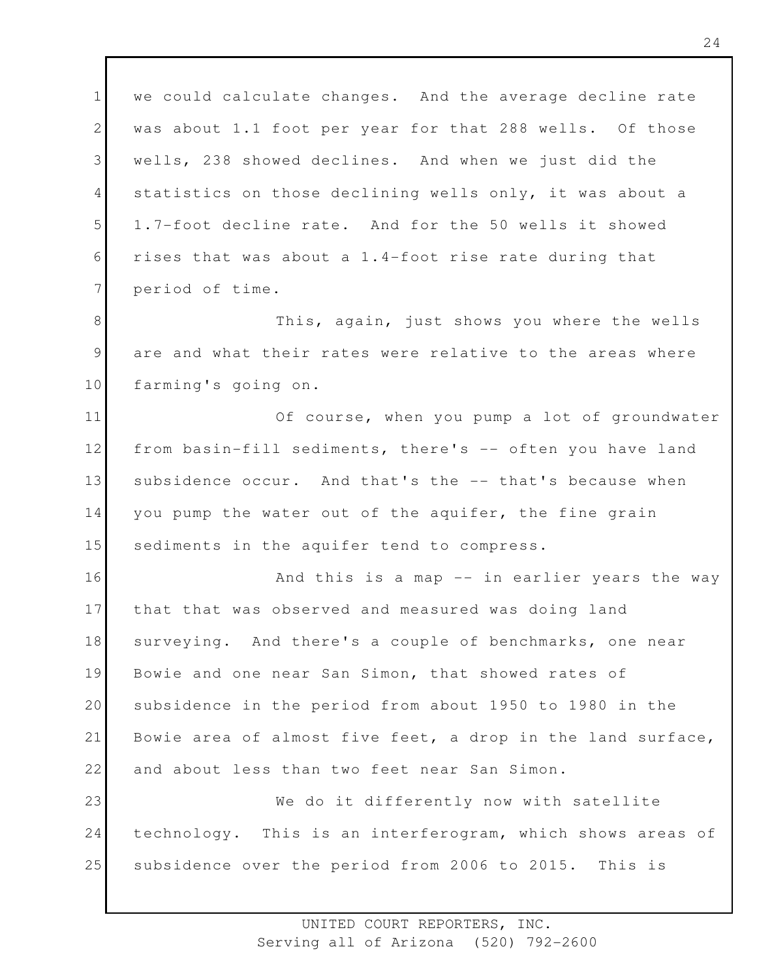1 2 3 4 5 6 7 we could calculate changes. And the average decline rate was about 1.1 foot per year for that 288 wells. Of those wells, 238 showed declines. And when we just did the statistics on those declining wells only, it was about a 1.7-foot decline rate. And for the 50 wells it showed rises that was about a 1.4-foot rise rate during that period of time.

8 9 10 This, again, just shows you where the wells are and what their rates were relative to the areas where farming's going on.

11 12 13 14 15 Of course, when you pump a lot of groundwater from basin-fill sediments, there's -- often you have land subsidence occur. And that's the -- that's because when you pump the water out of the aquifer, the fine grain sediments in the aquifer tend to compress.

16 17 18 19 20 21 22 And this is a map -- in earlier years the way that that was observed and measured was doing land surveying. And there's a couple of benchmarks, one near Bowie and one near San Simon, that showed rates of subsidence in the period from about 1950 to 1980 in the Bowie area of almost five feet, a drop in the land surface, and about less than two feet near San Simon.

23 24 25 We do it differently now with satellite technology. This is an interferogram, which shows areas of subsidence over the period from 2006 to 2015. This is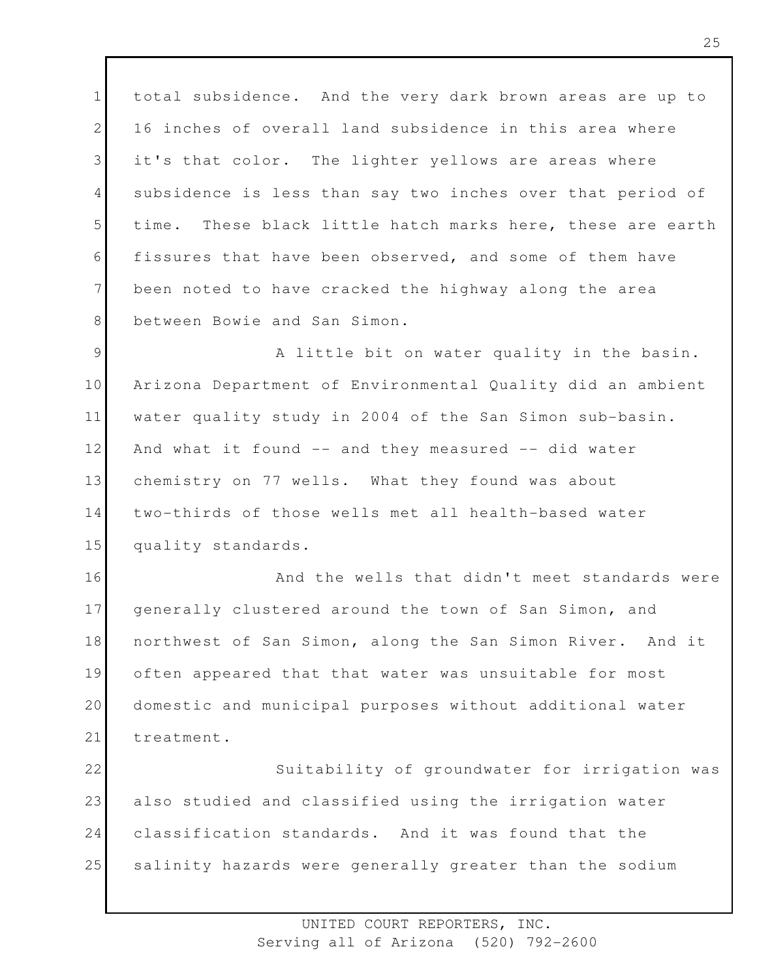1 2 3 4 5 6 7 8 total subsidence. And the very dark brown areas are up to 16 inches of overall land subsidence in this area where it's that color. The lighter yellows are areas where subsidence is less than say two inches over that period of time. These black little hatch marks here, these are earth fissures that have been observed, and some of them have been noted to have cracked the highway along the area between Bowie and San Simon.

9 10 11 12 13 14 15 A little bit on water quality in the basin. Arizona Department of Environmental Quality did an ambient water quality study in 2004 of the San Simon sub-basin. And what it found -- and they measured -- did water chemistry on 77 wells. What they found was about two-thirds of those wells met all health-based water quality standards.

16 17 18 19 20 21 And the wells that didn't meet standards were generally clustered around the town of San Simon, and northwest of San Simon, along the San Simon River. And it often appeared that that water was unsuitable for most domestic and municipal purposes without additional water treatment.

22 23 24 25 Suitability of groundwater for irrigation was also studied and classified using the irrigation water classification standards. And it was found that the salinity hazards were generally greater than the sodium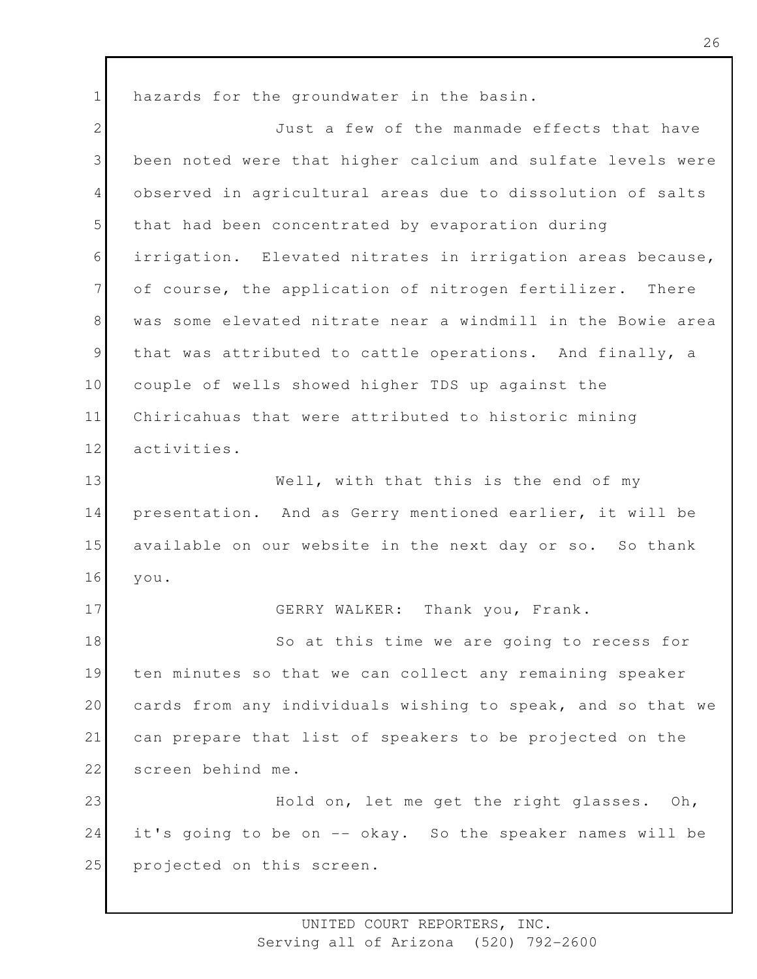1 2 3 4 5 6 7 8 9 10 11 12 13 14 15 16 17 18 19 20 21 22 23 24 25 hazards for the groundwater in the basin. Just a few of the manmade effects that have been noted were that higher calcium and sulfate levels were observed in agricultural areas due to dissolution of salts that had been concentrated by evaporation during irrigation. Elevated nitrates in irrigation areas because, of course, the application of nitrogen fertilizer. There was some elevated nitrate near a windmill in the Bowie area that was attributed to cattle operations. And finally, a couple of wells showed higher TDS up against the Chiricahuas that were attributed to historic mining activities. Well, with that this is the end of my presentation. And as Gerry mentioned earlier, it will be available on our website in the next day or so. So thank you. GERRY WALKER: Thank you, Frank. So at this time we are going to recess for ten minutes so that we can collect any remaining speaker cards from any individuals wishing to speak, and so that we can prepare that list of speakers to be projected on the screen behind me. Hold on, let me get the right glasses. Oh, it's going to be on -- okay. So the speaker names will be projected on this screen.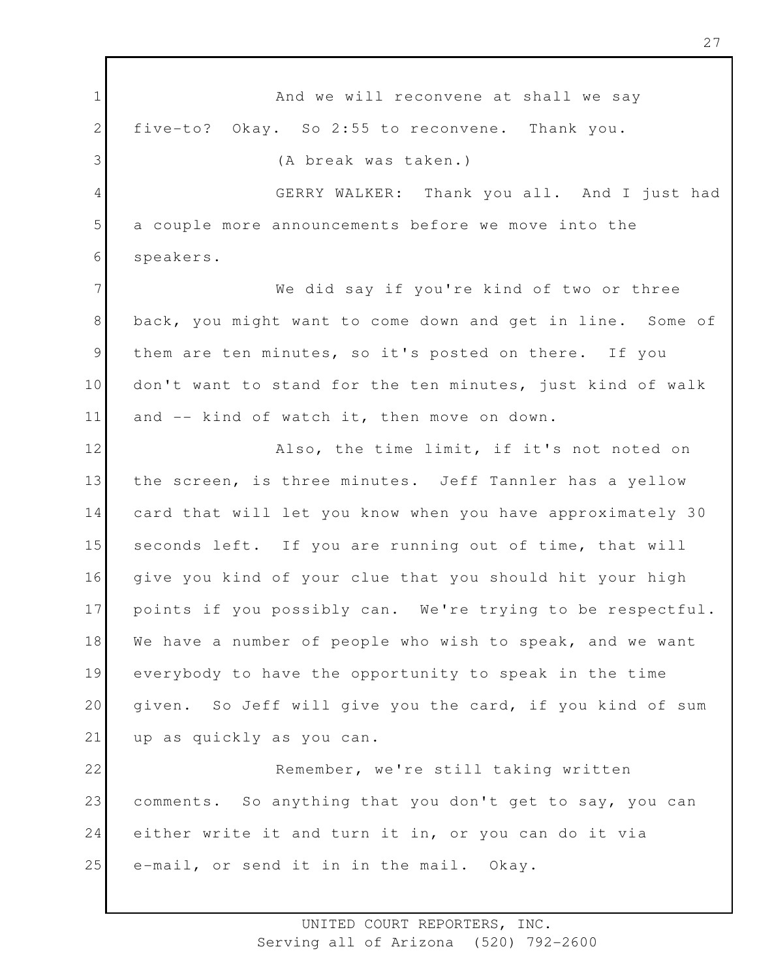1 2 3 4 5 6 7 8 9 10 11 12 13 14 15 16 17 18 19 20 21 22 23 24 25 And we will reconvene at shall we say five-to? Okay. So 2:55 to reconvene. Thank you. (A break was taken.) GERRY WALKER: Thank you all. And I just had a couple more announcements before we move into the speakers. We did say if you're kind of two or three back, you might want to come down and get in line. Some of them are ten minutes, so it's posted on there. If you don't want to stand for the ten minutes, just kind of walk and -- kind of watch it, then move on down. Also, the time limit, if it's not noted on the screen, is three minutes. Jeff Tannler has a yellow card that will let you know when you have approximately 30 seconds left. If you are running out of time, that will give you kind of your clue that you should hit your high points if you possibly can. We're trying to be respectful. We have a number of people who wish to speak, and we want everybody to have the opportunity to speak in the time given. So Jeff will give you the card, if you kind of sum up as quickly as you can. Remember, we're still taking written comments. So anything that you don't get to say, you can either write it and turn it in, or you can do it via e-mail, or send it in in the mail. Okay.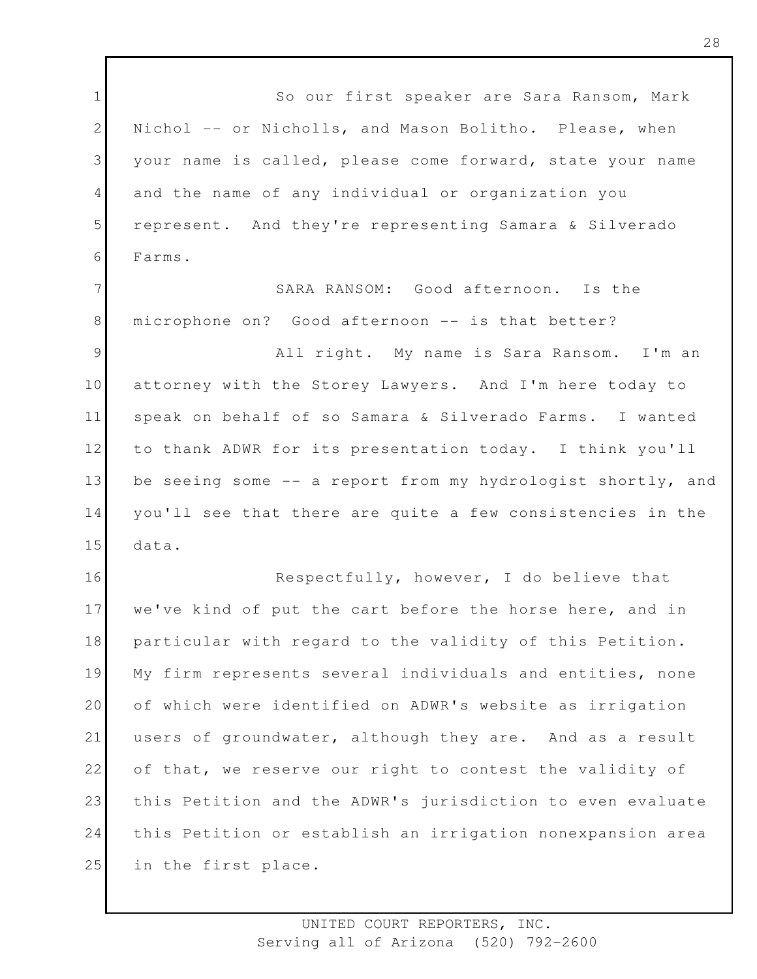1 2 3 4 5 6 7 8 9 10 11 12 13 14 15 16 17 18 19 20 21 22 23 24 25 So our first speaker are Sara Ransom, Mark Nichol -- or Nicholls, and Mason Bolitho. Please, when your name is called, please come forward, state your name and the name of any individual or organization you represent. And they're representing Samara & Silverado Farms. SARA RANSOM: Good afternoon. Is the microphone on? Good afternoon -- is that better? All right. My name is Sara Ransom. I'm an attorney with the Storey Lawyers. And I'm here today to speak on behalf of so Samara & Silverado Farms. I wanted to thank ADWR for its presentation today. I think you'll be seeing some -- a report from my hydrologist shortly, and you'll see that there are quite a few consistencies in the data. Respectfully, however, I do believe that we've kind of put the cart before the horse here, and in particular with regard to the validity of this Petition. My firm represents several individuals and entities, none of which were identified on ADWR's website as irrigation users of groundwater, although they are. And as a result of that, we reserve our right to contest the validity of this Petition and the ADWR's jurisdiction to even evaluate this Petition or establish an irrigation nonexpansion area in the first place.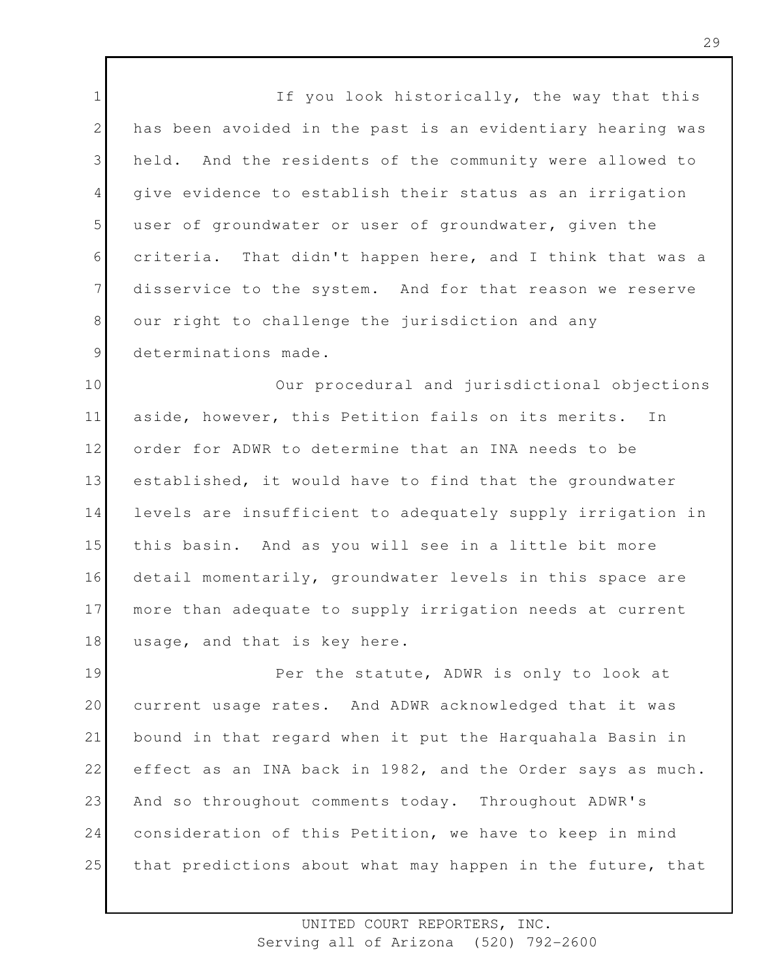1 2 3 4 5 6 7 8 9 If you look historically, the way that this has been avoided in the past is an evidentiary hearing was held. And the residents of the community were allowed to give evidence to establish their status as an irrigation user of groundwater or user of groundwater, given the criteria. That didn't happen here, and I think that was a disservice to the system. And for that reason we reserve our right to challenge the jurisdiction and any determinations made.

10 11 12 13 14 15 16 17 18 Our procedural and jurisdictional objections aside, however, this Petition fails on its merits. In order for ADWR to determine that an INA needs to be established, it would have to find that the groundwater levels are insufficient to adequately supply irrigation in this basin. And as you will see in a little bit more detail momentarily, groundwater levels in this space are more than adequate to supply irrigation needs at current usage, and that is key here.

19 20 21 22 23 24 25 Per the statute, ADWR is only to look at current usage rates. And ADWR acknowledged that it was bound in that regard when it put the Harquahala Basin in effect as an INA back in 1982, and the Order says as much. And so throughout comments today. Throughout ADWR's consideration of this Petition, we have to keep in mind that predictions about what may happen in the future, that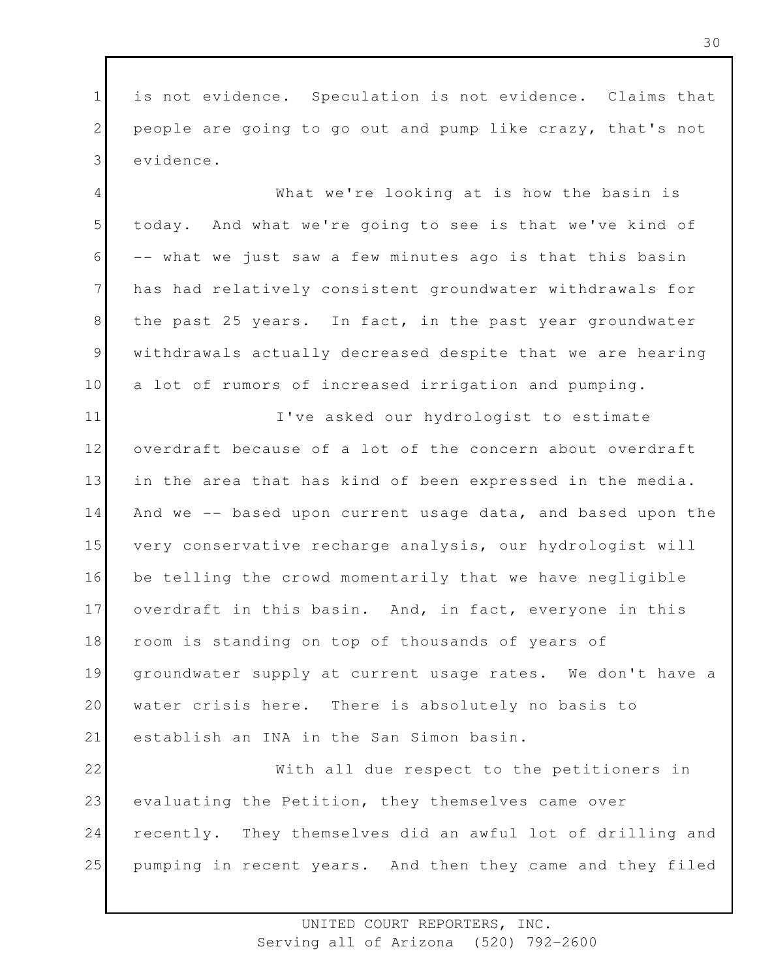1 2 3 is not evidence. Speculation is not evidence. Claims that people are going to go out and pump like crazy, that's not evidence.

4 5 6 7 8 9 10 What we're looking at is how the basin is today. And what we're going to see is that we've kind of -- what we just saw a few minutes ago is that this basin has had relatively consistent groundwater withdrawals for the past 25 years. In fact, in the past year groundwater withdrawals actually decreased despite that we are hearing a lot of rumors of increased irrigation and pumping.

11 12 13 14 15 16 17 18 19 20 21 I've asked our hydrologist to estimate overdraft because of a lot of the concern about overdraft in the area that has kind of been expressed in the media. And we -- based upon current usage data, and based upon the very conservative recharge analysis, our hydrologist will be telling the crowd momentarily that we have negligible overdraft in this basin. And, in fact, everyone in this room is standing on top of thousands of years of groundwater supply at current usage rates. We don't have a water crisis here. There is absolutely no basis to establish an INA in the San Simon basin.

22 23 24 25 With all due respect to the petitioners in evaluating the Petition, they themselves came over recently. They themselves did an awful lot of drilling and pumping in recent years. And then they came and they filed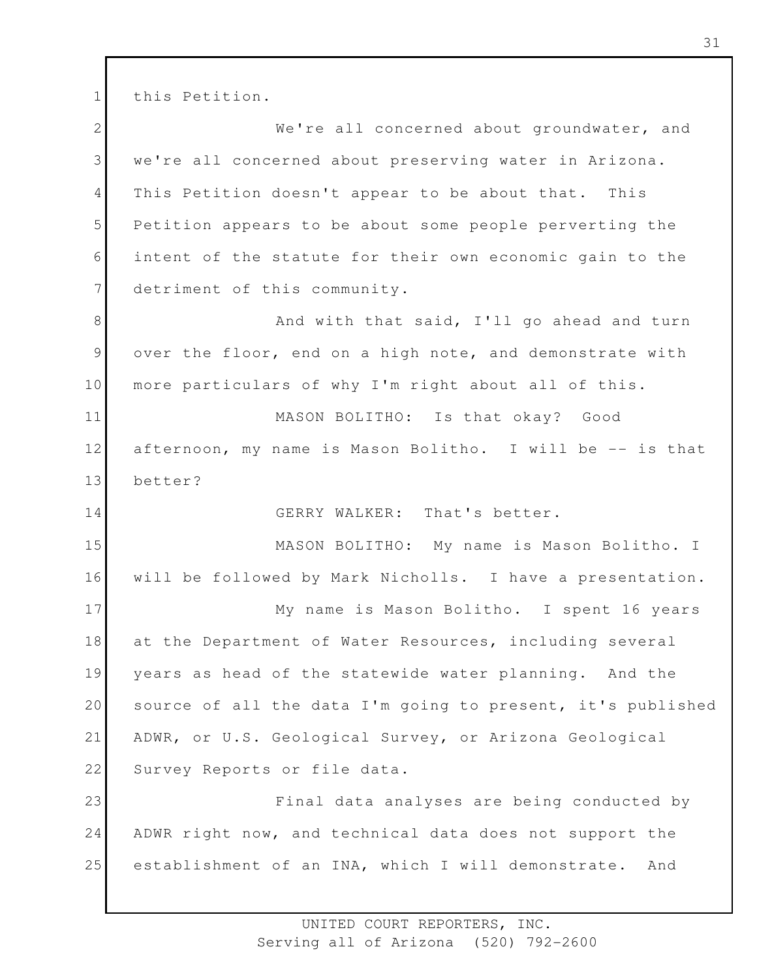1 this Petition.

2 3 4 5 6 7 8 9 10 11 12 13 14 15 16 17 18 19 20 21 22 23 24 25 We're all concerned about groundwater, and we're all concerned about preserving water in Arizona. This Petition doesn't appear to be about that. This Petition appears to be about some people perverting the intent of the statute for their own economic gain to the detriment of this community. And with that said, I'll go ahead and turn over the floor, end on a high note, and demonstrate with more particulars of why I'm right about all of this. MASON BOLITHO: Is that okay? Good afternoon, my name is Mason Bolitho. I will be -- is that better? GERRY WALKER: That's better. MASON BOLITHO: My name is Mason Bolitho. I will be followed by Mark Nicholls. I have a presentation. My name is Mason Bolitho. I spent 16 years at the Department of Water Resources, including several years as head of the statewide water planning. And the source of all the data I'm going to present, it's published ADWR, or U.S. Geological Survey, or Arizona Geological Survey Reports or file data. Final data analyses are being conducted by ADWR right now, and technical data does not support the establishment of an INA, which I will demonstrate. And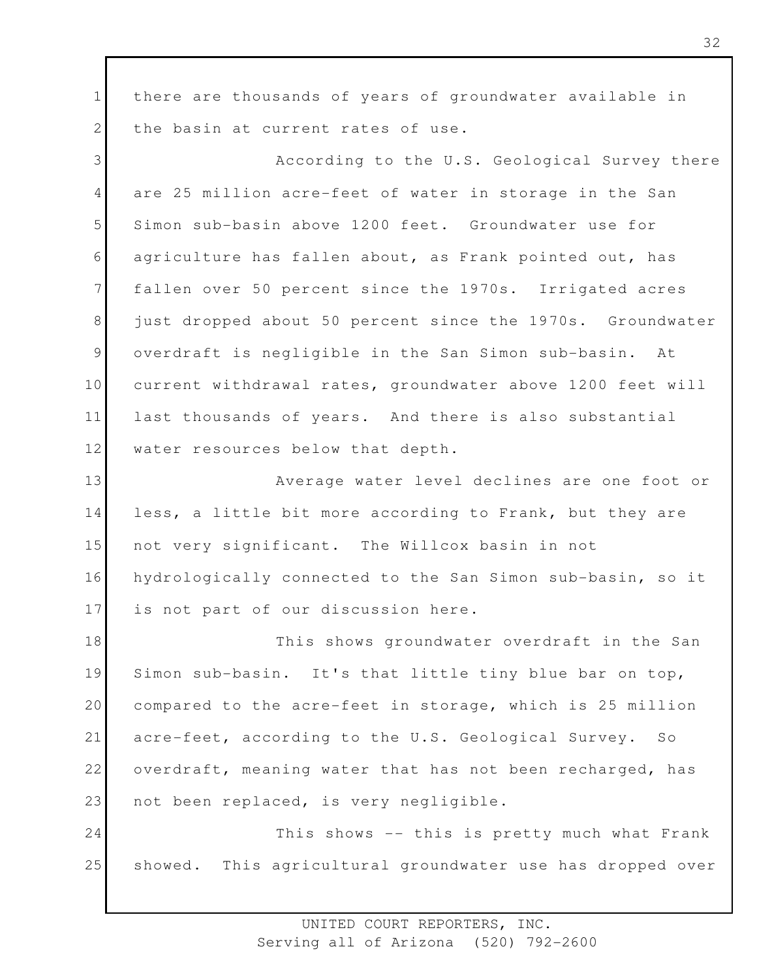1 2 there are thousands of years of groundwater available in the basin at current rates of use.

3 4 5 6 7 8 9 10 11 12 According to the U.S. Geological Survey there are 25 million acre-feet of water in storage in the San Simon sub-basin above 1200 feet. Groundwater use for agriculture has fallen about, as Frank pointed out, has fallen over 50 percent since the 1970s. Irrigated acres just dropped about 50 percent since the 1970s. Groundwater overdraft is negligible in the San Simon sub-basin. At current withdrawal rates, groundwater above 1200 feet will last thousands of years. And there is also substantial water resources below that depth.

13 14 15 16 17 Average water level declines are one foot or less, a little bit more according to Frank, but they are not very significant. The Willcox basin in not hydrologically connected to the San Simon sub-basin, so it is not part of our discussion here.

18 19 20 21 22 23 This shows groundwater overdraft in the San Simon sub-basin. It's that little tiny blue bar on top, compared to the acre-feet in storage, which is 25 million acre-feet, according to the U.S. Geological Survey. So overdraft, meaning water that has not been recharged, has not been replaced, is very negligible.

24 25 This shows -- this is pretty much what Frank showed. This agricultural groundwater use has dropped over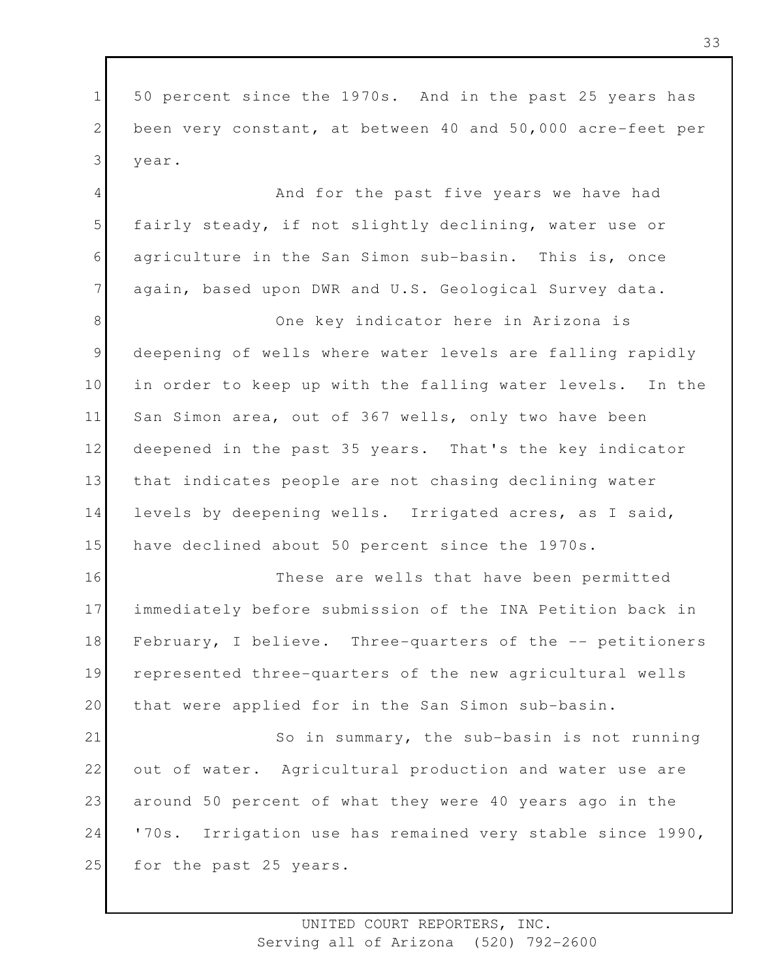1 2 3 50 percent since the 1970s. And in the past 25 years has been very constant, at between 40 and 50,000 acre-feet per year.

4 5 6 7 And for the past five years we have had fairly steady, if not slightly declining, water use or agriculture in the San Simon sub-basin. This is, once again, based upon DWR and U.S. Geological Survey data.

8 9 10 11 12 13 14 15 One key indicator here in Arizona is deepening of wells where water levels are falling rapidly in order to keep up with the falling water levels. In the San Simon area, out of 367 wells, only two have been deepened in the past 35 years. That's the key indicator that indicates people are not chasing declining water levels by deepening wells. Irrigated acres, as I said, have declined about 50 percent since the 1970s.

16 17 18 19 20 These are wells that have been permitted immediately before submission of the INA Petition back in February, I believe. Three-quarters of the -- petitioners represented three-quarters of the new agricultural wells that were applied for in the San Simon sub-basin.

21 22 23 24 25 So in summary, the sub-basin is not running out of water. Agricultural production and water use are around 50 percent of what they were 40 years ago in the '70s. Irrigation use has remained very stable since 1990, for the past 25 years.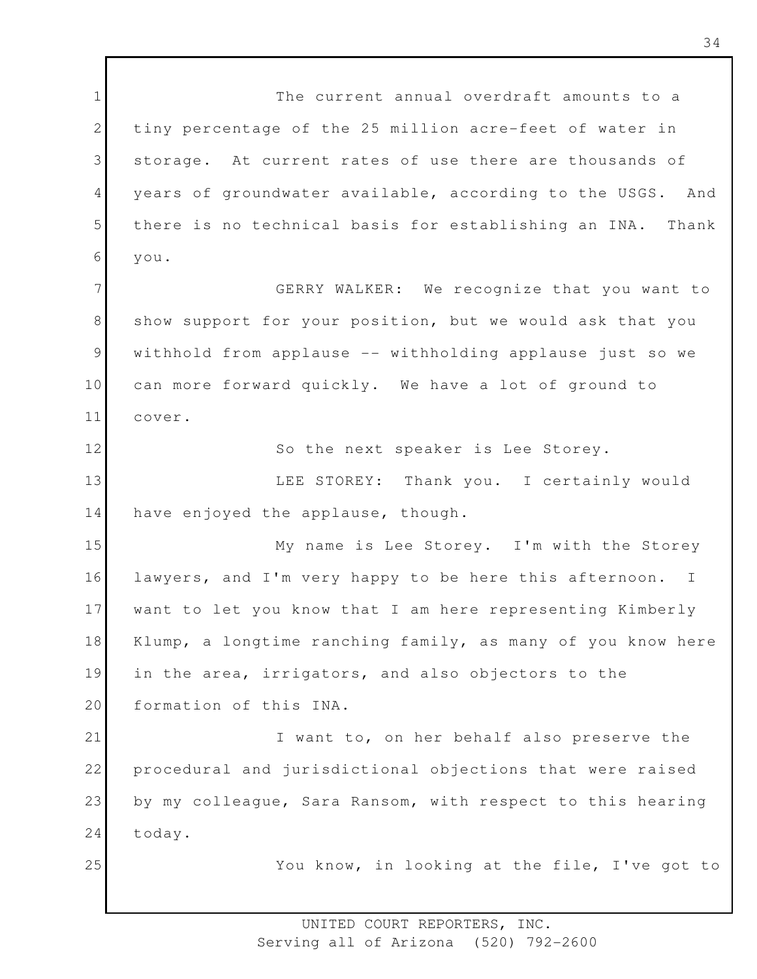1 2 3 4 5 6 7 8 9 10 11 12 13 14 15 16 17 18 19 20 21 22 23 24 25 The current annual overdraft amounts to a tiny percentage of the 25 million acre-feet of water in storage. At current rates of use there are thousands of years of groundwater available, according to the USGS. And there is no technical basis for establishing an INA. Thank you. GERRY WALKER: We recognize that you want to show support for your position, but we would ask that you withhold from applause -- withholding applause just so we can more forward quickly. We have a lot of ground to cover. So the next speaker is Lee Storey. LEE STOREY: Thank you. I certainly would have enjoyed the applause, though. My name is Lee Storey. I'm with the Storey lawyers, and I'm very happy to be here this afternoon. I want to let you know that I am here representing Kimberly Klump, a longtime ranching family, as many of you know here in the area, irrigators, and also objectors to the formation of this INA. I want to, on her behalf also preserve the procedural and jurisdictional objections that were raised by my colleague, Sara Ransom, with respect to this hearing today. You know, in looking at the file, I've got to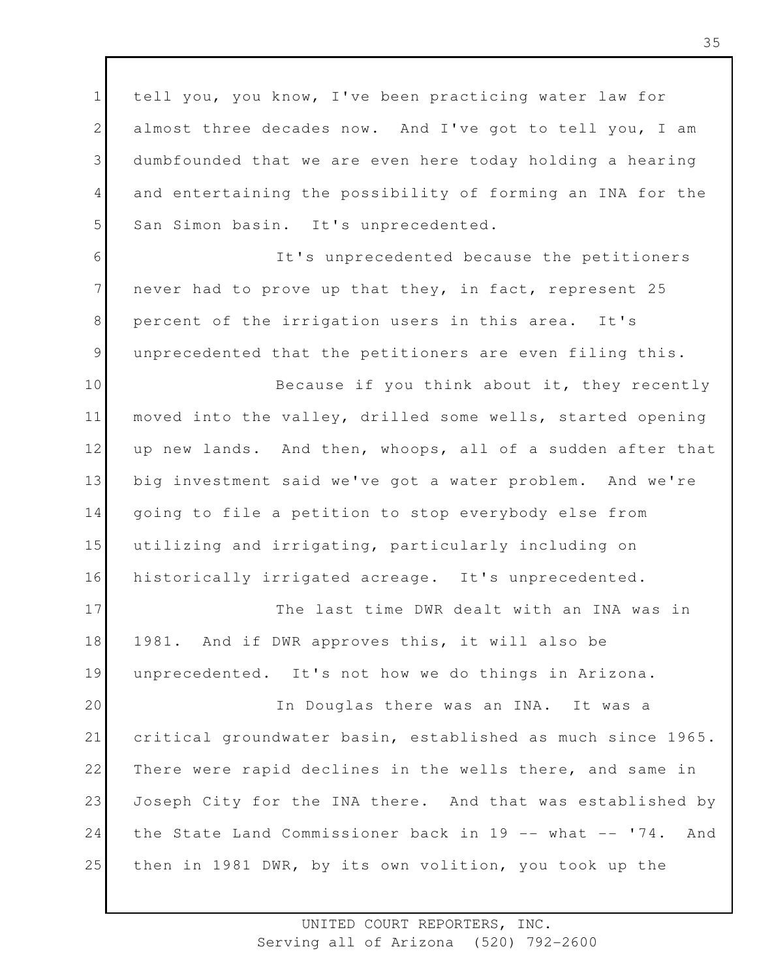1 2 3 4 5 tell you, you know, I've been practicing water law for almost three decades now. And I've got to tell you, I am dumbfounded that we are even here today holding a hearing and entertaining the possibility of forming an INA for the San Simon basin. It's unprecedented.

6 7 8 9 It's unprecedented because the petitioners never had to prove up that they, in fact, represent 25 percent of the irrigation users in this area. It's unprecedented that the petitioners are even filing this.

10 11 12 13 14 15 16 Because if you think about it, they recently moved into the valley, drilled some wells, started opening up new lands. And then, whoops, all of a sudden after that big investment said we've got a water problem. And we're going to file a petition to stop everybody else from utilizing and irrigating, particularly including on historically irrigated acreage. It's unprecedented.

17 18 19 The last time DWR dealt with an INA was in 1981. And if DWR approves this, it will also be unprecedented. It's not how we do things in Arizona.

20 21 22 23 24 25 In Douglas there was an INA. It was a critical groundwater basin, established as much since 1965. There were rapid declines in the wells there, and same in Joseph City for the INA there. And that was established by the State Land Commissioner back in 19 -- what -- '74. And then in 1981 DWR, by its own volition, you took up the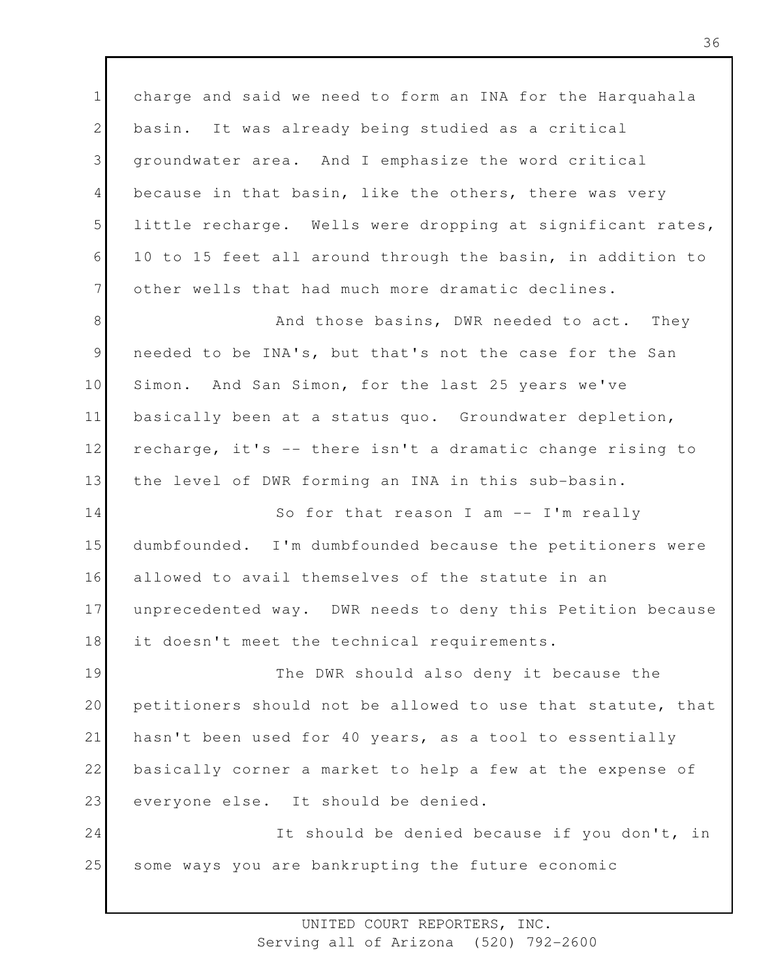1 2 3 4 5 6 7 charge and said we need to form an INA for the Harquahala basin. It was already being studied as a critical groundwater area. And I emphasize the word critical because in that basin, like the others, there was very little recharge. Wells were dropping at significant rates, 10 to 15 feet all around through the basin, in addition to other wells that had much more dramatic declines.

8 9 10 11 12 13 And those basins, DWR needed to act. They needed to be INA's, but that's not the case for the San Simon. And San Simon, for the last 25 years we've basically been at a status quo. Groundwater depletion, recharge, it's -- there isn't a dramatic change rising to the level of DWR forming an INA in this sub-basin.

14 15 16 17 18 So for that reason I am -- I'm really dumbfounded. I'm dumbfounded because the petitioners were allowed to avail themselves of the statute in an unprecedented way. DWR needs to deny this Petition because it doesn't meet the technical requirements.

19 20 21 22 23 The DWR should also deny it because the petitioners should not be allowed to use that statute, that hasn't been used for 40 years, as a tool to essentially basically corner a market to help a few at the expense of everyone else. It should be denied.

24 25 It should be denied because if you don't, in some ways you are bankrupting the future economic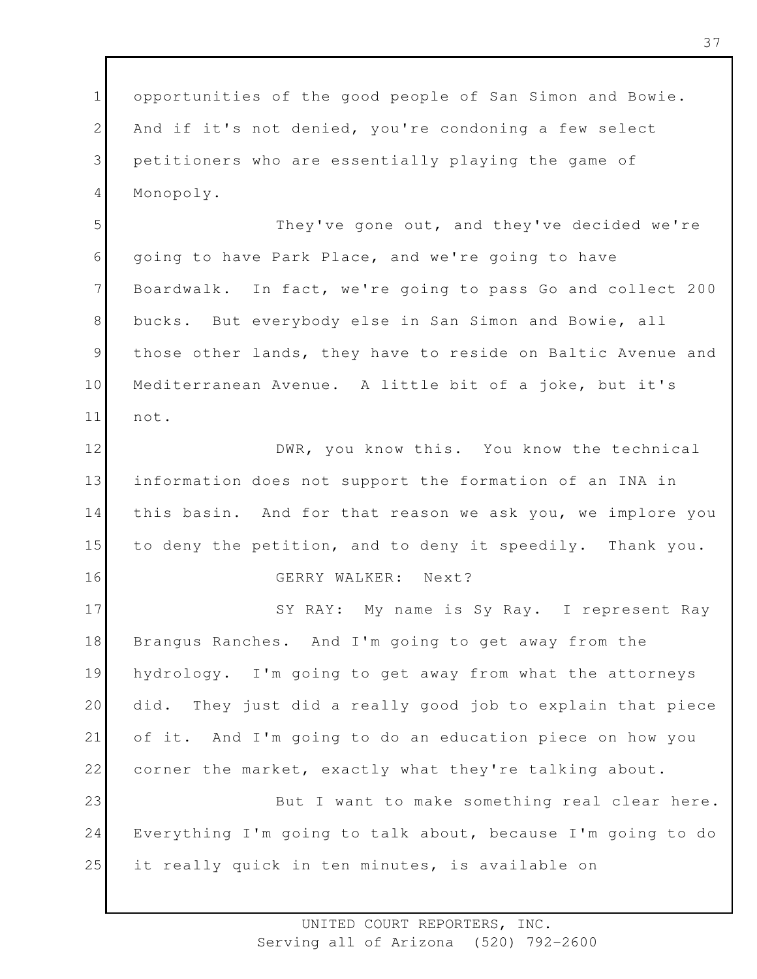1 2 3 4 opportunities of the good people of San Simon and Bowie. And if it's not denied, you're condoning a few select petitioners who are essentially playing the game of Monopoly.

5 6 7 8 9 10 11 They've gone out, and they've decided we're going to have Park Place, and we're going to have Boardwalk. In fact, we're going to pass Go and collect 200 bucks. But everybody else in San Simon and Bowie, all those other lands, they have to reside on Baltic Avenue and Mediterranean Avenue. A little bit of a joke, but it's not.

12 13 14 15 16 DWR, you know this. You know the technical information does not support the formation of an INA in this basin. And for that reason we ask you, we implore you to deny the petition, and to deny it speedily. Thank you. GERRY WALKER: Next?

17 18 19 20 21 22 23 SY RAY: My name is Sy Ray. I represent Ray Brangus Ranches. And I'm going to get away from the hydrology. I'm going to get away from what the attorneys did. They just did a really good job to explain that piece of it. And I'm going to do an education piece on how you corner the market, exactly what they're talking about. But I want to make something real clear here.

24 25 Everything I'm going to talk about, because I'm going to do it really quick in ten minutes, is available on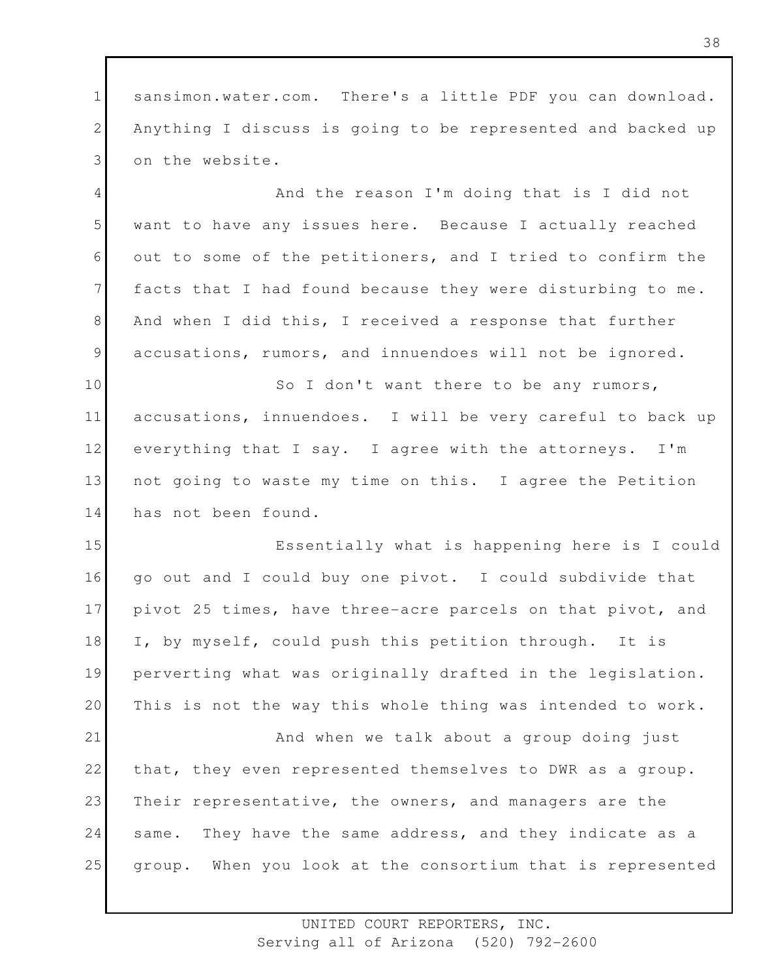1 2 3 sansimon.water.com. There's a little PDF you can download. Anything I discuss is going to be represented and backed up on the website.

4 5 6 7 8 9 And the reason I'm doing that is I did not want to have any issues here. Because I actually reached out to some of the petitioners, and I tried to confirm the facts that I had found because they were disturbing to me. And when I did this, I received a response that further accusations, rumors, and innuendoes will not be ignored.

10 11 12 13 14 So I don't want there to be any rumors, accusations, innuendoes. I will be very careful to back up everything that I say. I agree with the attorneys. I'm not going to waste my time on this. I agree the Petition has not been found.

15 16 17 18 19 20 21 22 23 24 25 Essentially what is happening here is I could go out and I could buy one pivot. I could subdivide that pivot 25 times, have three-acre parcels on that pivot, and I, by myself, could push this petition through. It is perverting what was originally drafted in the legislation. This is not the way this whole thing was intended to work. And when we talk about a group doing just that, they even represented themselves to DWR as a group. Their representative, the owners, and managers are the same. They have the same address, and they indicate as a group. When you look at the consortium that is represented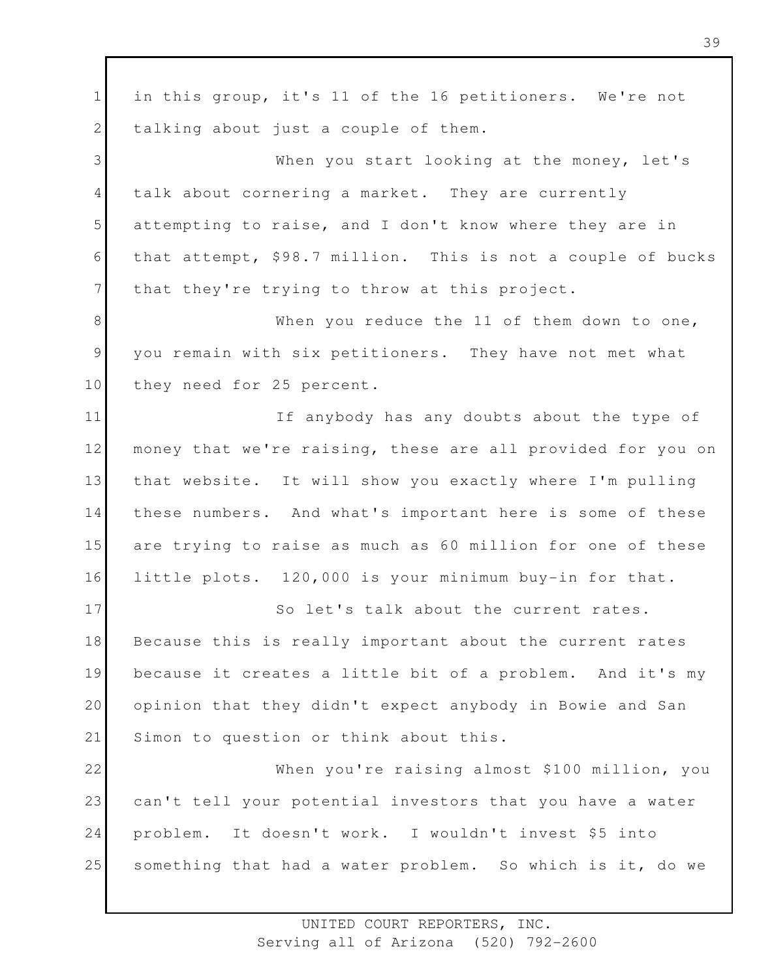1 2 3 4 5 6 7 8 9 10 11 12 13 14 15 16 17 18 19 20 21 22 23 24 25 in this group, it's 11 of the 16 petitioners. We're not talking about just a couple of them. When you start looking at the money, let's talk about cornering a market. They are currently attempting to raise, and I don't know where they are in that attempt, \$98.7 million. This is not a couple of bucks that they're trying to throw at this project. When you reduce the 11 of them down to one, you remain with six petitioners. They have not met what they need for 25 percent. If anybody has any doubts about the type of money that we're raising, these are all provided for you on that website. It will show you exactly where I'm pulling these numbers. And what's important here is some of these are trying to raise as much as 60 million for one of these little plots. 120,000 is your minimum buy-in for that. So let's talk about the current rates. Because this is really important about the current rates because it creates a little bit of a problem. And it's my opinion that they didn't expect anybody in Bowie and San Simon to question or think about this. When you're raising almost \$100 million, you can't tell your potential investors that you have a water problem. It doesn't work. I wouldn't invest \$5 into something that had a water problem. So which is it, do we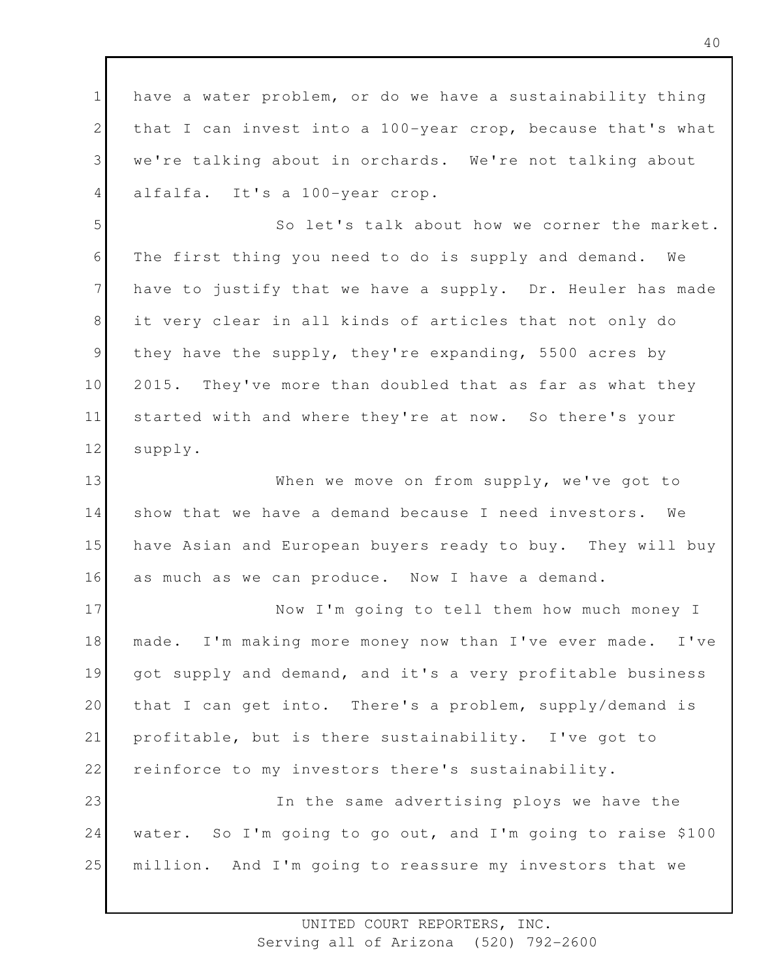1 2 3 4 have a water problem, or do we have a sustainability thing that I can invest into a 100-year crop, because that's what we're talking about in orchards. We're not talking about alfalfa. It's a 100-year crop.

5 6 7 8 9 10 11 12 So let's talk about how we corner the market. The first thing you need to do is supply and demand. We have to justify that we have a supply. Dr. Heuler has made it very clear in all kinds of articles that not only do they have the supply, they're expanding, 5500 acres by 2015. They've more than doubled that as far as what they started with and where they're at now. So there's your supply.

13 14 15 16 When we move on from supply, we've got to show that we have a demand because I need investors. We have Asian and European buyers ready to buy. They will buy as much as we can produce. Now I have a demand.

17 18 19 20 21 22 23 24 Now I'm going to tell them how much money I made. I'm making more money now than I've ever made. I've got supply and demand, and it's a very profitable business that I can get into. There's a problem, supply/demand is profitable, but is there sustainability. I've got to reinforce to my investors there's sustainability. In the same advertising ploys we have the water. So I'm going to go out, and I'm going to raise \$100

25 million. And I'm going to reassure my investors that we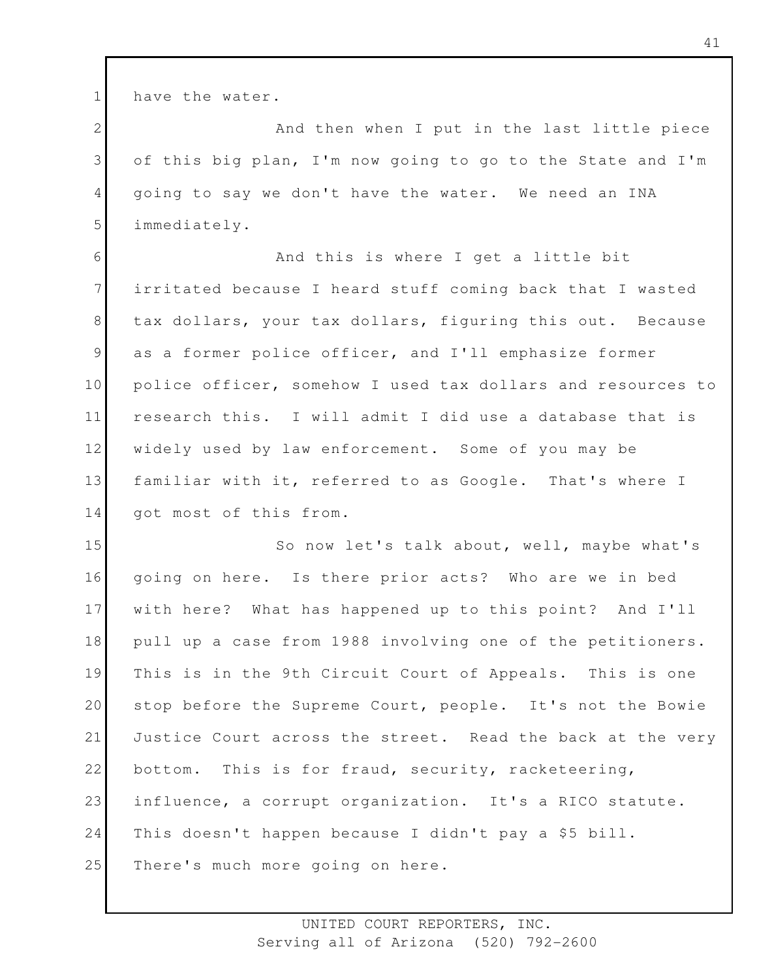1 have the water.

2 3 4 5 And then when I put in the last little piece of this big plan, I'm now going to go to the State and I'm going to say we don't have the water. We need an INA immediately.

6 7 8 9 10 11 12 13 14 And this is where I get a little bit irritated because I heard stuff coming back that I wasted tax dollars, your tax dollars, figuring this out. Because as a former police officer, and I'll emphasize former police officer, somehow I used tax dollars and resources to research this. I will admit I did use a database that is widely used by law enforcement. Some of you may be familiar with it, referred to as Google. That's where I got most of this from.

15 16 17 18 19 20 21 22 23 24 25 So now let's talk about, well, maybe what's going on here. Is there prior acts? Who are we in bed with here? What has happened up to this point? And I'll pull up a case from 1988 involving one of the petitioners. This is in the 9th Circuit Court of Appeals. This is one stop before the Supreme Court, people. It's not the Bowie Justice Court across the street. Read the back at the very bottom. This is for fraud, security, racketeering, influence, a corrupt organization. It's a RICO statute. This doesn't happen because I didn't pay a \$5 bill. There's much more going on here.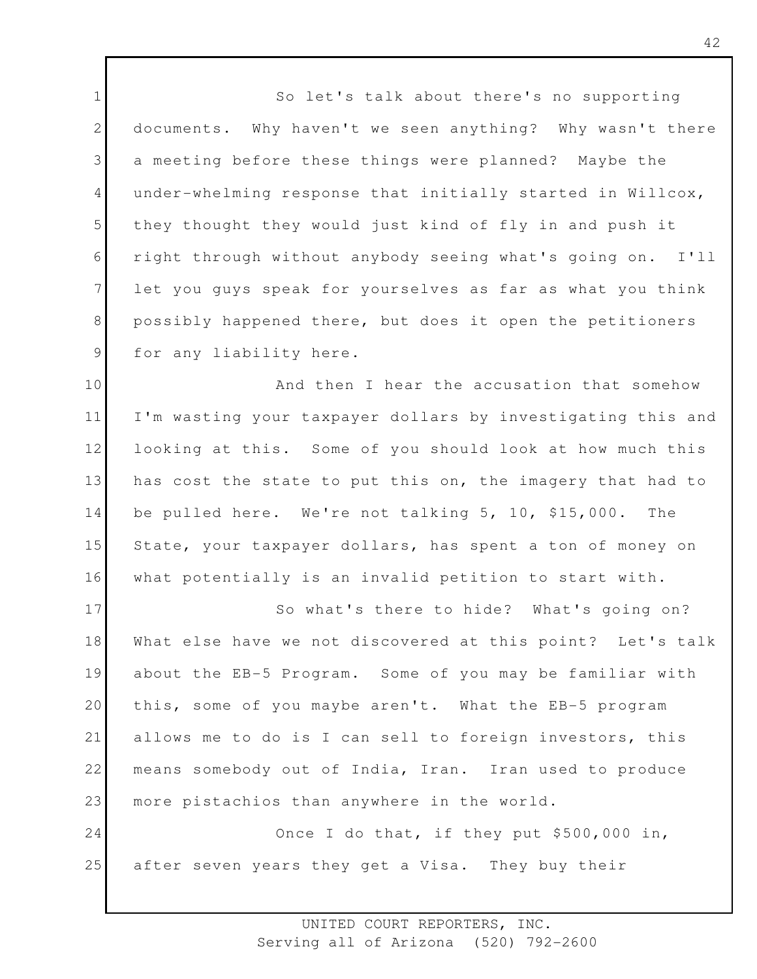1 2 3 4 5 6 7 8 9 So let's talk about there's no supporting documents. Why haven't we seen anything? Why wasn't there a meeting before these things were planned? Maybe the under-whelming response that initially started in Willcox, they thought they would just kind of fly in and push it right through without anybody seeing what's going on. I'll let you guys speak for yourselves as far as what you think possibly happened there, but does it open the petitioners for any liability here.

10 11 12 13 14 15 16 And then I hear the accusation that somehow I'm wasting your taxpayer dollars by investigating this and looking at this. Some of you should look at how much this has cost the state to put this on, the imagery that had to be pulled here. We're not talking 5, 10, \$15,000. The State, your taxpayer dollars, has spent a ton of money on what potentially is an invalid petition to start with.

17 18 19 20 21 22 23 So what's there to hide? What's going on? What else have we not discovered at this point? Let's talk about the EB-5 Program. Some of you may be familiar with this, some of you maybe aren't. What the EB-5 program allows me to do is I can sell to foreign investors, this means somebody out of India, Iran. Iran used to produce more pistachios than anywhere in the world.

24 25 Once I do that, if they put \$500,000 in, after seven years they get a Visa. They buy their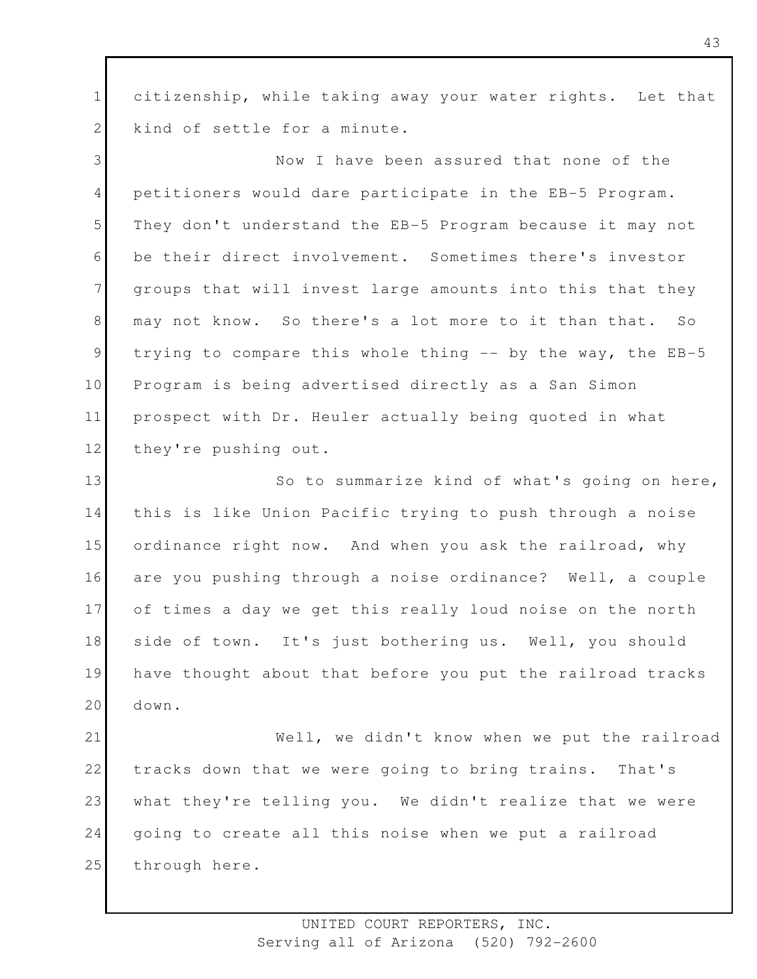1 2 citizenship, while taking away your water rights. Let that kind of settle for a minute.

3 4 5 6 7 8 9 10 11 12 Now I have been assured that none of the petitioners would dare participate in the EB-5 Program. They don't understand the EB-5 Program because it may not be their direct involvement. Sometimes there's investor groups that will invest large amounts into this that they may not know. So there's a lot more to it than that. So trying to compare this whole thing -- by the way, the EB-5 Program is being advertised directly as a San Simon prospect with Dr. Heuler actually being quoted in what they're pushing out.

13 14 15 16 17 18 19 20 So to summarize kind of what's going on here, this is like Union Pacific trying to push through a noise ordinance right now. And when you ask the railroad, why are you pushing through a noise ordinance? Well, a couple of times a day we get this really loud noise on the north side of town. It's just bothering us. Well, you should have thought about that before you put the railroad tracks down.

21 22 23 24 25 Well, we didn't know when we put the railroad tracks down that we were going to bring trains. That's what they're telling you. We didn't realize that we were going to create all this noise when we put a railroad through here.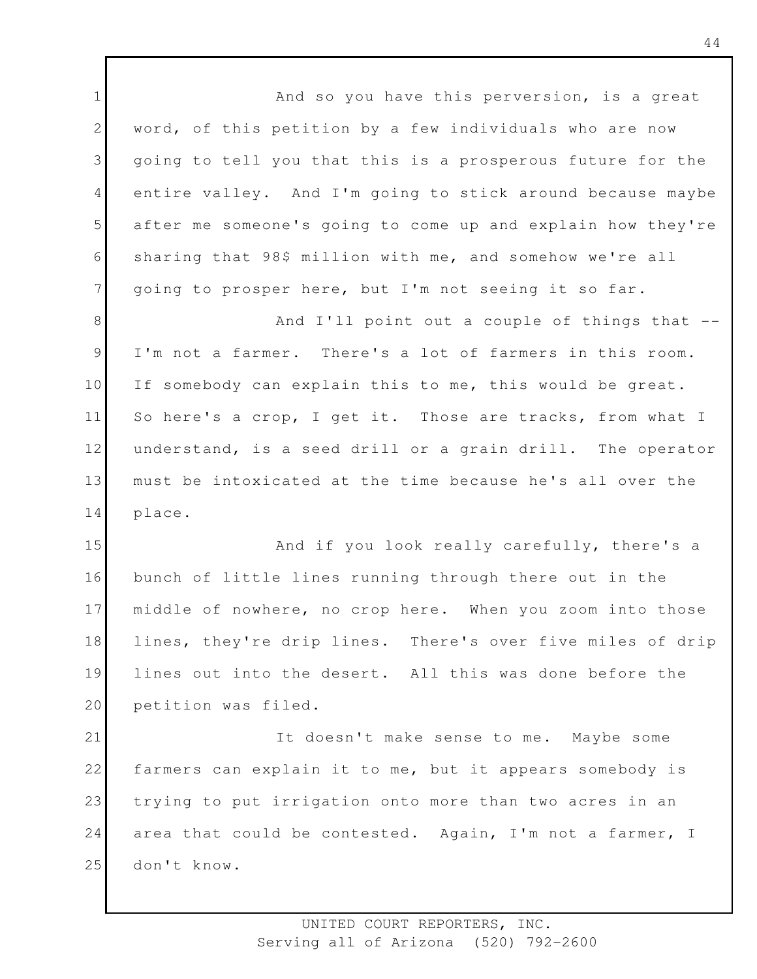1 2 3 4 5 6 7 8 9 10 11 12 13 14 15 16 17 18 19 20 21 22 23 24 25 And so you have this perversion, is a great word, of this petition by a few individuals who are now going to tell you that this is a prosperous future for the entire valley. And I'm going to stick around because maybe after me someone's going to come up and explain how they're sharing that 98\$ million with me, and somehow we're all going to prosper here, but I'm not seeing it so far. And I'll point out a couple of things that -- I'm not a farmer. There's a lot of farmers in this room. If somebody can explain this to me, this would be great. So here's a crop, I get it. Those are tracks, from what I understand, is a seed drill or a grain drill. The operator must be intoxicated at the time because he's all over the place. And if you look really carefully, there's a bunch of little lines running through there out in the middle of nowhere, no crop here. When you zoom into those lines, they're drip lines. There's over five miles of drip lines out into the desert. All this was done before the petition was filed. It doesn't make sense to me. Maybe some farmers can explain it to me, but it appears somebody is trying to put irrigation onto more than two acres in an area that could be contested. Again, I'm not a farmer, I don't know.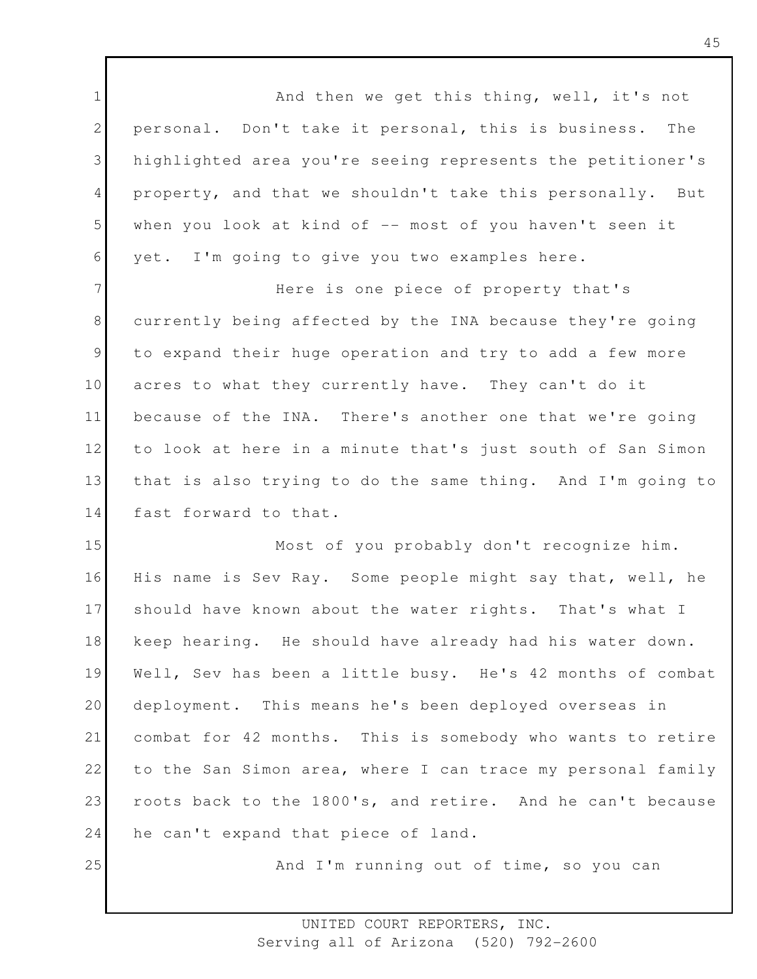1 2 3 4 5 6 And then we get this thing, well, it's not personal. Don't take it personal, this is business. The highlighted area you're seeing represents the petitioner's property, and that we shouldn't take this personally. But when you look at kind of  $-$  most of you haven't seen it yet. I'm going to give you two examples here.

7 8 9 10 11 12 13 14 Here is one piece of property that's currently being affected by the INA because they're going to expand their huge operation and try to add a few more acres to what they currently have. They can't do it because of the INA. There's another one that we're going to look at here in a minute that's just south of San Simon that is also trying to do the same thing. And I'm going to fast forward to that.

15 16 17 18 19 20 21 22 23 24 Most of you probably don't recognize him. His name is Sev Ray. Some people might say that, well, he should have known about the water rights. That's what I keep hearing. He should have already had his water down. Well, Sev has been a little busy. He's 42 months of combat deployment. This means he's been deployed overseas in combat for 42 months. This is somebody who wants to retire to the San Simon area, where I can trace my personal family roots back to the 1800's, and retire. And he can't because he can't expand that piece of land.

25

And I'm running out of time, so you can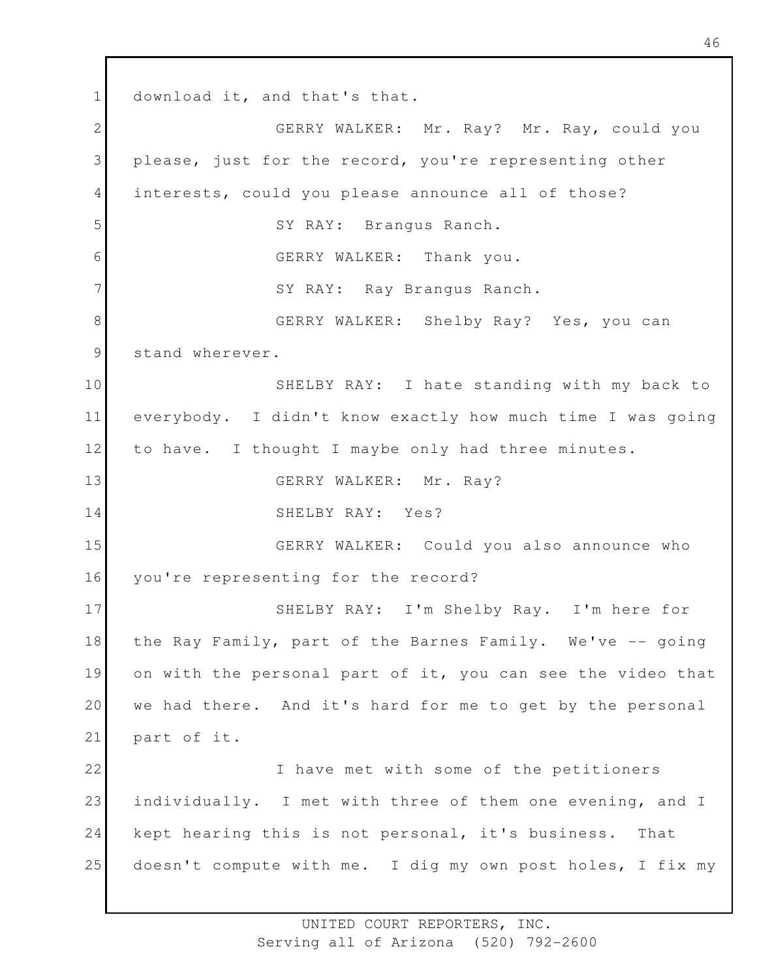1 2 3 4 5 6 7 8 9 10 11 12 13 14 15 16 17 18 19 20 21 22 23 24 25 download it, and that's that. GERRY WALKER: Mr. Ray? Mr. Ray, could you please, just for the record, you're representing other interests, could you please announce all of those? SY RAY: Brangus Ranch. GERRY WALKER: Thank you. SY RAY: Ray Brangus Ranch. GERRY WALKER: Shelby Ray? Yes, you can stand wherever. SHELBY RAY: I hate standing with my back to everybody. I didn't know exactly how much time I was going to have. I thought I maybe only had three minutes. GERRY WALKER: Mr. Ray? SHELBY RAY: Yes? GERRY WALKER: Could you also announce who you're representing for the record? SHELBY RAY: I'm Shelby Ray. I'm here for the Ray Family, part of the Barnes Family. We've -- going on with the personal part of it, you can see the video that we had there. And it's hard for me to get by the personal part of it. I have met with some of the petitioners individually. I met with three of them one evening, and I kept hearing this is not personal, it's business. That doesn't compute with me. I dig my own post holes, I fix my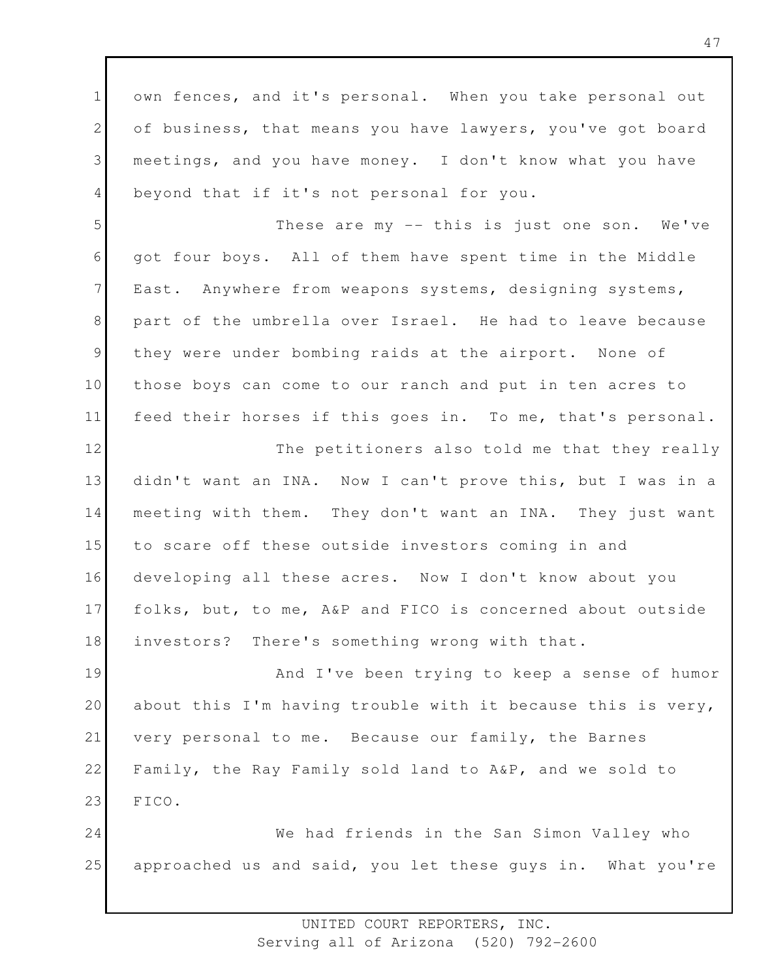1 2 3 4 own fences, and it's personal. When you take personal out of business, that means you have lawyers, you've got board meetings, and you have money. I don't know what you have beyond that if it's not personal for you.

5 6 7 8 9 10 11 These are my -- this is just one son. We've got four boys. All of them have spent time in the Middle East. Anywhere from weapons systems, designing systems, part of the umbrella over Israel. He had to leave because they were under bombing raids at the airport. None of those boys can come to our ranch and put in ten acres to feed their horses if this goes in. To me, that's personal.

12 13 14 15 16 17 18 The petitioners also told me that they really didn't want an INA. Now I can't prove this, but I was in a meeting with them. They don't want an INA. They just want to scare off these outside investors coming in and developing all these acres. Now I don't know about you folks, but, to me, A&P and FICO is concerned about outside investors? There's something wrong with that.

19 20 21 22 23 And I've been trying to keep a sense of humor about this I'm having trouble with it because this is very, very personal to me. Because our family, the Barnes Family, the Ray Family sold land to A&P, and we sold to FICO.

24 25 We had friends in the San Simon Valley who approached us and said, you let these guys in. What you're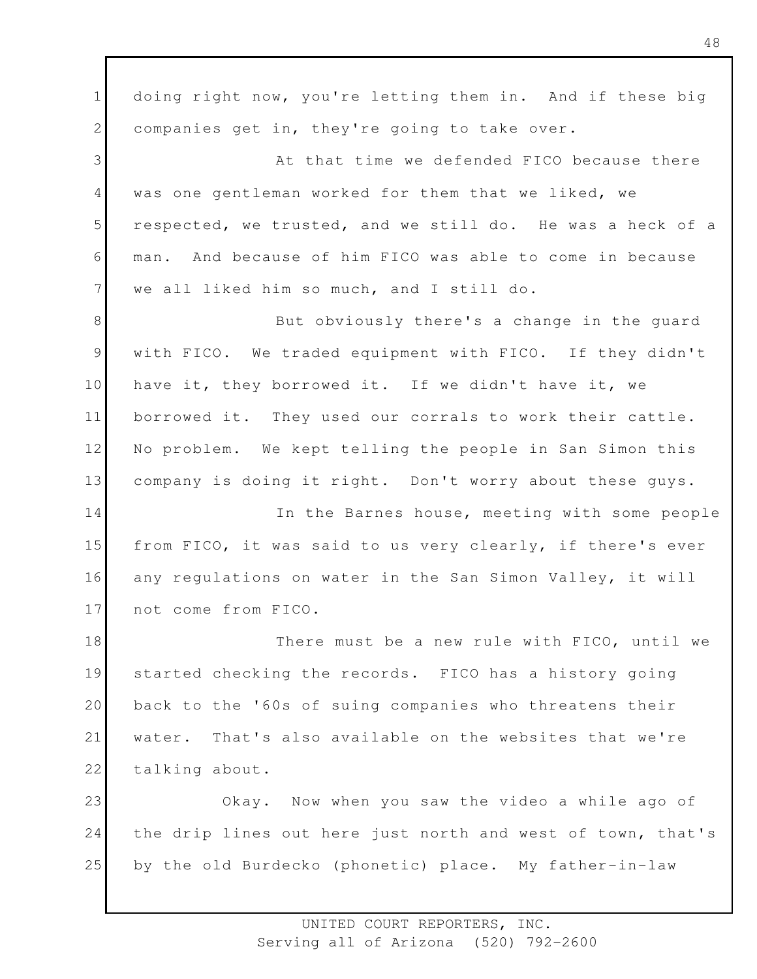1 2 3 4 5 6 7 8 9 10 11 12 13 14 15 16 17 18 19 20 21 22 23 24 25 doing right now, you're letting them in. And if these big companies get in, they're going to take over. At that time we defended FICO because there was one gentleman worked for them that we liked, we respected, we trusted, and we still do. He was a heck of a man. And because of him FICO was able to come in because we all liked him so much, and I still do. But obviously there's a change in the guard with FICO. We traded equipment with FICO. If they didn't have it, they borrowed it. If we didn't have it, we borrowed it. They used our corrals to work their cattle. No problem. We kept telling the people in San Simon this company is doing it right. Don't worry about these guys. In the Barnes house, meeting with some people from FICO, it was said to us very clearly, if there's ever any regulations on water in the San Simon Valley, it will not come from FICO. There must be a new rule with FICO, until we started checking the records. FICO has a history going back to the '60s of suing companies who threatens their water. That's also available on the websites that we're talking about. Okay. Now when you saw the video a while ago of the drip lines out here just north and west of town, that's by the old Burdecko (phonetic) place. My father-in-law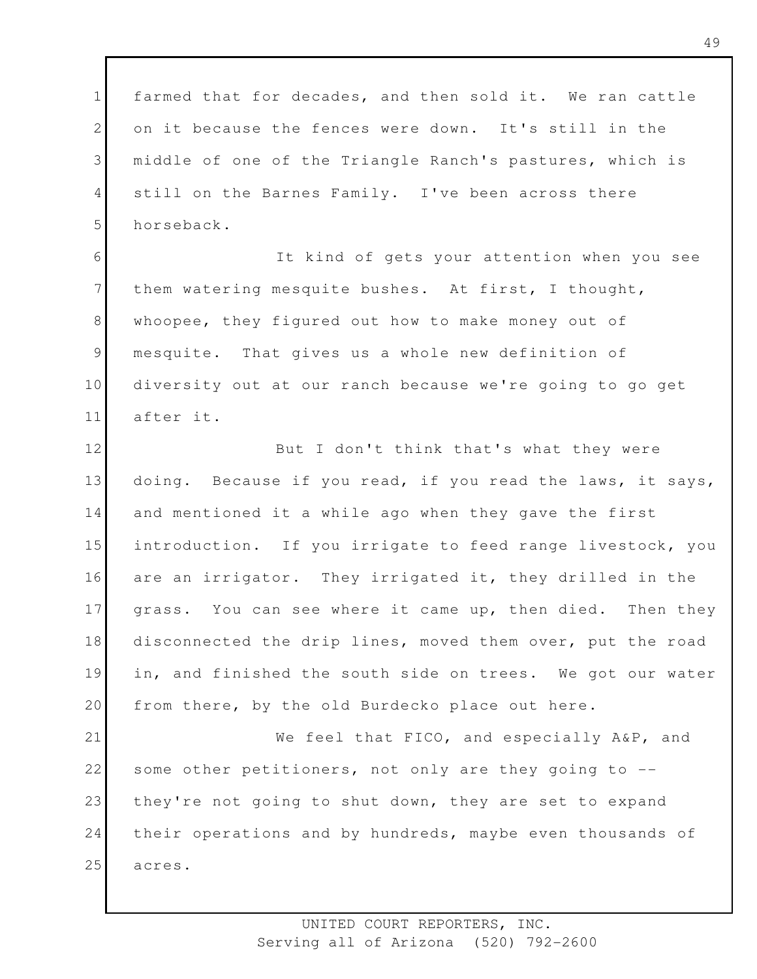1 2 3 4 5 farmed that for decades, and then sold it. We ran cattle on it because the fences were down. It's still in the middle of one of the Triangle Ranch's pastures, which is still on the Barnes Family. I've been across there horseback.

6 7 8 9 10 11 It kind of gets your attention when you see them watering mesquite bushes. At first, I thought, whoopee, they figured out how to make money out of mesquite. That gives us a whole new definition of diversity out at our ranch because we're going to go get after it.

12 13 14 15 16 17 18 19 20 But I don't think that's what they were doing. Because if you read, if you read the laws, it says, and mentioned it a while ago when they gave the first introduction. If you irrigate to feed range livestock, you are an irrigator. They irrigated it, they drilled in the grass. You can see where it came up, then died. Then they disconnected the drip lines, moved them over, put the road in, and finished the south side on trees. We got our water from there, by the old Burdecko place out here.

21 22 23 24 25 We feel that FICO, and especially A&P, and some other petitioners, not only are they going to -they're not going to shut down, they are set to expand their operations and by hundreds, maybe even thousands of acres.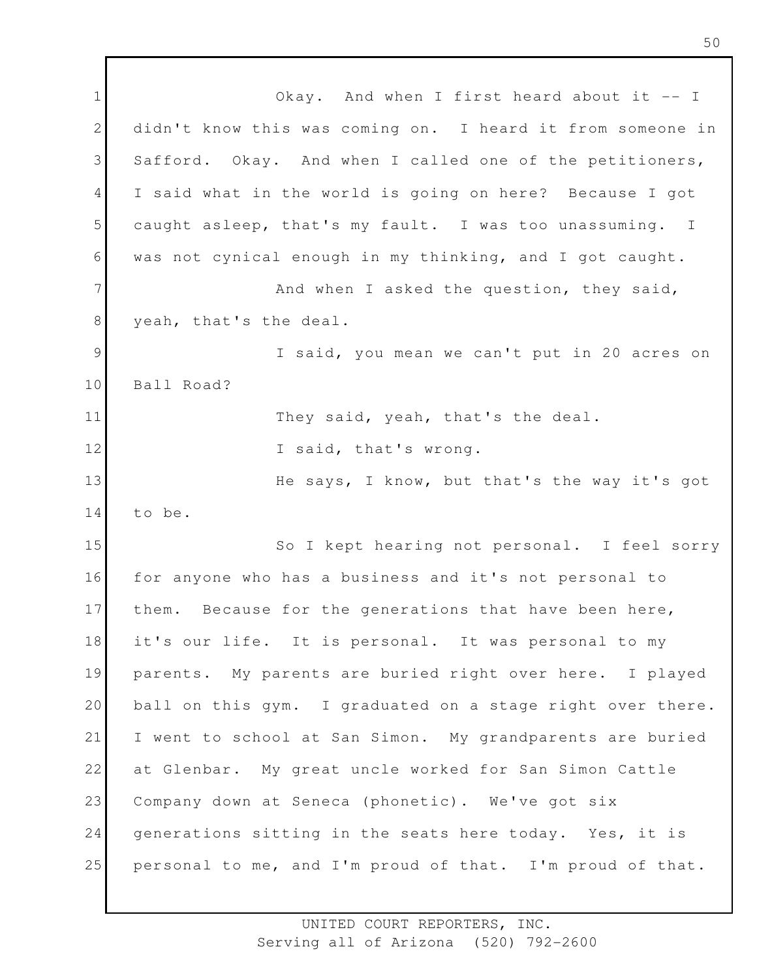1 2 3 4 5 6 7 8 9 10 11 12 13 14 15 16 17 18 19 20 21 22 23 24 25 Okay. And when I first heard about it -- I didn't know this was coming on. I heard it from someone in Safford. Okay. And when I called one of the petitioners, I said what in the world is going on here? Because I got caught asleep, that's my fault. I was too unassuming. I was not cynical enough in my thinking, and I got caught. And when I asked the question, they said, yeah, that's the deal. I said, you mean we can't put in 20 acres on Ball Road? They said, yeah, that's the deal. I said, that's wrong. He says, I know, but that's the way it's got to be. So I kept hearing not personal. I feel sorry for anyone who has a business and it's not personal to them. Because for the generations that have been here, it's our life. It is personal. It was personal to my parents. My parents are buried right over here. I played ball on this gym. I graduated on a stage right over there. I went to school at San Simon. My grandparents are buried at Glenbar. My great uncle worked for San Simon Cattle Company down at Seneca (phonetic). We've got six generations sitting in the seats here today. Yes, it is personal to me, and I'm proud of that. I'm proud of that.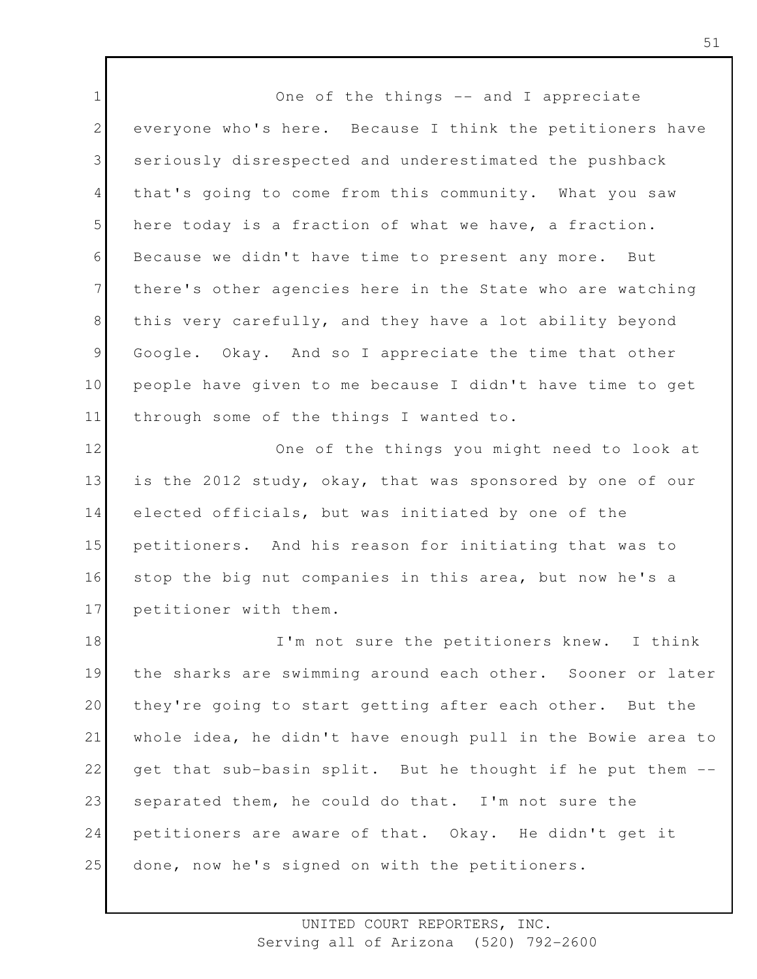1 2 3 4 5 6 7 8 9 10 11 One of the things -- and I appreciate everyone who's here. Because I think the petitioners have seriously disrespected and underestimated the pushback that's going to come from this community. What you saw here today is a fraction of what we have, a fraction. Because we didn't have time to present any more. But there's other agencies here in the State who are watching this very carefully, and they have a lot ability beyond Google. Okay. And so I appreciate the time that other people have given to me because I didn't have time to get through some of the things I wanted to.

12 13 14 15 16 17 One of the things you might need to look at is the 2012 study, okay, that was sponsored by one of our elected officials, but was initiated by one of the petitioners. And his reason for initiating that was to stop the big nut companies in this area, but now he's a petitioner with them.

18 19 20 21 22 23 24 25 I'm not sure the petitioners knew. I think the sharks are swimming around each other. Sooner or later they're going to start getting after each other. But the whole idea, he didn't have enough pull in the Bowie area to get that sub-basin split. But he thought if he put them - separated them, he could do that. I'm not sure the petitioners are aware of that. Okay. He didn't get it done, now he's signed on with the petitioners.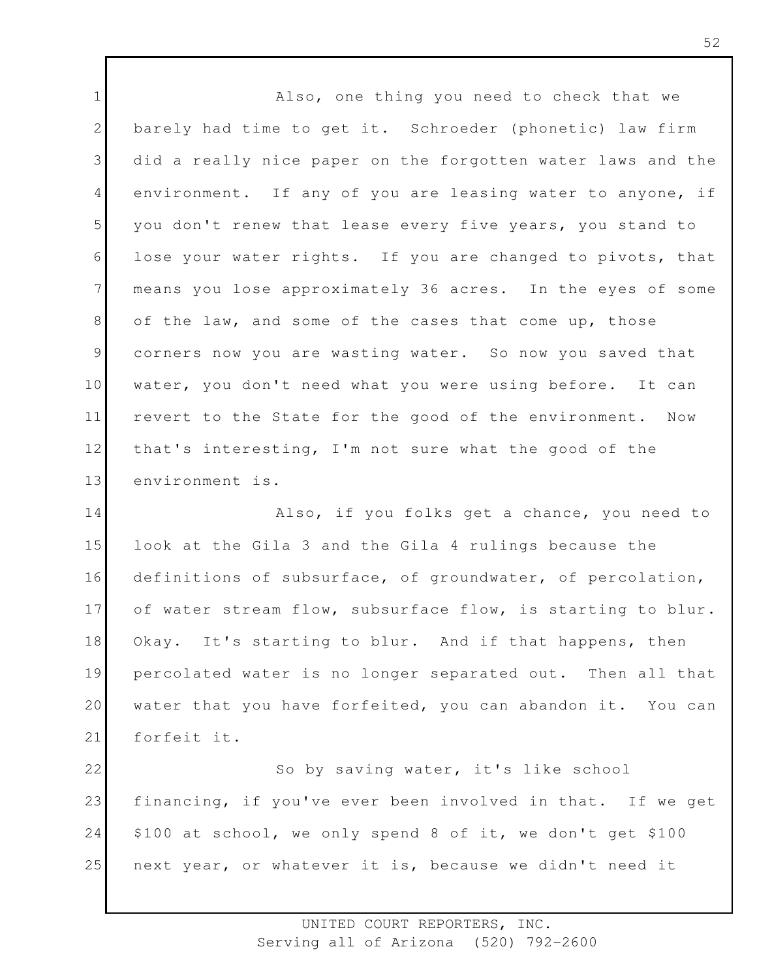1 2 3 4 5 6 7 8 9 10 11 12 13 14 15 16 17 18 19 20 21 22 23 Also, one thing you need to check that we barely had time to get it. Schroeder (phonetic) law firm did a really nice paper on the forgotten water laws and the environment. If any of you are leasing water to anyone, if you don't renew that lease every five years, you stand to lose your water rights. If you are changed to pivots, that means you lose approximately 36 acres. In the eyes of some of the law, and some of the cases that come up, those corners now you are wasting water. So now you saved that water, you don't need what you were using before. It can revert to the State for the good of the environment. Now that's interesting, I'm not sure what the good of the environment is. Also, if you folks get a chance, you need to look at the Gila 3 and the Gila 4 rulings because the definitions of subsurface, of groundwater, of percolation, of water stream flow, subsurface flow, is starting to blur. Okay. It's starting to blur. And if that happens, then percolated water is no longer separated out. Then all that water that you have forfeited, you can abandon it. You can forfeit it. So by saving water, it's like school financing, if you've ever been involved in that. If we get

24 \$100 at school, we only spend 8 of it, we don't get \$100

25 next year, or whatever it is, because we didn't need it

UNITED COURT REPORTERS, INC.

Serving all of Arizona (520) 792-2600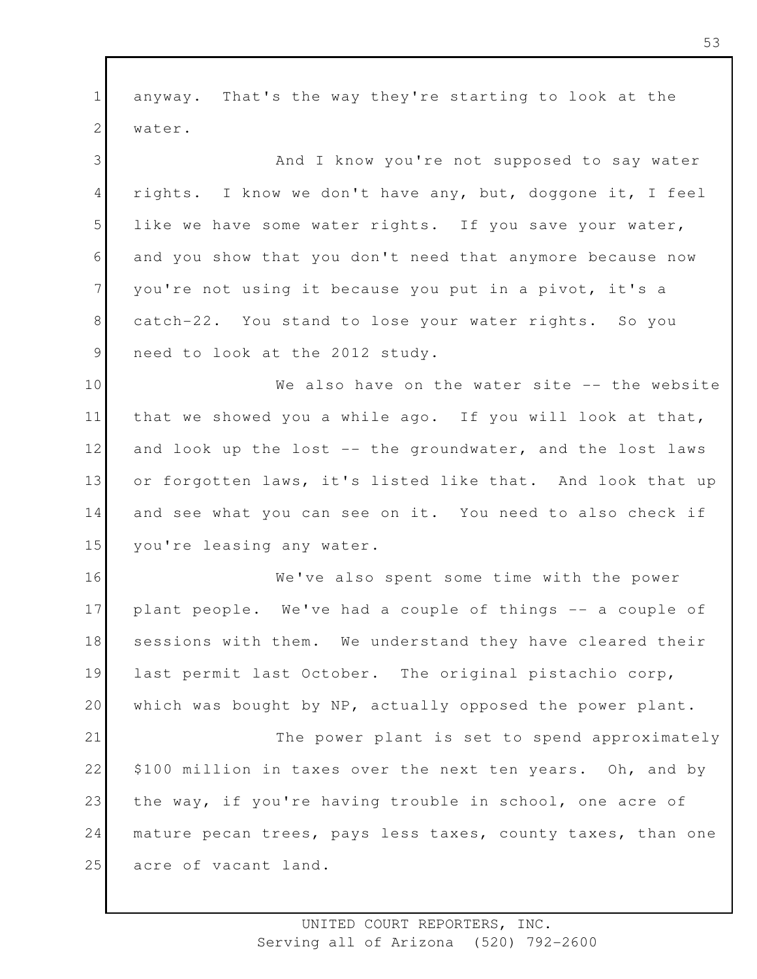1 2 3 4 5 6 7 8 9 10 11 12 13 14 15 16 17 18 19 20 21 22 23 24 25 anyway. That's the way they're starting to look at the water. And I know you're not supposed to say water rights. I know we don't have any, but, doggone it, I feel like we have some water rights. If you save your water, and you show that you don't need that anymore because now you're not using it because you put in a pivot, it's a catch-22. You stand to lose your water rights. So you need to look at the 2012 study. We also have on the water site -- the website that we showed you a while ago. If you will look at that, and look up the lost -- the groundwater, and the lost laws or forgotten laws, it's listed like that. And look that up and see what you can see on it. You need to also check if you're leasing any water. We've also spent some time with the power plant people. We've had a couple of things -- a couple of sessions with them. We understand they have cleared their last permit last October. The original pistachio corp, which was bought by NP, actually opposed the power plant. The power plant is set to spend approximately \$100 million in taxes over the next ten years. Oh, and by the way, if you're having trouble in school, one acre of mature pecan trees, pays less taxes, county taxes, than one acre of vacant land.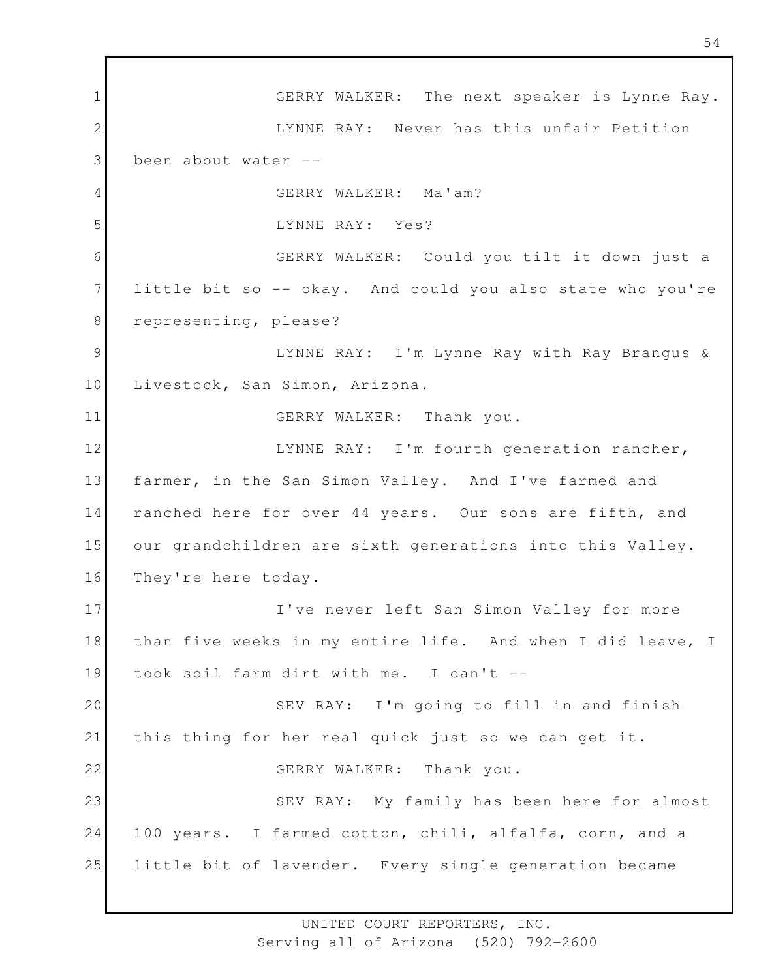1 2 3 4 5 6 7 8 9 10 11 12 13 14 15 16 17 18 19 20 21 22 23 24 25 GERRY WALKER: The next speaker is Lynne Ray. LYNNE RAY: Never has this unfair Petition been about water -- GERRY WALKER: Ma'am? LYNNE RAY: Yes? GERRY WALKER: Could you tilt it down just a little bit so -- okay. And could you also state who you're representing, please? LYNNE RAY: I'm Lynne Ray with Ray Brangus & Livestock, San Simon, Arizona. GERRY WALKER: Thank you. LYNNE RAY: I'm fourth generation rancher, farmer, in the San Simon Valley. And I've farmed and ranched here for over 44 years. Our sons are fifth, and our grandchildren are sixth generations into this Valley. They're here today. I've never left San Simon Valley for more than five weeks in my entire life. And when I did leave, I took soil farm dirt with me. I can't -- SEV RAY: I'm going to fill in and finish this thing for her real quick just so we can get it. GERRY WALKER: Thank you. SEV RAY: My family has been here for almost 100 years. I farmed cotton, chili, alfalfa, corn, and a little bit of lavender. Every single generation became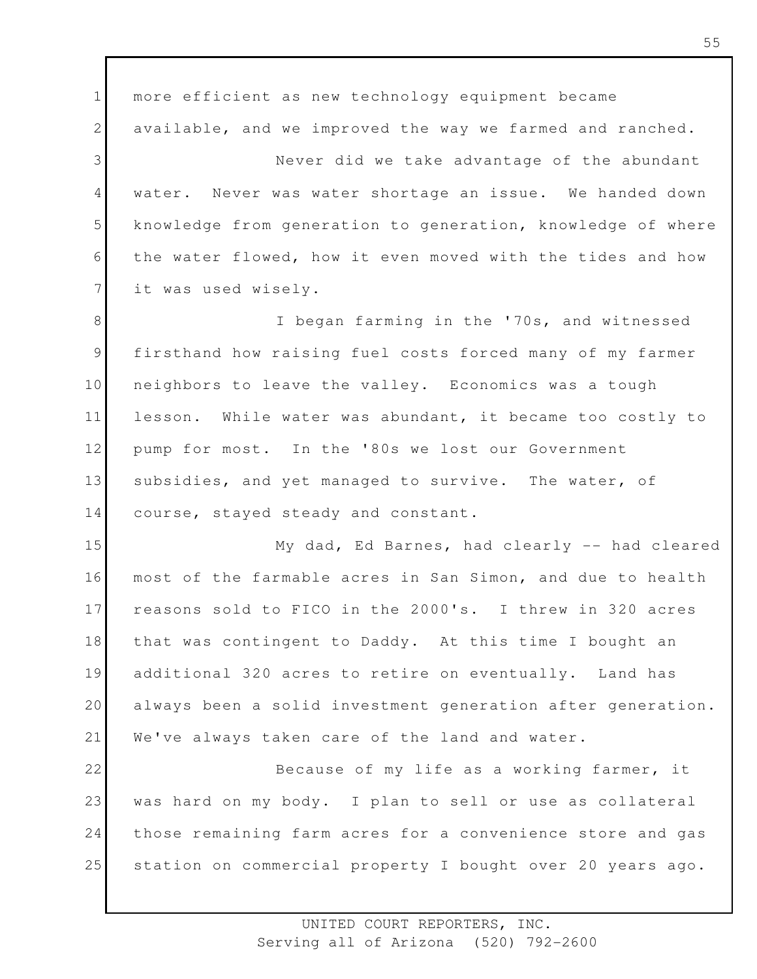1 2 3 4 5 6 7 8 9 10 11 12 13 14 15 16 17 18 19 20 21 22 23 24 25 more efficient as new technology equipment became available, and we improved the way we farmed and ranched. Never did we take advantage of the abundant water. Never was water shortage an issue. We handed down knowledge from generation to generation, knowledge of where the water flowed, how it even moved with the tides and how it was used wisely. I began farming in the '70s, and witnessed firsthand how raising fuel costs forced many of my farmer neighbors to leave the valley. Economics was a tough lesson. While water was abundant, it became too costly to pump for most. In the '80s we lost our Government subsidies, and yet managed to survive. The water, of course, stayed steady and constant. My dad, Ed Barnes, had clearly -- had cleared most of the farmable acres in San Simon, and due to health reasons sold to FICO in the 2000's. I threw in 320 acres that was contingent to Daddy. At this time I bought an additional 320 acres to retire on eventually. Land has always been a solid investment generation after generation. We've always taken care of the land and water. Because of my life as a working farmer, it was hard on my body. I plan to sell or use as collateral those remaining farm acres for a convenience store and gas station on commercial property I bought over 20 years ago.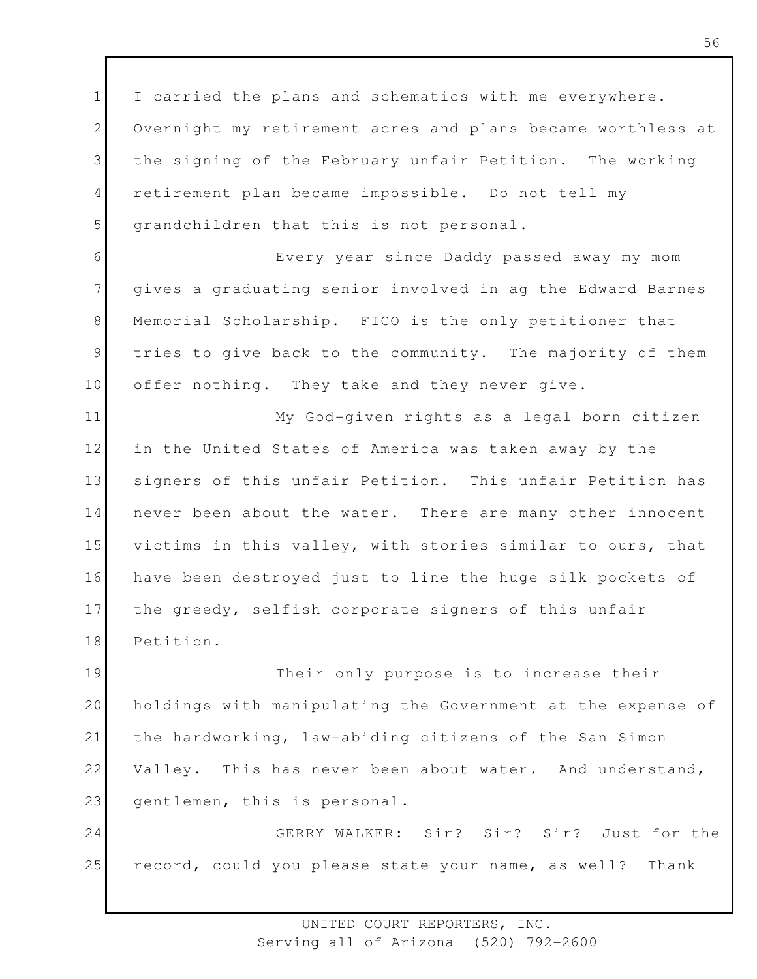1 2 3 4 5 I carried the plans and schematics with me everywhere. Overnight my retirement acres and plans became worthless at the signing of the February unfair Petition. The working retirement plan became impossible. Do not tell my grandchildren that this is not personal.

6 7 8 9 10 Every year since Daddy passed away my mom gives a graduating senior involved in ag the Edward Barnes Memorial Scholarship. FICO is the only petitioner that tries to give back to the community. The majority of them offer nothing. They take and they never give.

11 12 13 14 15 16 17 18 My God-given rights as a legal born citizen in the United States of America was taken away by the signers of this unfair Petition. This unfair Petition has never been about the water. There are many other innocent victims in this valley, with stories similar to ours, that have been destroyed just to line the huge silk pockets of the greedy, selfish corporate signers of this unfair Petition.

19 20 21 22 23 Their only purpose is to increase their holdings with manipulating the Government at the expense of the hardworking, law-abiding citizens of the San Simon Valley. This has never been about water. And understand, gentlemen, this is personal.

24 25 GERRY WALKER: Sir? Sir? Sir? Just for the record, could you please state your name, as well? Thank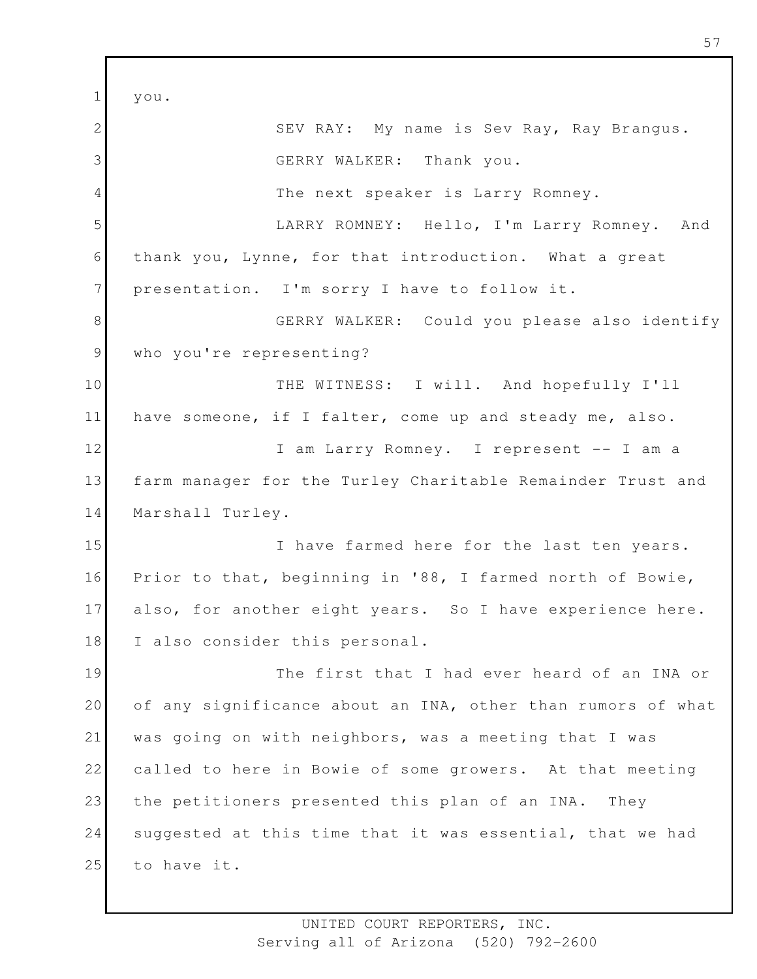$1<sup>1</sup>$  $V$  O  $11$ 

| ᅩ               | yvu.                                                        |
|-----------------|-------------------------------------------------------------|
| $\mathbf{2}$    | SEV RAY: My name is Sev Ray, Ray Brangus.                   |
| 3               | GERRY WALKER: Thank you.                                    |
| $\overline{4}$  | The next speaker is Larry Romney.                           |
| 5               | LARRY ROMNEY: Hello, I'm Larry Romney. And                  |
| 6               | thank you, Lynne, for that introduction. What a great       |
| $7\phantom{.0}$ | presentation. I'm sorry I have to follow it.                |
| 8               | GERRY WALKER: Could you please also identify                |
| $\mathcal{G}$   | who you're representing?                                    |
| 10              | THE WITNESS: I will. And hopefully I'll                     |
| 11              | have someone, if I falter, come up and steady me, also.     |
| 12              | I am Larry Romney. I represent -- I am a                    |
| 13              | farm manager for the Turley Charitable Remainder Trust and  |
| 14              | Marshall Turley.                                            |
| 15              | I have farmed here for the last ten years.                  |
| 16              | Prior to that, beginning in '88, I farmed north of Bowie,   |
| 17              | also, for another eight years. So I have experience here.   |
| 18              | I also consider this personal.                              |
| 19              | The first that I had ever heard of an INA or                |
| 20              | of any significance about an INA, other than rumors of what |
| 21              | was going on with neighbors, was a meeting that I was       |
| 22              | called to here in Bowie of some growers. At that meeting    |
| 23              | the petitioners presented this plan of an INA.<br>They      |
| 24              | suggested at this time that it was essential, that we had   |
| 25              | to have it.                                                 |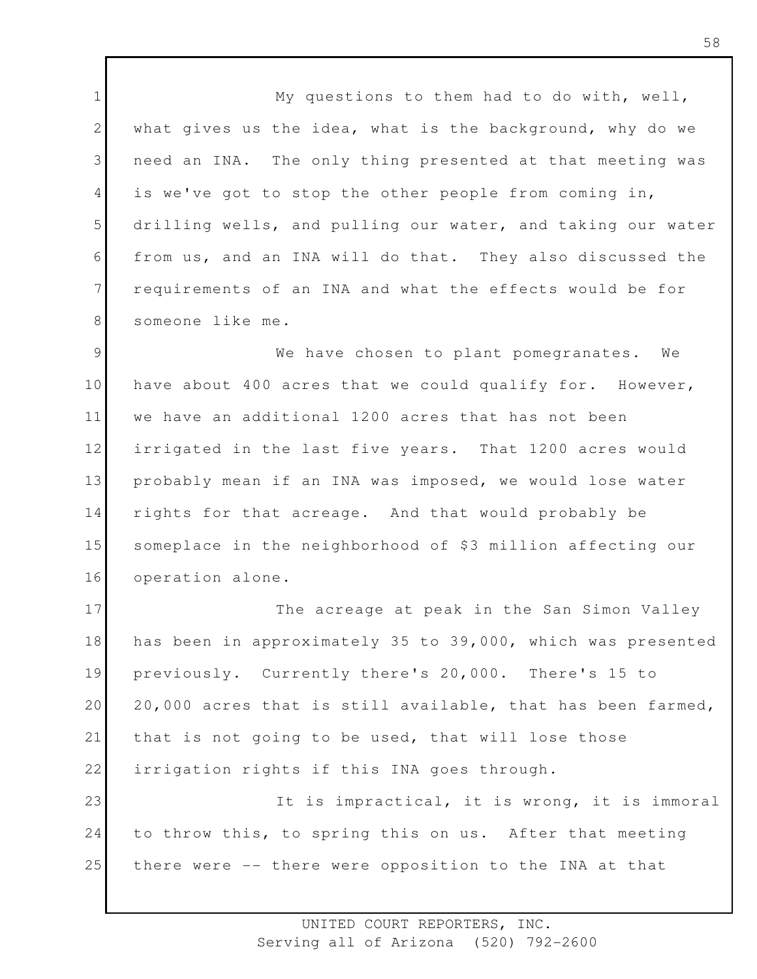1 2 3 4 5 6 7 8 My questions to them had to do with, well, what gives us the idea, what is the background, why do we need an INA. The only thing presented at that meeting was is we've got to stop the other people from coming in, drilling wells, and pulling our water, and taking our water from us, and an INA will do that. They also discussed the requirements of an INA and what the effects would be for someone like me.

9 10 11 12 13 14 15 16 We have chosen to plant pomegranates. We have about 400 acres that we could qualify for. However, we have an additional 1200 acres that has not been irrigated in the last five years. That 1200 acres would probably mean if an INA was imposed, we would lose water rights for that acreage. And that would probably be someplace in the neighborhood of \$3 million affecting our operation alone.

17 18 19 20 21 22 23 24 The acreage at peak in the San Simon Valley has been in approximately 35 to 39,000, which was presented previously. Currently there's 20,000. There's 15 to 20,000 acres that is still available, that has been farmed, that is not going to be used, that will lose those irrigation rights if this INA goes through. It is impractical, it is wrong, it is immoral to throw this, to spring this on us. After that meeting

25 there were -- there were opposition to the INA at that

> UNITED COURT REPORTERS, INC. Serving all of Arizona (520) 792-2600

58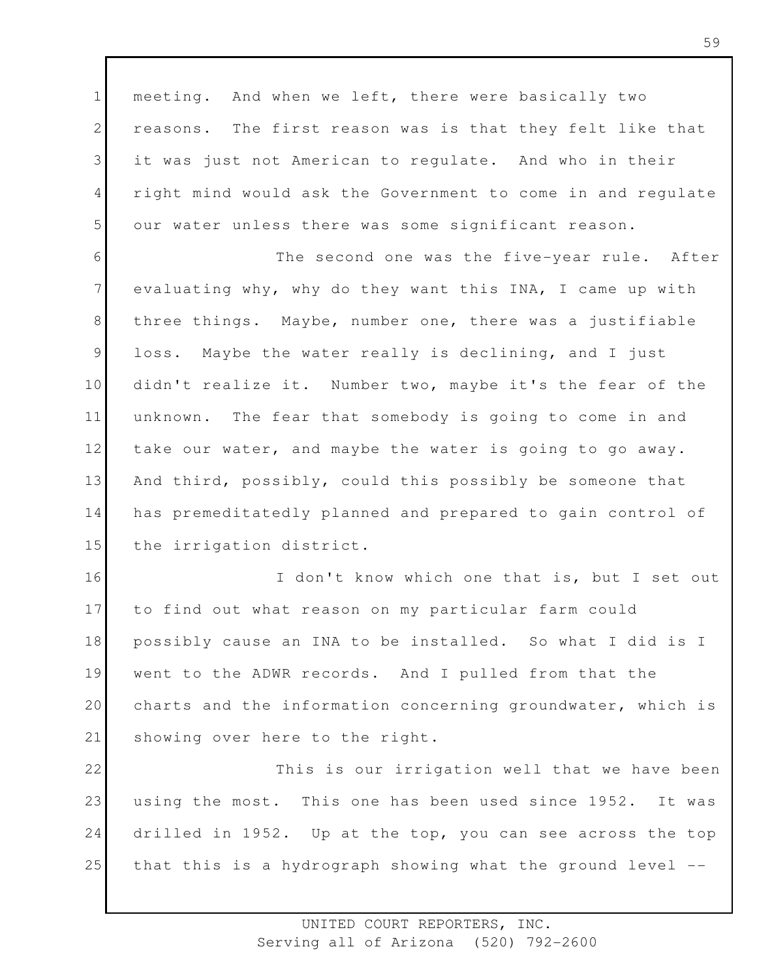1 2 3 4 5 meeting. And when we left, there were basically two reasons. The first reason was is that they felt like that it was just not American to regulate. And who in their right mind would ask the Government to come in and regulate our water unless there was some significant reason.

6 7 8 9 10 11 12 13 14 15 The second one was the five-year rule. After evaluating why, why do they want this INA, I came up with three things. Maybe, number one, there was a justifiable loss. Maybe the water really is declining, and I just didn't realize it. Number two, maybe it's the fear of the unknown. The fear that somebody is going to come in and take our water, and maybe the water is going to go away. And third, possibly, could this possibly be someone that has premeditatedly planned and prepared to gain control of the irrigation district.

16 17 18 19 20 21 I don't know which one that is, but I set out to find out what reason on my particular farm could possibly cause an INA to be installed. So what I did is I went to the ADWR records. And I pulled from that the charts and the information concerning groundwater, which is showing over here to the right.

22 23 24 25 This is our irrigation well that we have been using the most. This one has been used since 1952. It was drilled in 1952. Up at the top, you can see across the top that this is a hydrograph showing what the ground level --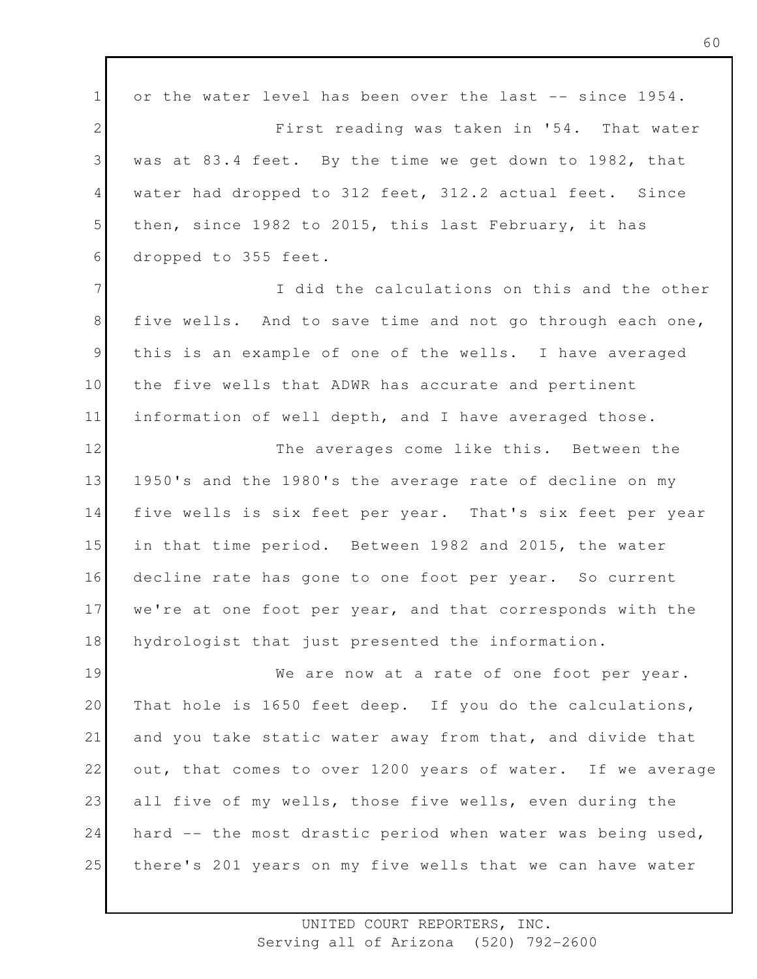1 2 3 4 5 6 7 8 9 10 11 12 13 14 15 16 17 18 19 20 21 22 23 24 25 or the water level has been over the last -- since 1954. First reading was taken in '54. That water was at 83.4 feet. By the time we get down to 1982, that water had dropped to 312 feet, 312.2 actual feet. Since then, since 1982 to 2015, this last February, it has dropped to 355 feet. I did the calculations on this and the other five wells. And to save time and not go through each one, this is an example of one of the wells. I have averaged the five wells that ADWR has accurate and pertinent information of well depth, and I have averaged those. The averages come like this. Between the 1950's and the 1980's the average rate of decline on my five wells is six feet per year. That's six feet per year in that time period. Between 1982 and 2015, the water decline rate has gone to one foot per year. So current we're at one foot per year, and that corresponds with the hydrologist that just presented the information. We are now at a rate of one foot per year. That hole is 1650 feet deep. If you do the calculations, and you take static water away from that, and divide that out, that comes to over 1200 years of water. If we average all five of my wells, those five wells, even during the hard -- the most drastic period when water was being used, there's 201 years on my five wells that we can have water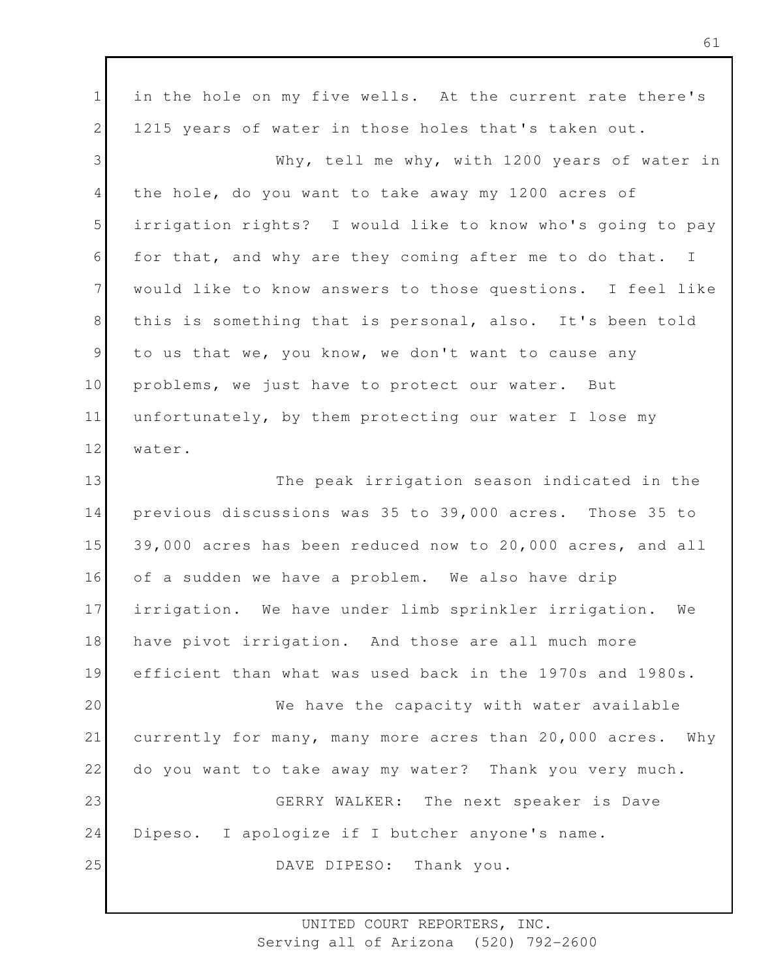1 2 3 4 5 6 7 8 9 10 11 12 13 14 15 16 17 18 19 20 21 22 23 24 25 in the hole on my five wells. At the current rate there's 1215 years of water in those holes that's taken out. Why, tell me why, with 1200 years of water in the hole, do you want to take away my 1200 acres of irrigation rights? I would like to know who's going to pay for that, and why are they coming after me to do that. I would like to know answers to those questions. I feel like this is something that is personal, also. It's been told to us that we, you know, we don't want to cause any problems, we just have to protect our water. But unfortunately, by them protecting our water I lose my water. The peak irrigation season indicated in the previous discussions was 35 to 39,000 acres. Those 35 to 39,000 acres has been reduced now to 20,000 acres, and all of a sudden we have a problem. We also have drip irrigation. We have under limb sprinkler irrigation. We have pivot irrigation. And those are all much more efficient than what was used back in the 1970s and 1980s. We have the capacity with water available currently for many, many more acres than 20,000 acres. Why do you want to take away my water? Thank you very much. GERRY WALKER: The next speaker is Dave Dipeso. I apologize if I butcher anyone's name. DAVE DIPESO: Thank you.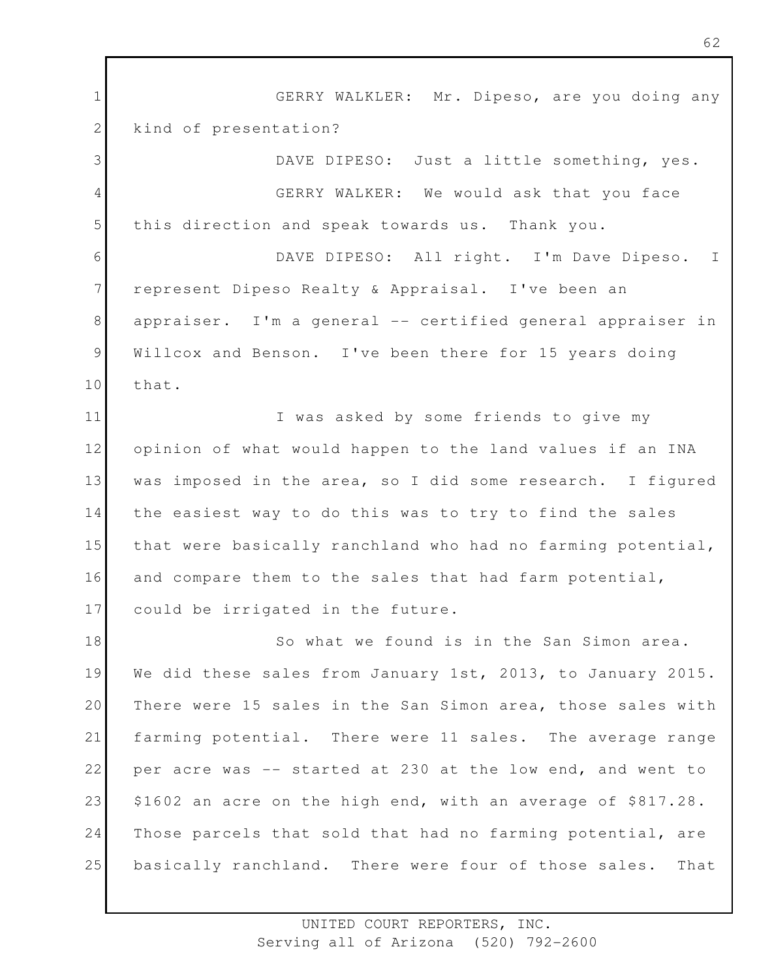1 2 3 4 5 6 7 8 9 10 11 12 13 14 15 16 17 18 19 20 21 22 23 24 25 GERRY WALKLER: Mr. Dipeso, are you doing any kind of presentation? DAVE DIPESO: Just a little something, yes. GERRY WALKER: We would ask that you face this direction and speak towards us. Thank you. DAVE DIPESO: All right. I'm Dave Dipeso. I represent Dipeso Realty & Appraisal. I've been an appraiser. I'm a general -- certified general appraiser in Willcox and Benson. I've been there for 15 years doing that. I was asked by some friends to give my opinion of what would happen to the land values if an INA was imposed in the area, so I did some research. I figured the easiest way to do this was to try to find the sales that were basically ranchland who had no farming potential, and compare them to the sales that had farm potential, could be irrigated in the future. So what we found is in the San Simon area. We did these sales from January 1st, 2013, to January 2015. There were 15 sales in the San Simon area, those sales with farming potential. There were 11 sales. The average range per acre was -- started at 230 at the low end, and went to \$1602 an acre on the high end, with an average of \$817.28. Those parcels that sold that had no farming potential, are basically ranchland. There were four of those sales. That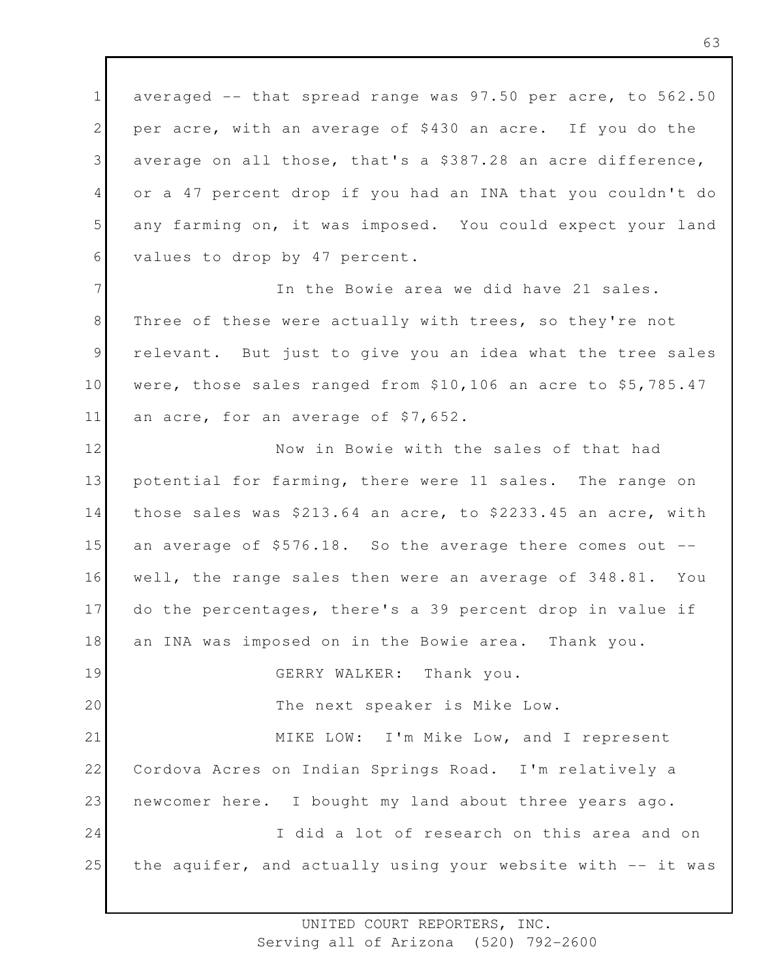1 2 3 4 5 6 averaged -- that spread range was 97.50 per acre, to 562.50 per acre, with an average of \$430 an acre. If you do the average on all those, that's a \$387.28 an acre difference, or a 47 percent drop if you had an INA that you couldn't do any farming on, it was imposed. You could expect your land values to drop by 47 percent.

7 8 9 10 11 In the Bowie area we did have 21 sales. Three of these were actually with trees, so they're not relevant. But just to give you an idea what the tree sales were, those sales ranged from \$10,106 an acre to \$5,785.47 an acre, for an average of \$7,652.

12 13 14 15 16 17 18 19 20 21 Now in Bowie with the sales of that had potential for farming, there were 11 sales. The range on those sales was \$213.64 an acre, to \$2233.45 an acre, with an average of  $$576.18$ . So the average there comes out  $-$ well, the range sales then were an average of 348.81. You do the percentages, there's a 39 percent drop in value if an INA was imposed on in the Bowie area. Thank you. GERRY WALKER: Thank you. The next speaker is Mike Low. MIKE LOW: I'm Mike Low, and I represent

22 23 24 25 Cordova Acres on Indian Springs Road. I'm relatively a newcomer here. I bought my land about three years ago. I did a lot of research on this area and on the aquifer, and actually using your website with -- it was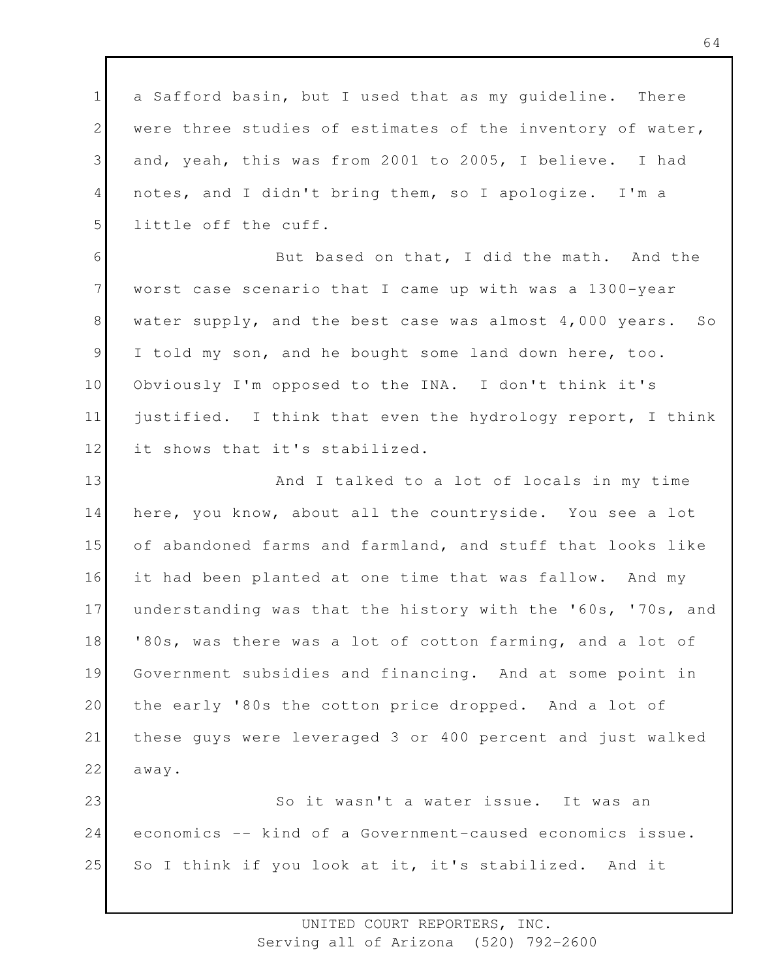1 2 3 4 5 a Safford basin, but I used that as my guideline. There were three studies of estimates of the inventory of water, and, yeah, this was from 2001 to 2005, I believe. I had notes, and I didn't bring them, so I apologize. I'm a little off the cuff.

6 7 8 9 10 11 12 But based on that, I did the math. And the worst case scenario that I came up with was a 1300-year water supply, and the best case was almost 4,000 years. So I told my son, and he bought some land down here, too. Obviously I'm opposed to the INA. I don't think it's justified. I think that even the hydrology report, I think it shows that it's stabilized.

13 14 15 16 17 18 19 20 21 22 And I talked to a lot of locals in my time here, you know, about all the countryside. You see a lot of abandoned farms and farmland, and stuff that looks like it had been planted at one time that was fallow. And my understanding was that the history with the '60s, '70s, and '80s, was there was a lot of cotton farming, and a lot of Government subsidies and financing. And at some point in the early '80s the cotton price dropped. And a lot of these guys were leveraged 3 or 400 percent and just walked away.

23 24 25 So it wasn't a water issue. It was an economics -- kind of a Government-caused economics issue. So I think if you look at it, it's stabilized. And it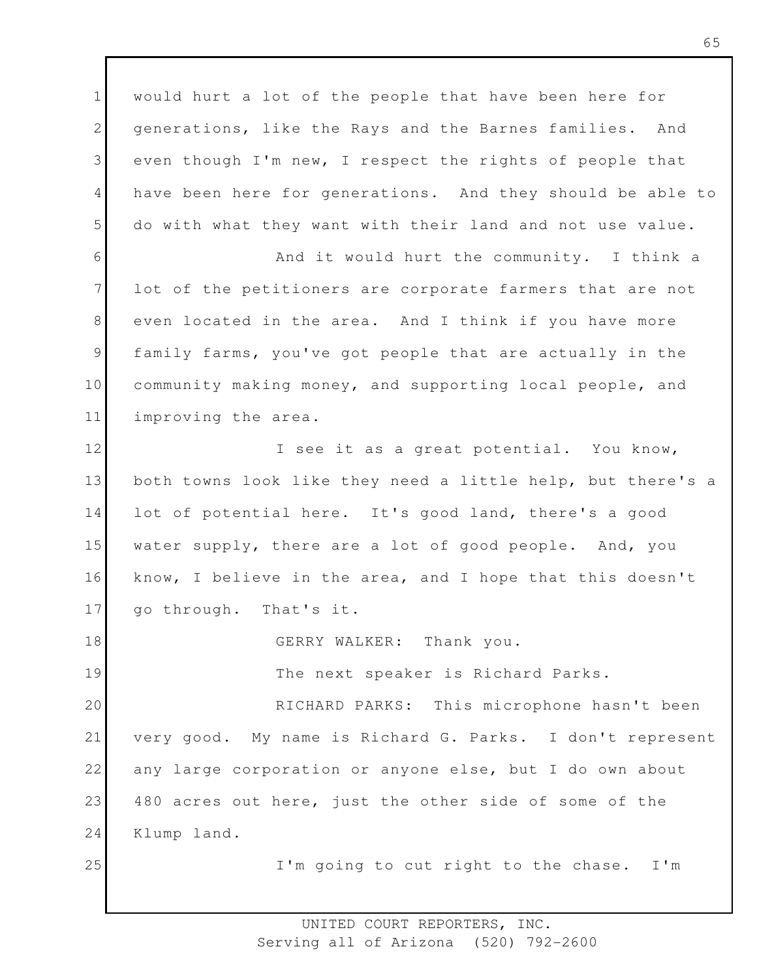1 2 3 4 5 6 7 8 9 10 11 12 13 14 15 16 17 18 19 20 21 22 23 24 25 would hurt a lot of the people that have been here for generations, like the Rays and the Barnes families. And even though I'm new, I respect the rights of people that have been here for generations. And they should be able to do with what they want with their land and not use value. And it would hurt the community. I think a lot of the petitioners are corporate farmers that are not even located in the area. And I think if you have more family farms, you've got people that are actually in the community making money, and supporting local people, and improving the area. I see it as a great potential. You know, both towns look like they need a little help, but there's a lot of potential here. It's good land, there's a good water supply, there are a lot of good people. And, you know, I believe in the area, and I hope that this doesn't go through. That's it. GERRY WALKER: Thank you. The next speaker is Richard Parks. RICHARD PARKS: This microphone hasn't been very good. My name is Richard G. Parks. I don't represent any large corporation or anyone else, but I do own about 480 acres out here, just the other side of some of the Klump land. I'm going to cut right to the chase. I'm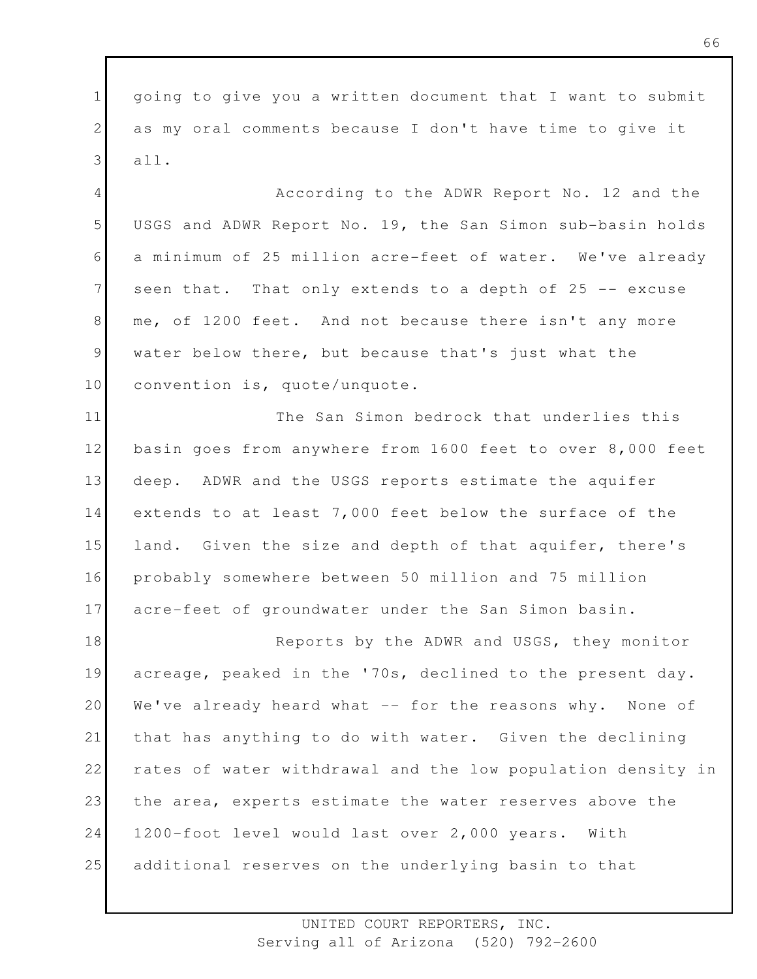1 2 3 going to give you a written document that I want to submit as my oral comments because I don't have time to give it all.

4 5 6 7 8 9 10 According to the ADWR Report No. 12 and the USGS and ADWR Report No. 19, the San Simon sub-basin holds a minimum of 25 million acre-feet of water. We've already seen that. That only extends to a depth of 25 -- excuse me, of 1200 feet. And not because there isn't any more water below there, but because that's just what the convention is, quote/unquote.

11 12 13 14 15 16 17 The San Simon bedrock that underlies this basin goes from anywhere from 1600 feet to over 8,000 feet deep. ADWR and the USGS reports estimate the aquifer extends to at least 7,000 feet below the surface of the land. Given the size and depth of that aquifer, there's probably somewhere between 50 million and 75 million acre-feet of groundwater under the San Simon basin.

18 19 20 21 22 23 24 25 Reports by the ADWR and USGS, they monitor acreage, peaked in the '70s, declined to the present day. We've already heard what -- for the reasons why. None of that has anything to do with water. Given the declining rates of water withdrawal and the low population density in the area, experts estimate the water reserves above the 1200-foot level would last over 2,000 years. With additional reserves on the underlying basin to that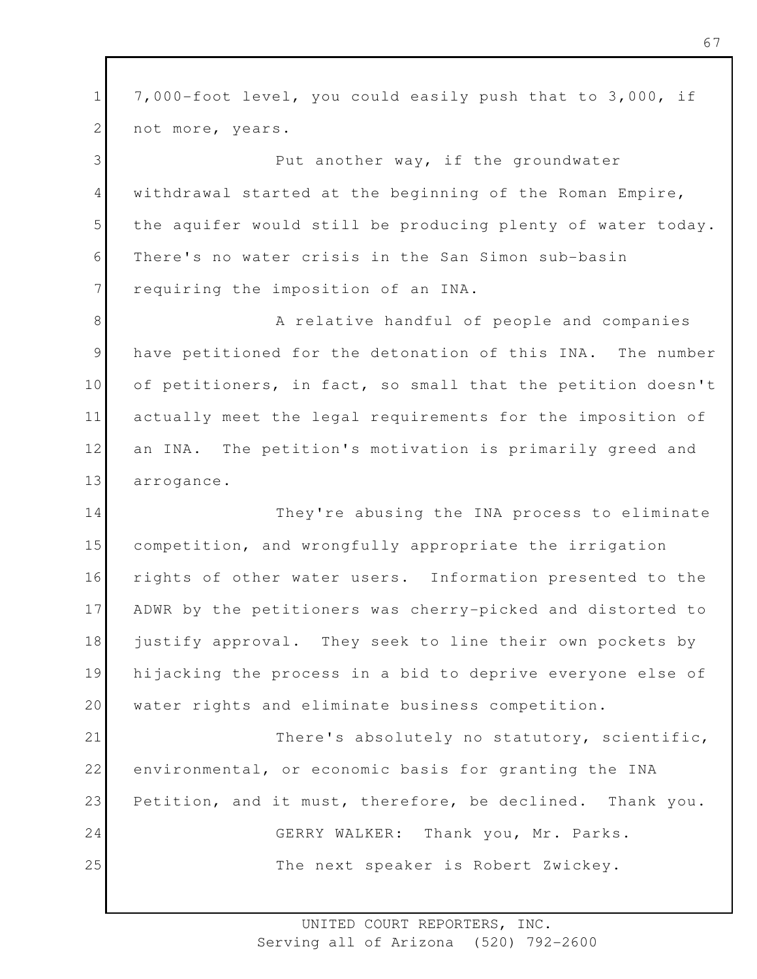1 2 7,000-foot level, you could easily push that to 3,000, if not more, years.

3 4 5 6 7 Put another way, if the groundwater withdrawal started at the beginning of the Roman Empire, the aquifer would still be producing plenty of water today. There's no water crisis in the San Simon sub-basin requiring the imposition of an INA.

8 9 10 11 12 13 A relative handful of people and companies have petitioned for the detonation of this INA. The number of petitioners, in fact, so small that the petition doesn't actually meet the legal requirements for the imposition of an INA. The petition's motivation is primarily greed and arrogance.

14 15 16 17 18 19 20 They're abusing the INA process to eliminate competition, and wrongfully appropriate the irrigation rights of other water users. Information presented to the ADWR by the petitioners was cherry-picked and distorted to justify approval. They seek to line their own pockets by hijacking the process in a bid to deprive everyone else of water rights and eliminate business competition.

21 22 23 24 25 There's absolutely no statutory, scientific, environmental, or economic basis for granting the INA Petition, and it must, therefore, be declined. Thank you. GERRY WALKER: Thank you, Mr. Parks. The next speaker is Robert Zwickey.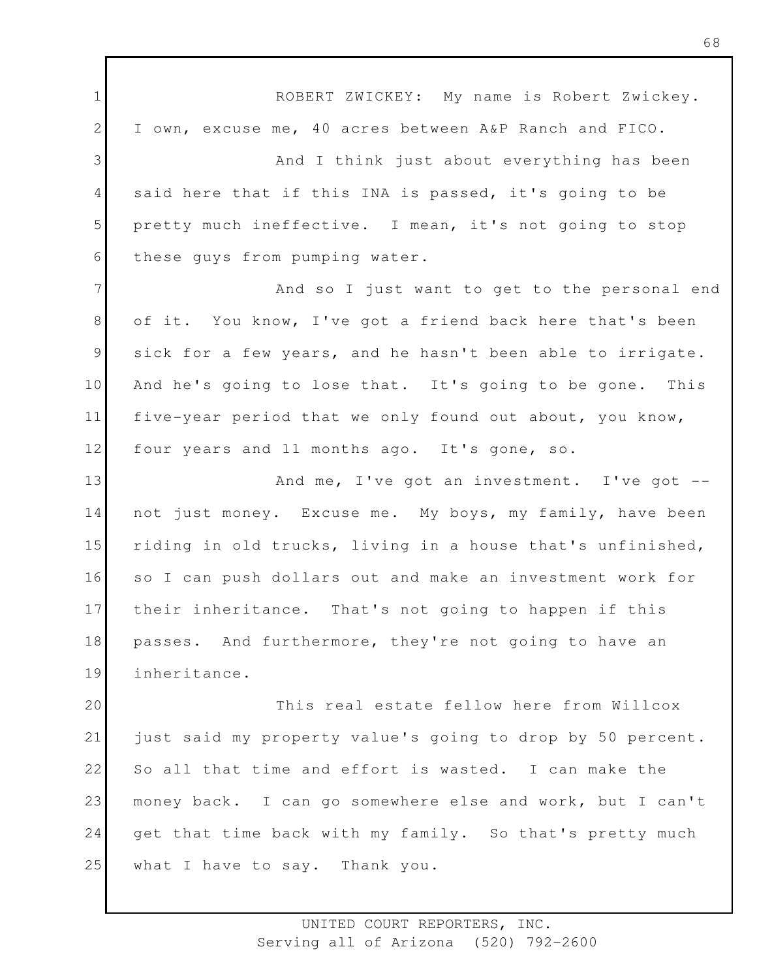1 2 3 4 5 6 7 8 9 10 11 12 13 14 15 16 17 18 19 20 21 22 23 24 25 ROBERT ZWICKEY: My name is Robert Zwickey. I own, excuse me, 40 acres between A&P Ranch and FICO. And I think just about everything has been said here that if this INA is passed, it's going to be pretty much ineffective. I mean, it's not going to stop these guys from pumping water. And so I just want to get to the personal end of it. You know, I've got a friend back here that's been sick for a few years, and he hasn't been able to irrigate. And he's going to lose that. It's going to be gone. This five-year period that we only found out about, you know, four years and 11 months ago. It's gone, so. And me, I've got an investment. I've got - not just money. Excuse me. My boys, my family, have been riding in old trucks, living in a house that's unfinished, so I can push dollars out and make an investment work for their inheritance. That's not going to happen if this passes. And furthermore, they're not going to have an inheritance. This real estate fellow here from Willcox just said my property value's going to drop by 50 percent. So all that time and effort is wasted. I can make the money back. I can go somewhere else and work, but I can't get that time back with my family. So that's pretty much what I have to say. Thank you.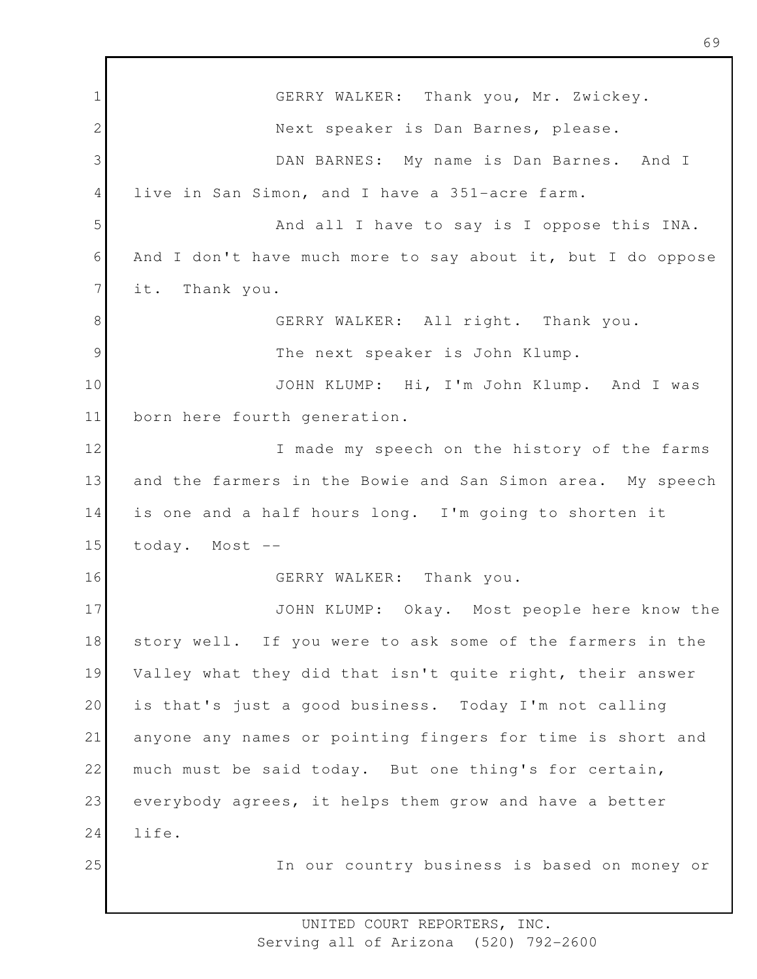1 2 3 4 5 6 7 8 9 10 11 12 13 14 15 16 17 18 19 20 21 22 23 24 25 GERRY WALKER: Thank you, Mr. Zwickey. Next speaker is Dan Barnes, please. DAN BARNES: My name is Dan Barnes. And I live in San Simon, and I have a 351-acre farm. And all I have to say is I oppose this INA. And I don't have much more to say about it, but I do oppose it. Thank you. GERRY WALKER: All right. Thank you. The next speaker is John Klump. JOHN KLUMP: Hi, I'm John Klump. And I was born here fourth generation. I made my speech on the history of the farms and the farmers in the Bowie and San Simon area. My speech is one and a half hours long. I'm going to shorten it today. Most -- GERRY WALKER: Thank you. JOHN KLUMP: Okay. Most people here know the story well. If you were to ask some of the farmers in the Valley what they did that isn't quite right, their answer is that's just a good business. Today I'm not calling anyone any names or pointing fingers for time is short and much must be said today. But one thing's for certain, everybody agrees, it helps them grow and have a better life. In our country business is based on money or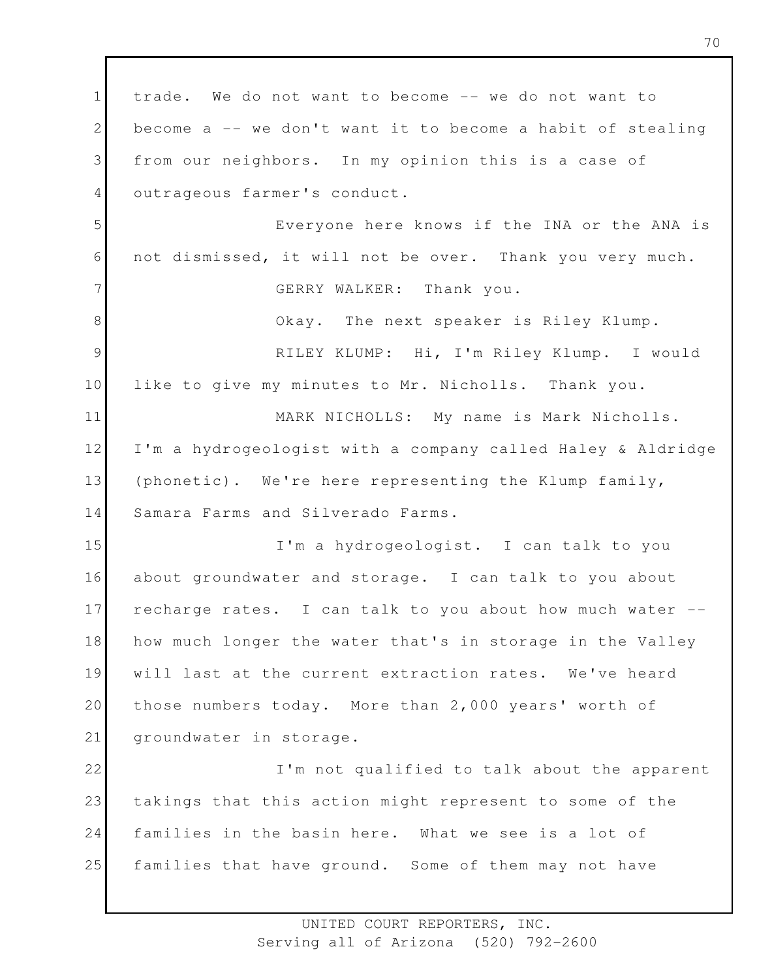1 2 3 4 5 6 7 8 9 10 11 12 13 14 15 16 17 18 19 20 21 22 23 24 25 trade. We do not want to become -- we do not want to become a -- we don't want it to become a habit of stealing from our neighbors. In my opinion this is a case of outrageous farmer's conduct. Everyone here knows if the INA or the ANA is not dismissed, it will not be over. Thank you very much. GERRY WALKER: Thank you. Okay. The next speaker is Riley Klump. RILEY KLUMP: Hi, I'm Riley Klump. I would like to give my minutes to Mr. Nicholls. Thank you. MARK NICHOLLS: My name is Mark Nicholls. I'm a hydrogeologist with a company called Haley & Aldridge (phonetic). We're here representing the Klump family, Samara Farms and Silverado Farms. I'm a hydrogeologist. I can talk to you about groundwater and storage. I can talk to you about recharge rates. I can talk to you about how much water - how much longer the water that's in storage in the Valley will last at the current extraction rates. We've heard those numbers today. More than 2,000 years' worth of groundwater in storage. I'm not qualified to talk about the apparent takings that this action might represent to some of the families in the basin here. What we see is a lot of families that have ground. Some of them may not have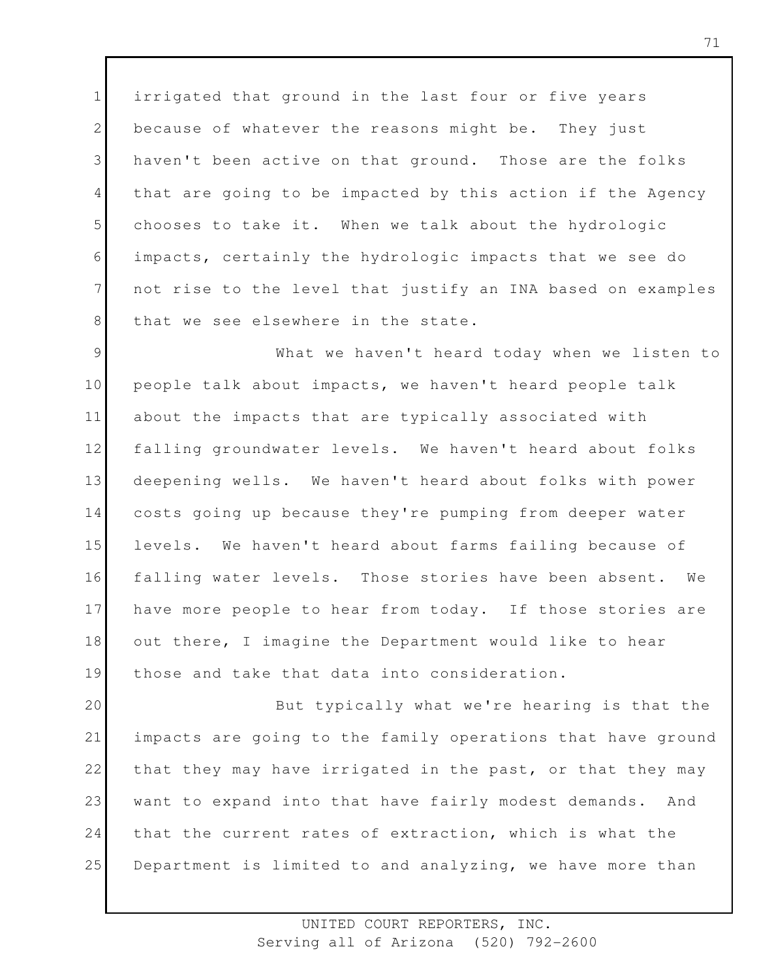1 2 3 4 5 6 7 8 irrigated that ground in the last four or five years because of whatever the reasons might be. They just haven't been active on that ground. Those are the folks that are going to be impacted by this action if the Agency chooses to take it. When we talk about the hydrologic impacts, certainly the hydrologic impacts that we see do not rise to the level that justify an INA based on examples that we see elsewhere in the state.

9 10 11 12 13 14 15 16 17 18 19 What we haven't heard today when we listen to people talk about impacts, we haven't heard people talk about the impacts that are typically associated with falling groundwater levels. We haven't heard about folks deepening wells. We haven't heard about folks with power costs going up because they're pumping from deeper water levels. We haven't heard about farms failing because of falling water levels. Those stories have been absent. We have more people to hear from today. If those stories are out there, I imagine the Department would like to hear those and take that data into consideration.

20 21 22 23 24 25 But typically what we're hearing is that the impacts are going to the family operations that have ground that they may have irrigated in the past, or that they may want to expand into that have fairly modest demands. And that the current rates of extraction, which is what the Department is limited to and analyzing, we have more than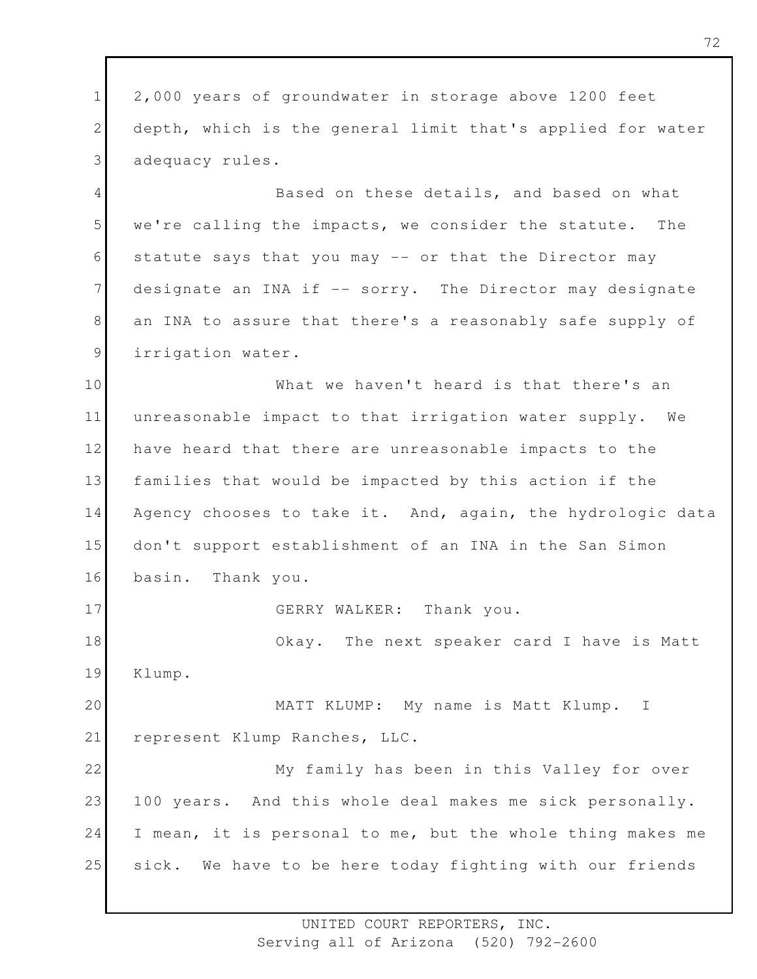1 2 3 2,000 years of groundwater in storage above 1200 feet depth, which is the general limit that's applied for water adequacy rules.

4 5 6 7 8 9 Based on these details, and based on what we're calling the impacts, we consider the statute. The statute says that you may -- or that the Director may designate an INA if -- sorry. The Director may designate an INA to assure that there's a reasonably safe supply of irrigation water.

10 11 12 13 14 15 16 17 18 What we haven't heard is that there's an unreasonable impact to that irrigation water supply. We have heard that there are unreasonable impacts to the families that would be impacted by this action if the Agency chooses to take it. And, again, the hydrologic data don't support establishment of an INA in the San Simon basin. Thank you. GERRY WALKER: Thank you. Okay. The next speaker card I have is Matt

19 Klump.

20 21 MATT KLUMP: My name is Matt Klump. I represent Klump Ranches, LLC.

22 23 24 25 My family has been in this Valley for over 100 years. And this whole deal makes me sick personally. I mean, it is personal to me, but the whole thing makes me sick. We have to be here today fighting with our friends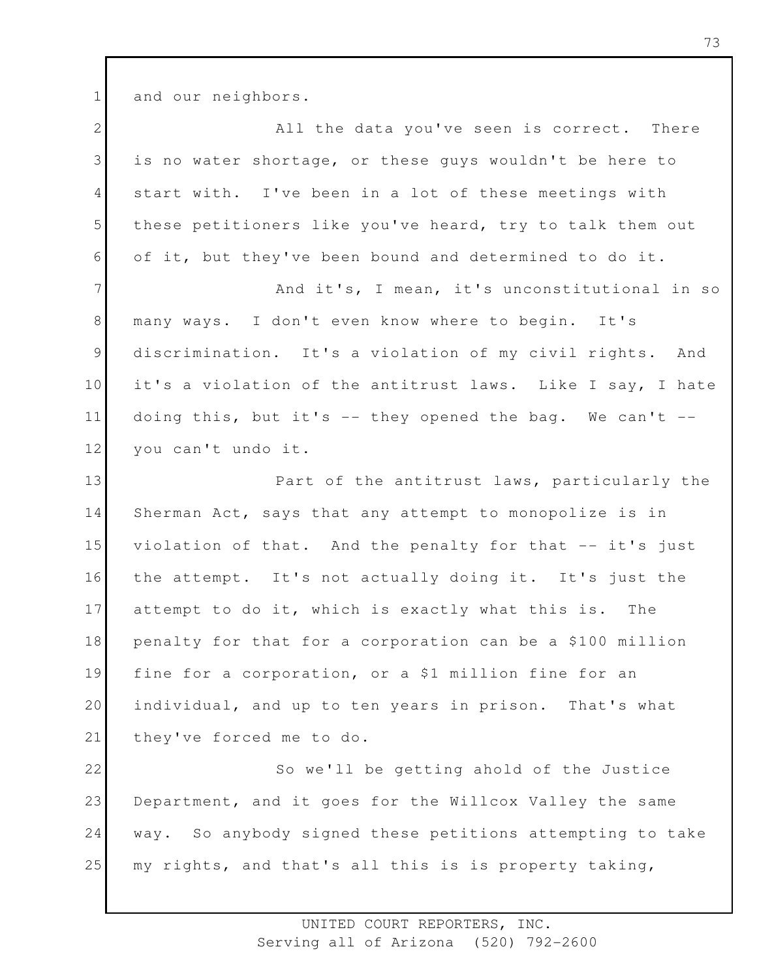1 and our neighbors.

| $\mathbf{2}$   | All the data you've seen is correct. There                 |
|----------------|------------------------------------------------------------|
| 3              | is no water shortage, or these guys wouldn't be here to    |
| $\overline{4}$ | start with. I've been in a lot of these meetings with      |
| 5              | these petitioners like you've heard, try to talk them out  |
| 6              | of it, but they've been bound and determined to do it.     |
| $\overline{7}$ | And it's, I mean, it's unconstitutional in so              |
| $8\,$          | many ways. I don't even know where to begin. It's          |
| $\overline{9}$ | discrimination. It's a violation of my civil rights. And   |
| 10             | it's a violation of the antitrust laws. Like I say, I hate |
| 11             | doing this, but it's -- they opened the bag. We can't --   |
| 12             | you can't undo it.                                         |
| 13             | Part of the antitrust laws, particularly the               |
| 14             | Sherman Act, says that any attempt to monopolize is in     |
| 15             | violation of that. And the penalty for that -- it's just   |
| 16             | the attempt. It's not actually doing it. It's just the     |
| 17             | attempt to do it, which is exactly what this is. The       |
| 18             | penalty for that for a corporation can be a \$100 million  |
| 19             | fine for a corporation, or a \$1 million fine for an       |
| 20             | individual, and up to ten years in prison. That's what     |
| 21             | they've forced me to do.                                   |
| 22             | So we'll be getting ahold of the Justice                   |
| 23             | Department, and it goes for the Willcox Valley the same    |
| 24             | way. So anybody signed these petitions attempting to take  |
| 25             | my rights, and that's all this is is property taking,      |
|                |                                                            |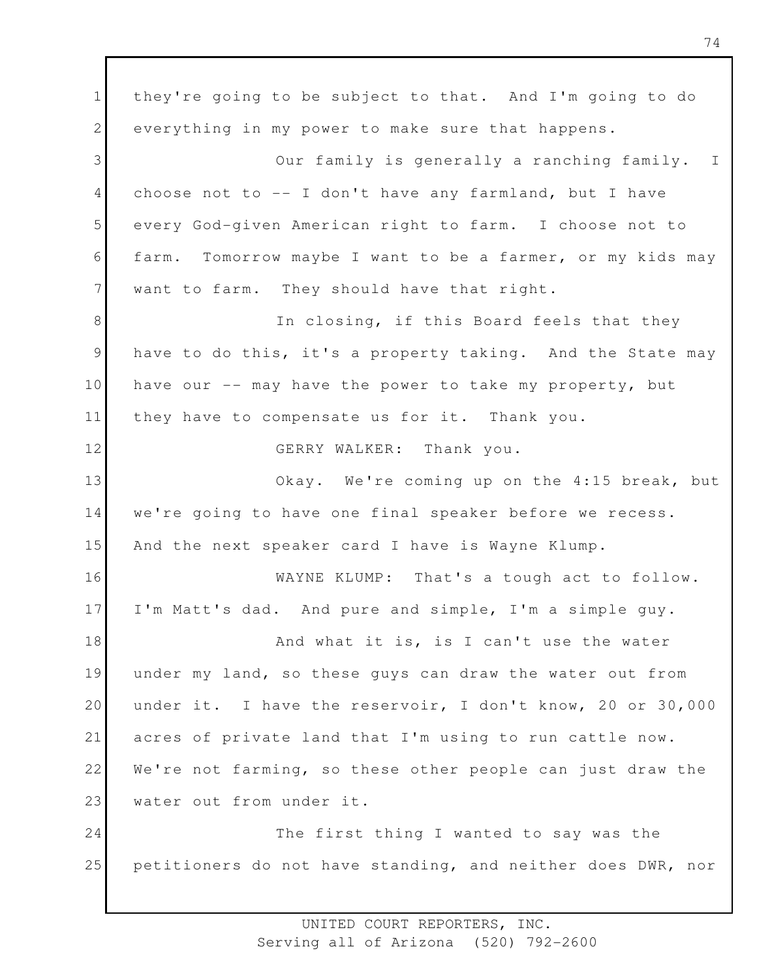1 2 3 4 5 6 7 8 9 10 11 12 13 14 15 16 17 18 19 20 21 22 23 24 25 they're going to be subject to that. And I'm going to do everything in my power to make sure that happens. Our family is generally a ranching family. I choose not to -- I don't have any farmland, but I have every God-given American right to farm. I choose not to farm. Tomorrow maybe I want to be a farmer, or my kids may want to farm. They should have that right. In closing, if this Board feels that they have to do this, it's a property taking. And the State may have our -- may have the power to take my property, but they have to compensate us for it. Thank you. GERRY WALKER: Thank you. Okay. We're coming up on the 4:15 break, but we're going to have one final speaker before we recess. And the next speaker card I have is Wayne Klump. WAYNE KLUMP: That's a tough act to follow. I'm Matt's dad. And pure and simple, I'm a simple guy. And what it is, is I can't use the water under my land, so these guys can draw the water out from under it. I have the reservoir, I don't know, 20 or 30,000 acres of private land that I'm using to run cattle now. We're not farming, so these other people can just draw the water out from under it. The first thing I wanted to say was the petitioners do not have standing, and neither does DWR, nor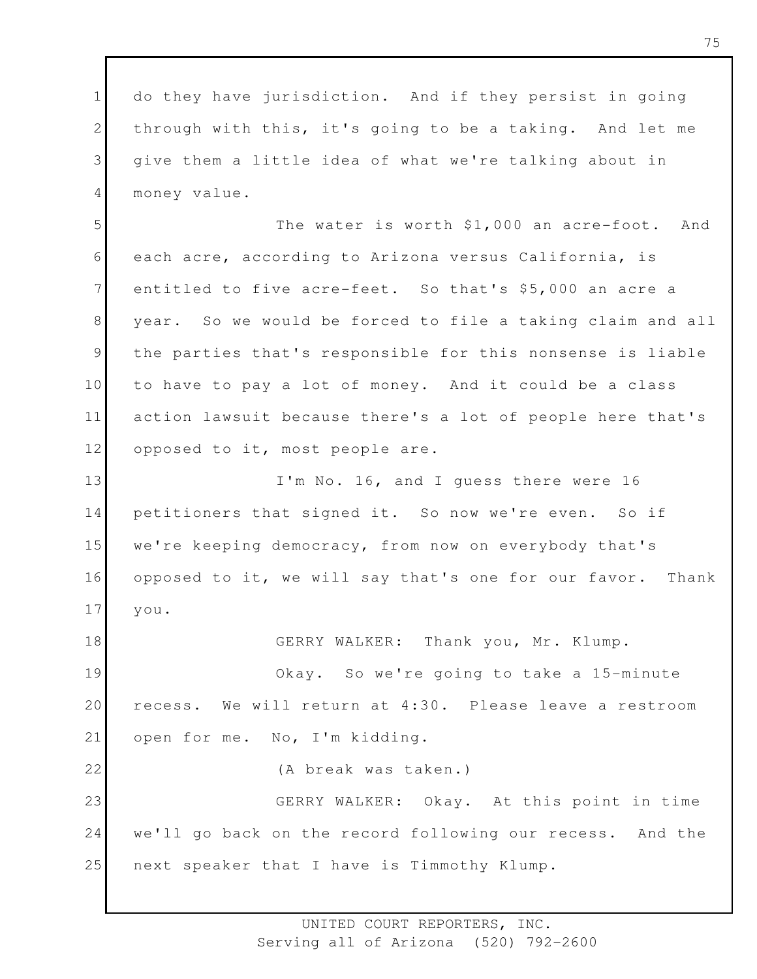1 2 3 4 do they have jurisdiction. And if they persist in going through with this, it's going to be a taking. And let me give them a little idea of what we're talking about in money value.

5 6 7 8 9 10 11 12 The water is worth \$1,000 an acre-foot. And each acre, according to Arizona versus California, is entitled to five acre-feet. So that's \$5,000 an acre a year. So we would be forced to file a taking claim and all the parties that's responsible for this nonsense is liable to have to pay a lot of money. And it could be a class action lawsuit because there's a lot of people here that's opposed to it, most people are.

13 14 15 16 17 I'm No. 16, and I guess there were 16 petitioners that signed it. So now we're even. So if we're keeping democracy, from now on everybody that's opposed to it, we will say that's one for our favor. Thank you.

18 19 20 21 GERRY WALKER: Thank you, Mr. Klump. Okay. So we're going to take a 15-minute recess. We will return at 4:30. Please leave a restroom open for me. No, I'm kidding.

22 23 24 25 (A break was taken.) GERRY WALKER: Okay. At this point in time we'll go back on the record following our recess. And the next speaker that I have is Timmothy Klump.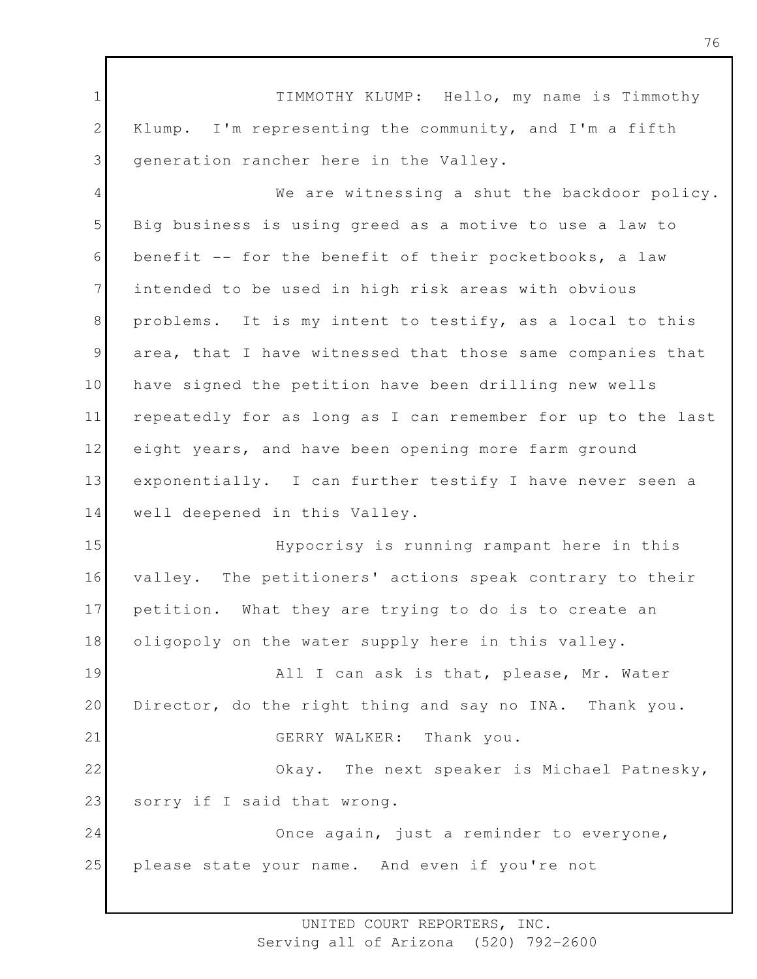1 2 3 4 5 6 7 8 9 10 11 12 13 14 15 16 17 18 19 20 21 22 23 24 25 TIMMOTHY KLUMP: Hello, my name is Timmothy Klump. I'm representing the community, and I'm a fifth generation rancher here in the Valley. We are witnessing a shut the backdoor policy. Big business is using greed as a motive to use a law to benefit -- for the benefit of their pocketbooks, a law intended to be used in high risk areas with obvious problems. It is my intent to testify, as a local to this area, that I have witnessed that those same companies that have signed the petition have been drilling new wells repeatedly for as long as I can remember for up to the last eight years, and have been opening more farm ground exponentially. I can further testify I have never seen a well deepened in this Valley. Hypocrisy is running rampant here in this valley. The petitioners' actions speak contrary to their petition. What they are trying to do is to create an oligopoly on the water supply here in this valley. All I can ask is that, please, Mr. Water Director, do the right thing and say no INA. Thank you. GERRY WALKER: Thank you. Okay. The next speaker is Michael Patnesky, sorry if I said that wrong. Once again, just a reminder to everyone, please state your name. And even if you're not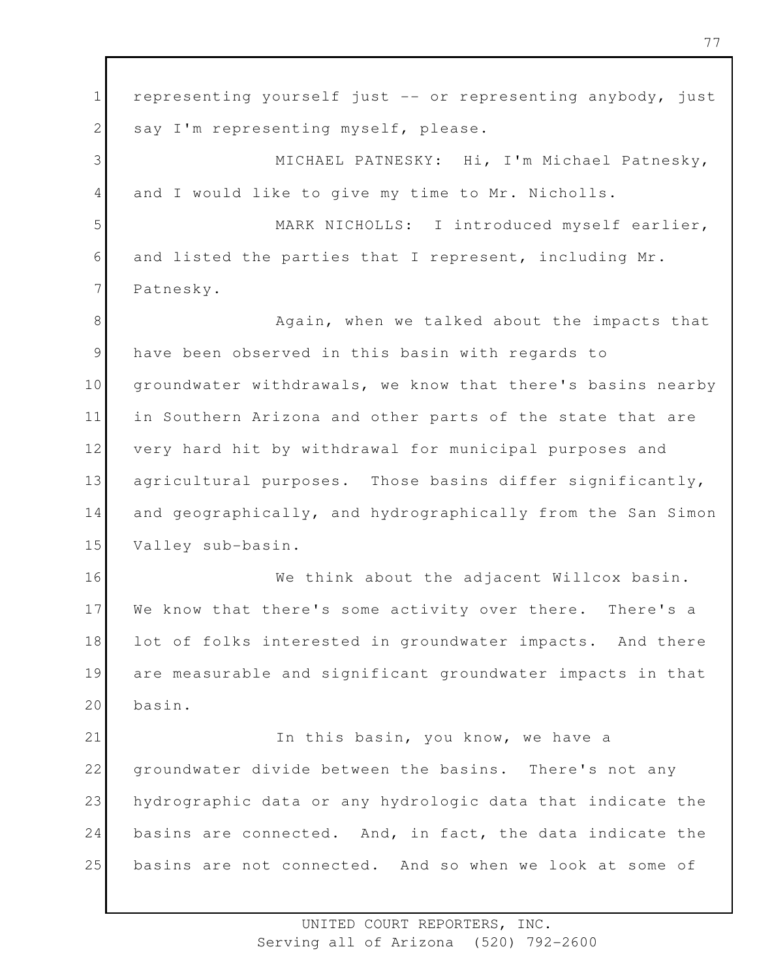1 2 3 4 5 6 7 8 9 10 11 12 13 14 15 16 17 18 19 20 21 22 23 24 25 representing yourself just -- or representing anybody, just say I'm representing myself, please. MICHAEL PATNESKY: Hi, I'm Michael Patnesky, and I would like to give my time to Mr. Nicholls. MARK NICHOLLS: I introduced myself earlier, and listed the parties that I represent, including Mr. Patnesky. Again, when we talked about the impacts that have been observed in this basin with regards to groundwater withdrawals, we know that there's basins nearby in Southern Arizona and other parts of the state that are very hard hit by withdrawal for municipal purposes and agricultural purposes. Those basins differ significantly, and geographically, and hydrographically from the San Simon Valley sub-basin. We think about the adjacent Willcox basin. We know that there's some activity over there. There's a lot of folks interested in groundwater impacts. And there are measurable and significant groundwater impacts in that basin. In this basin, you know, we have a groundwater divide between the basins. There's not any hydrographic data or any hydrologic data that indicate the basins are connected. And, in fact, the data indicate the basins are not connected. And so when we look at some of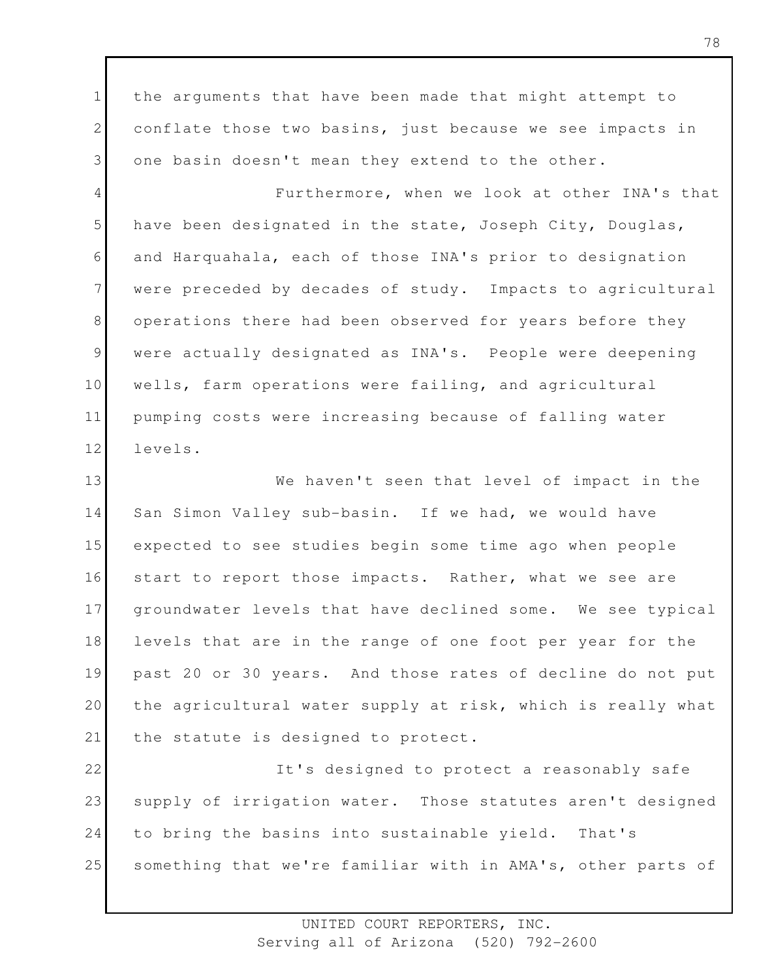1 2 3 the arguments that have been made that might attempt to conflate those two basins, just because we see impacts in one basin doesn't mean they extend to the other.

4 5 6 7 8 9 10 11 12 Furthermore, when we look at other INA's that have been designated in the state, Joseph City, Douglas, and Harquahala, each of those INA's prior to designation were preceded by decades of study. Impacts to agricultural operations there had been observed for years before they were actually designated as INA's. People were deepening wells, farm operations were failing, and agricultural pumping costs were increasing because of falling water levels.

13 14 15 16 17 18 19 20 21 We haven't seen that level of impact in the San Simon Valley sub-basin. If we had, we would have expected to see studies begin some time ago when people start to report those impacts. Rather, what we see are groundwater levels that have declined some. We see typical levels that are in the range of one foot per year for the past 20 or 30 years. And those rates of decline do not put the agricultural water supply at risk, which is really what the statute is designed to protect.

22 23 24 25 It's designed to protect a reasonably safe supply of irrigation water. Those statutes aren't designed to bring the basins into sustainable yield. That's something that we're familiar with in AMA's, other parts of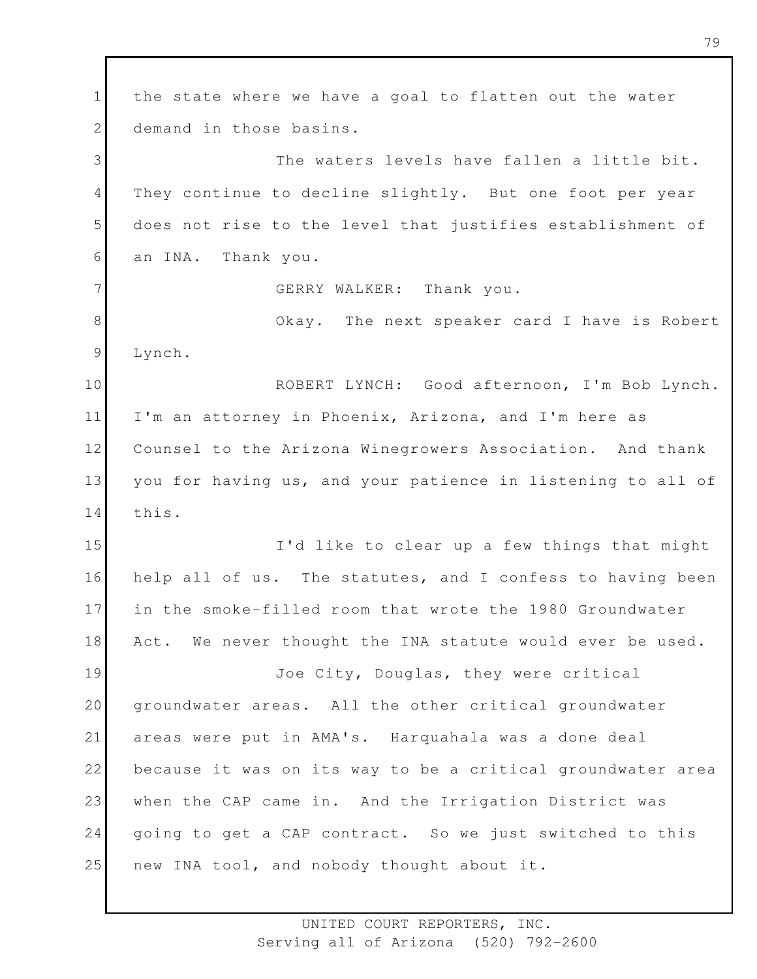1 2 3 4 5 6 7 8 9 10 11 12 13 14 15 16 17 18 19 20 21 22 23 24 25 the state where we have a goal to flatten out the water demand in those basins. The waters levels have fallen a little bit. They continue to decline slightly. But one foot per year does not rise to the level that justifies establishment of an INA. Thank you. GERRY WALKER: Thank you. Okay. The next speaker card I have is Robert Lynch. ROBERT LYNCH: Good afternoon, I'm Bob Lynch. I'm an attorney in Phoenix, Arizona, and I'm here as Counsel to the Arizona Winegrowers Association. And thank you for having us, and your patience in listening to all of this. I'd like to clear up a few things that might help all of us. The statutes, and I confess to having been in the smoke-filled room that wrote the 1980 Groundwater Act. We never thought the INA statute would ever be used. Joe City, Douglas, they were critical groundwater areas. All the other critical groundwater areas were put in AMA's. Harquahala was a done deal because it was on its way to be a critical groundwater area when the CAP came in. And the Irrigation District was going to get a CAP contract. So we just switched to this new INA tool, and nobody thought about it.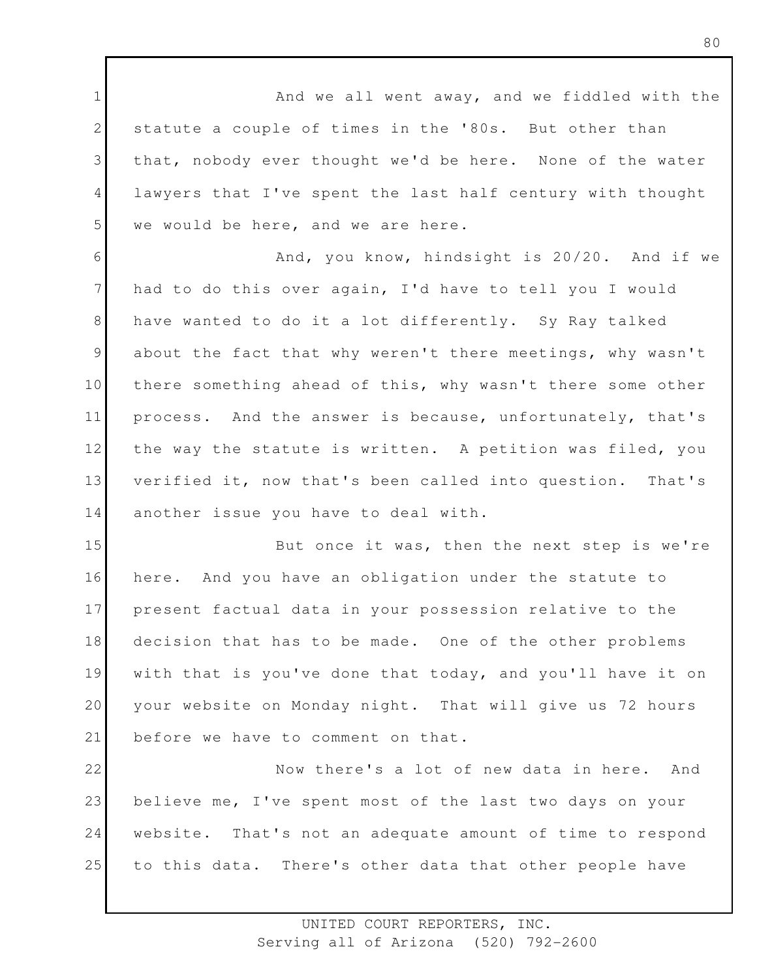1 2 3 4 5 And we all went away, and we fiddled with the statute a couple of times in the '80s. But other than that, nobody ever thought we'd be here. None of the water lawyers that I've spent the last half century with thought we would be here, and we are here.

6 7 8 9 10 11 12 13 14 And, you know, hindsight is 20/20. And if we had to do this over again, I'd have to tell you I would have wanted to do it a lot differently. Sy Ray talked about the fact that why weren't there meetings, why wasn't there something ahead of this, why wasn't there some other process. And the answer is because, unfortunately, that's the way the statute is written. A petition was filed, you verified it, now that's been called into question. That's another issue you have to deal with.

15 16 17 18 19 20 21 But once it was, then the next step is we're here. And you have an obligation under the statute to present factual data in your possession relative to the decision that has to be made. One of the other problems with that is you've done that today, and you'll have it on your website on Monday night. That will give us 72 hours before we have to comment on that.

22 23 24 25 Now there's a lot of new data in here. And believe me, I've spent most of the last two days on your website. That's not an adequate amount of time to respond to this data. There's other data that other people have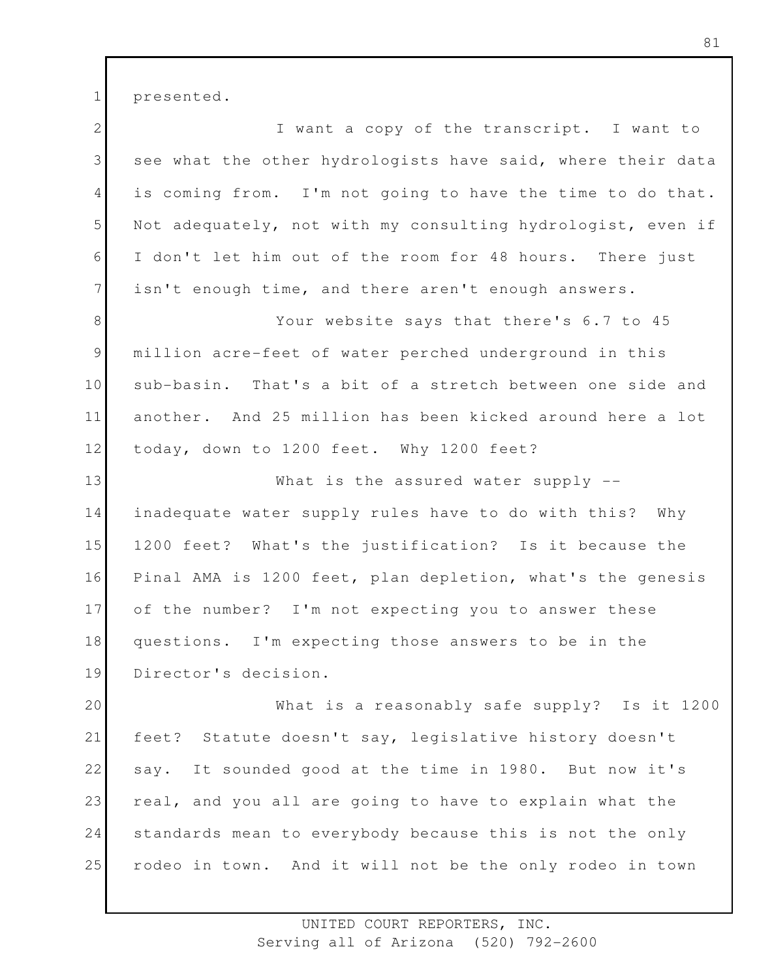1 presented.

2 3 4 5 6 7 8 9 10 11 12 13 14 15 16 17 18 19 20 21 22 23 24 25 I want a copy of the transcript. I want to see what the other hydrologists have said, where their data is coming from. I'm not going to have the time to do that. Not adequately, not with my consulting hydrologist, even if I don't let him out of the room for 48 hours. There just isn't enough time, and there aren't enough answers. Your website says that there's 6.7 to 45 million acre-feet of water perched underground in this sub-basin. That's a bit of a stretch between one side and another. And 25 million has been kicked around here a lot today, down to 1200 feet. Why 1200 feet? What is the assured water supply -inadequate water supply rules have to do with this? Why 1200 feet? What's the justification? Is it because the Pinal AMA is 1200 feet, plan depletion, what's the genesis of the number? I'm not expecting you to answer these questions. I'm expecting those answers to be in the Director's decision. What is a reasonably safe supply? Is it 1200 feet? Statute doesn't say, legislative history doesn't say. It sounded good at the time in 1980. But now it's real, and you all are going to have to explain what the standards mean to everybody because this is not the only rodeo in town. And it will not be the only rodeo in town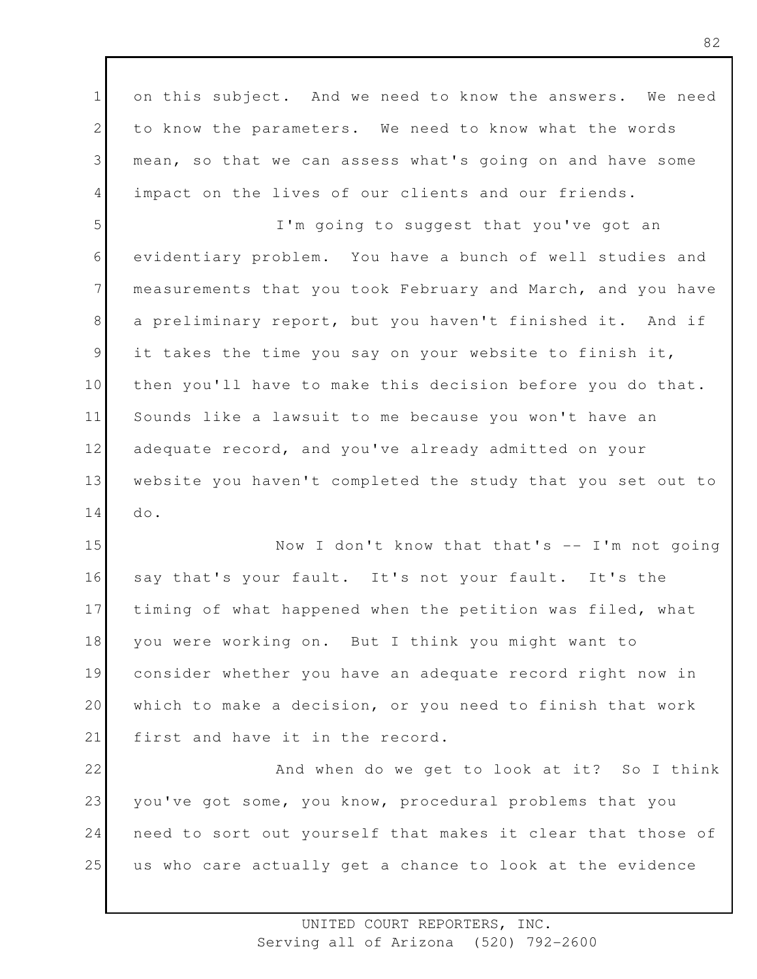1 2 3 4 on this subject. And we need to know the answers. We need to know the parameters. We need to know what the words mean, so that we can assess what's going on and have some impact on the lives of our clients and our friends.

5 6 7 8 9 10 11 12 13 14 I'm going to suggest that you've got an evidentiary problem. You have a bunch of well studies and measurements that you took February and March, and you have a preliminary report, but you haven't finished it. And if it takes the time you say on your website to finish it, then you'll have to make this decision before you do that. Sounds like a lawsuit to me because you won't have an adequate record, and you've already admitted on your website you haven't completed the study that you set out to do.

15 16 17 18 19 20 21 Now I don't know that that's -- I'm not going say that's your fault. It's not your fault. It's the timing of what happened when the petition was filed, what you were working on. But I think you might want to consider whether you have an adequate record right now in which to make a decision, or you need to finish that work first and have it in the record.

22 23 24 25 And when do we get to look at it? So I think you've got some, you know, procedural problems that you need to sort out yourself that makes it clear that those of us who care actually get a chance to look at the evidence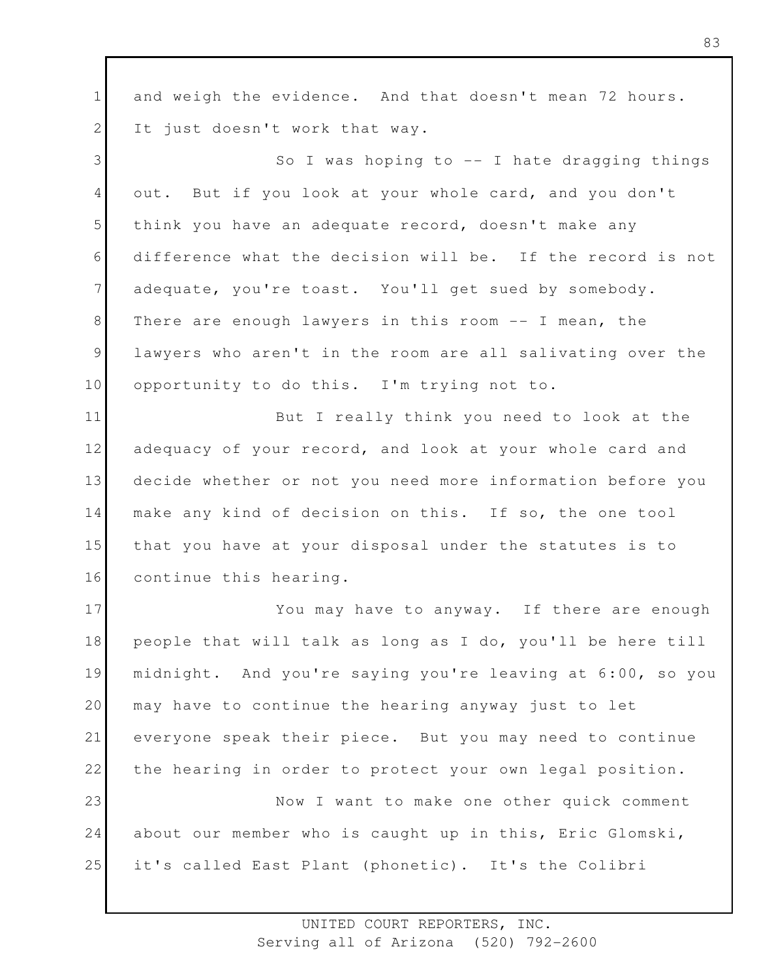1 2 and weigh the evidence. And that doesn't mean 72 hours. It just doesn't work that way.

3 4 5 6 7 8 9 10 So I was hoping to  $-$  I hate dragging things out. But if you look at your whole card, and you don't think you have an adequate record, doesn't make any difference what the decision will be. If the record is not adequate, you're toast. You'll get sued by somebody. There are enough lawyers in this room -- I mean, the lawyers who aren't in the room are all salivating over the opportunity to do this. I'm trying not to.

11 12 13 14 15 16 But I really think you need to look at the adequacy of your record, and look at your whole card and decide whether or not you need more information before you make any kind of decision on this. If so, the one tool that you have at your disposal under the statutes is to continue this hearing.

17 18 19 20 21 22 23 24 25 You may have to anyway. If there are enough people that will talk as long as I do, you'll be here till midnight. And you're saying you're leaving at 6:00, so you may have to continue the hearing anyway just to let everyone speak their piece. But you may need to continue the hearing in order to protect your own legal position. Now I want to make one other quick comment about our member who is caught up in this, Eric Glomski, it's called East Plant (phonetic). It's the Colibri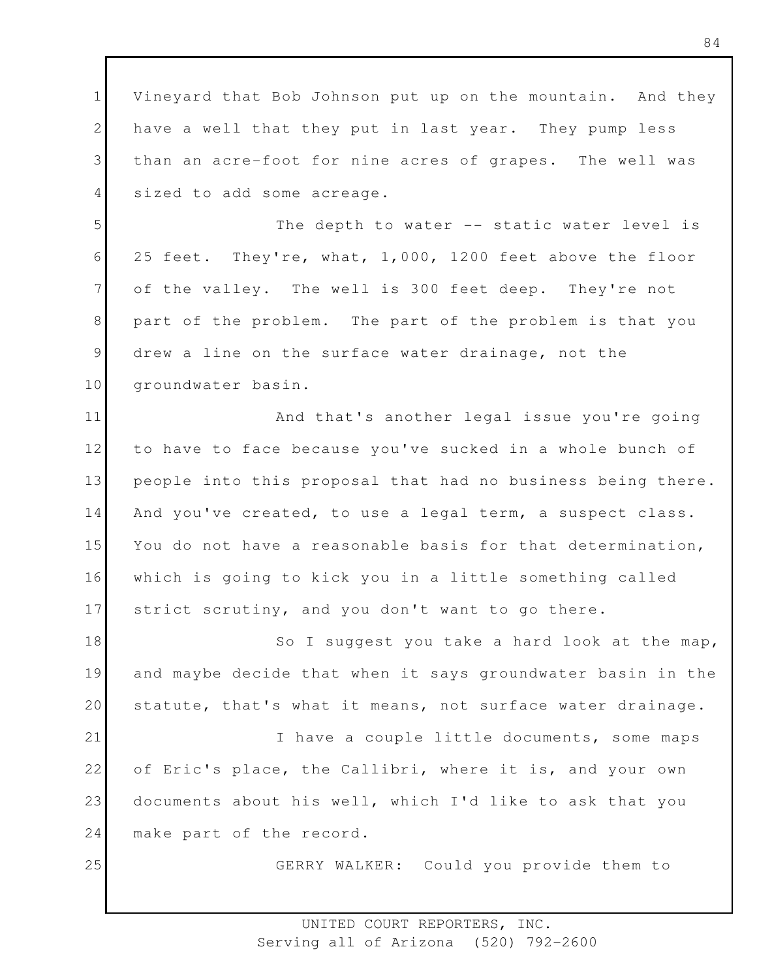1 2 3 4 Vineyard that Bob Johnson put up on the mountain. And they have a well that they put in last year. They pump less than an acre-foot for nine acres of grapes. The well was sized to add some acreage.

5 6 7 8 9 10 The depth to water -- static water level is 25 feet. They're, what, 1,000, 1200 feet above the floor of the valley. The well is 300 feet deep. They're not part of the problem. The part of the problem is that you drew a line on the surface water drainage, not the groundwater basin.

11 12 13 14 15 16 17 And that's another legal issue you're going to have to face because you've sucked in a whole bunch of people into this proposal that had no business being there. And you've created, to use a legal term, a suspect class. You do not have a reasonable basis for that determination, which is going to kick you in a little something called strict scrutiny, and you don't want to go there.

18 19 20 21 22 23 So I suggest you take a hard look at the map, and maybe decide that when it says groundwater basin in the statute, that's what it means, not surface water drainage. I have a couple little documents, some maps of Eric's place, the Callibri, where it is, and your own documents about his well, which I'd like to ask that you

24 make part of the record.

25

GERRY WALKER: Could you provide them to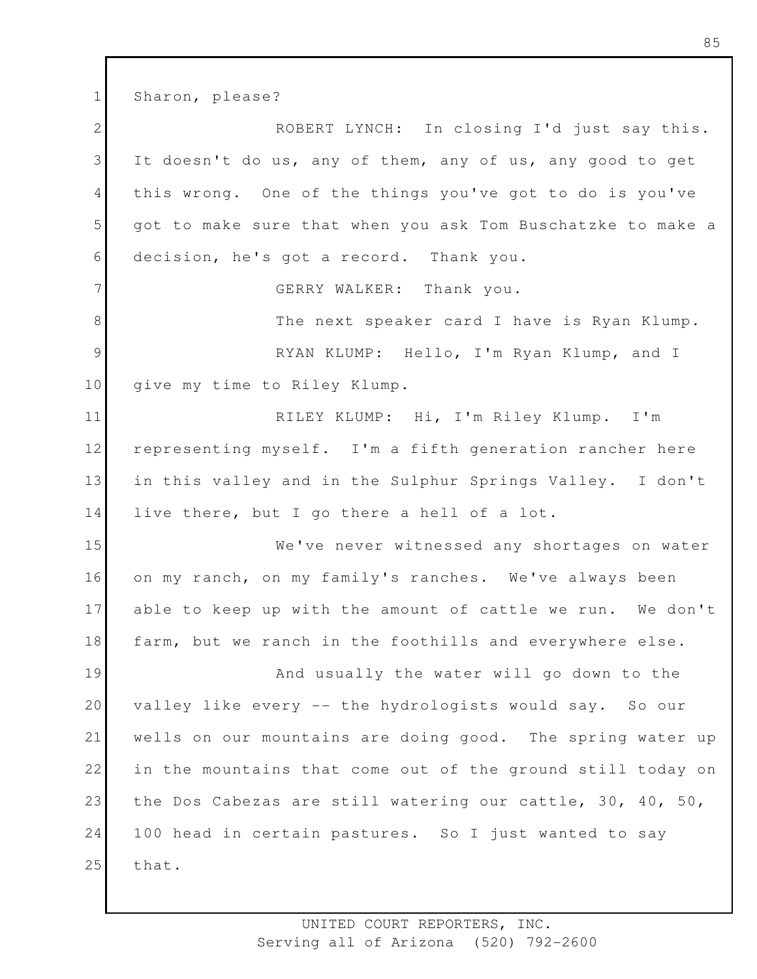1 Sharon, please?

2 3 4 5 6 7 8 9 10 11 12 13 14 15 16 17 18 19 20 21 22 23 24 25 ROBERT LYNCH: In closing I'd just say this. It doesn't do us, any of them, any of us, any good to get this wrong. One of the things you've got to do is you've got to make sure that when you ask Tom Buschatzke to make a decision, he's got a record. Thank you. GERRY WALKER: Thank you. The next speaker card I have is Ryan Klump. RYAN KLUMP: Hello, I'm Ryan Klump, and I give my time to Riley Klump. RILEY KLUMP: Hi, I'm Riley Klump. I'm representing myself. I'm a fifth generation rancher here in this valley and in the Sulphur Springs Valley. I don't live there, but I go there a hell of a lot. We've never witnessed any shortages on water on my ranch, on my family's ranches. We've always been able to keep up with the amount of cattle we run. We don't farm, but we ranch in the foothills and everywhere else. And usually the water will go down to the valley like every -- the hydrologists would say. So our wells on our mountains are doing good. The spring water up in the mountains that come out of the ground still today on the Dos Cabezas are still watering our cattle, 30, 40, 50, 100 head in certain pastures. So I just wanted to say that.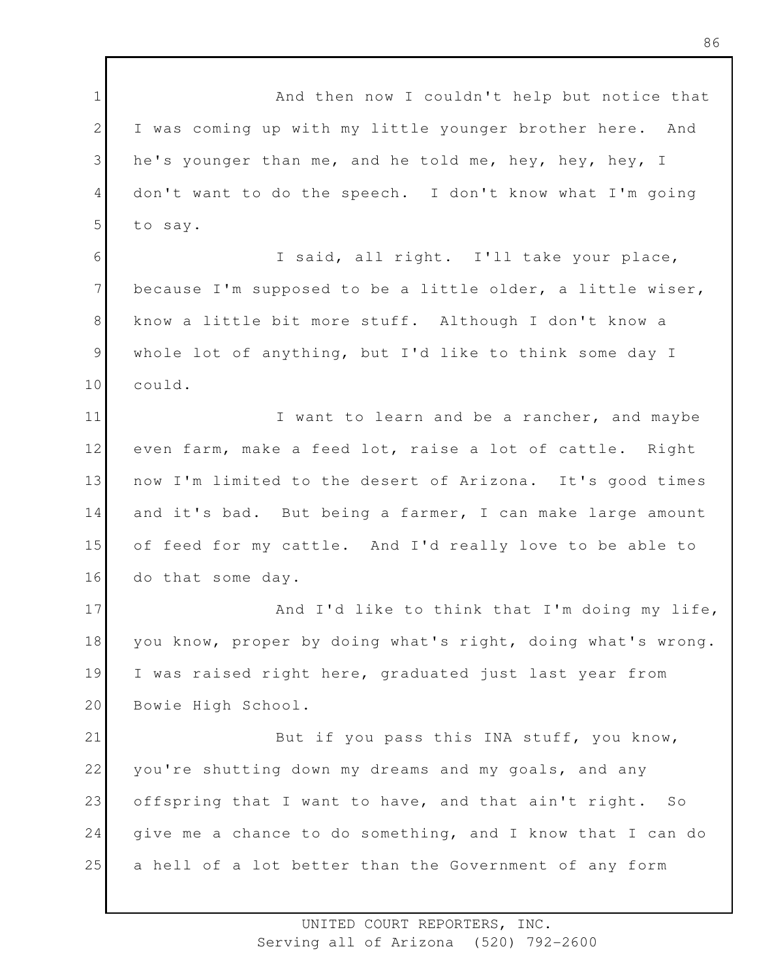1 2 3 4 5 6 7 8 9 10 11 12 13 14 15 16 17 18 19 20 21 22 23 24 25 And then now I couldn't help but notice that I was coming up with my little younger brother here. And he's younger than me, and he told me, hey, hey, hey, I don't want to do the speech. I don't know what I'm going to say. I said, all right. I'll take your place, because I'm supposed to be a little older, a little wiser, know a little bit more stuff. Although I don't know a whole lot of anything, but I'd like to think some day I could. I want to learn and be a rancher, and maybe even farm, make a feed lot, raise a lot of cattle. Right now I'm limited to the desert of Arizona. It's good times and it's bad. But being a farmer, I can make large amount of feed for my cattle. And I'd really love to be able to do that some day. And I'd like to think that I'm doing my life, you know, proper by doing what's right, doing what's wrong. I was raised right here, graduated just last year from Bowie High School. But if you pass this INA stuff, you know, you're shutting down my dreams and my goals, and any offspring that I want to have, and that ain't right. So give me a chance to do something, and I know that I can do a hell of a lot better than the Government of any form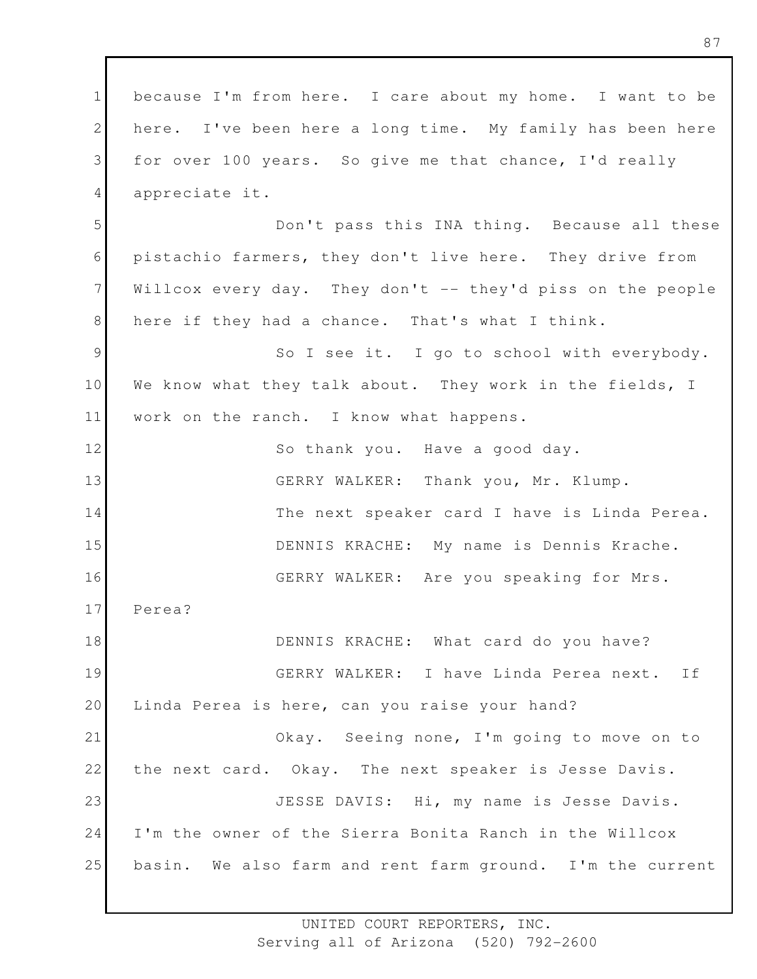1 2 3 4 5 6 7 8 9 10 11 12 13 14 15 16 17 18 19 20 21 22 23 24 25 because I'm from here. I care about my home. I want to be here. I've been here a long time. My family has been here for over 100 years. So give me that chance, I'd really appreciate it. Don't pass this INA thing. Because all these pistachio farmers, they don't live here. They drive from Willcox every day. They don't -- they'd piss on the people here if they had a chance. That's what I think. So I see it. I go to school with everybody. We know what they talk about. They work in the fields, I work on the ranch. I know what happens. So thank you. Have a good day. GERRY WALKER: Thank you, Mr. Klump. The next speaker card I have is Linda Perea. DENNIS KRACHE: My name is Dennis Krache. GERRY WALKER: Are you speaking for Mrs. Perea? DENNIS KRACHE: What card do you have? GERRY WALKER: I have Linda Perea next. If Linda Perea is here, can you raise your hand? Okay. Seeing none, I'm going to move on to the next card. Okay. The next speaker is Jesse Davis. JESSE DAVIS: Hi, my name is Jesse Davis. I'm the owner of the Sierra Bonita Ranch in the Willcox basin. We also farm and rent farm ground. I'm the current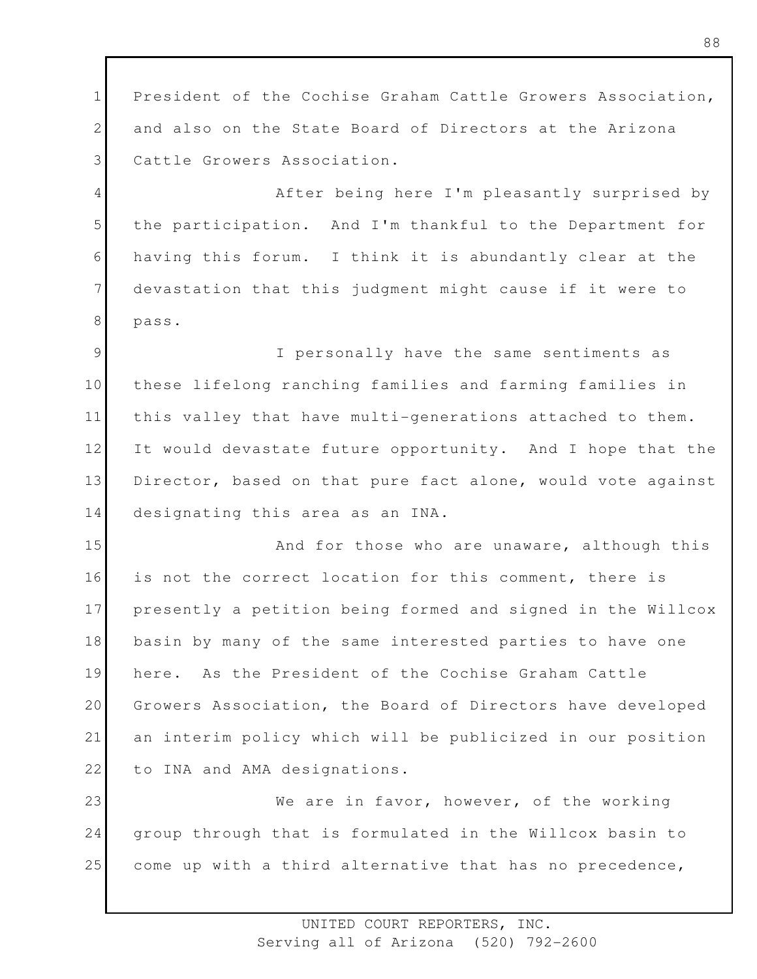1 2 3 President of the Cochise Graham Cattle Growers Association, and also on the State Board of Directors at the Arizona Cattle Growers Association.

4 5 6 7 8 After being here I'm pleasantly surprised by the participation. And I'm thankful to the Department for having this forum. I think it is abundantly clear at the devastation that this judgment might cause if it were to pass.

9 10 11 12 13 14 I personally have the same sentiments as these lifelong ranching families and farming families in this valley that have multi-generations attached to them. It would devastate future opportunity. And I hope that the Director, based on that pure fact alone, would vote against designating this area as an INA.

15 16 17 18 19 20 21 22 And for those who are unaware, although this is not the correct location for this comment, there is presently a petition being formed and signed in the Willcox basin by many of the same interested parties to have one here. As the President of the Cochise Graham Cattle Growers Association, the Board of Directors have developed an interim policy which will be publicized in our position to INA and AMA designations.

23 24 25 We are in favor, however, of the working group through that is formulated in the Willcox basin to come up with a third alternative that has no precedence,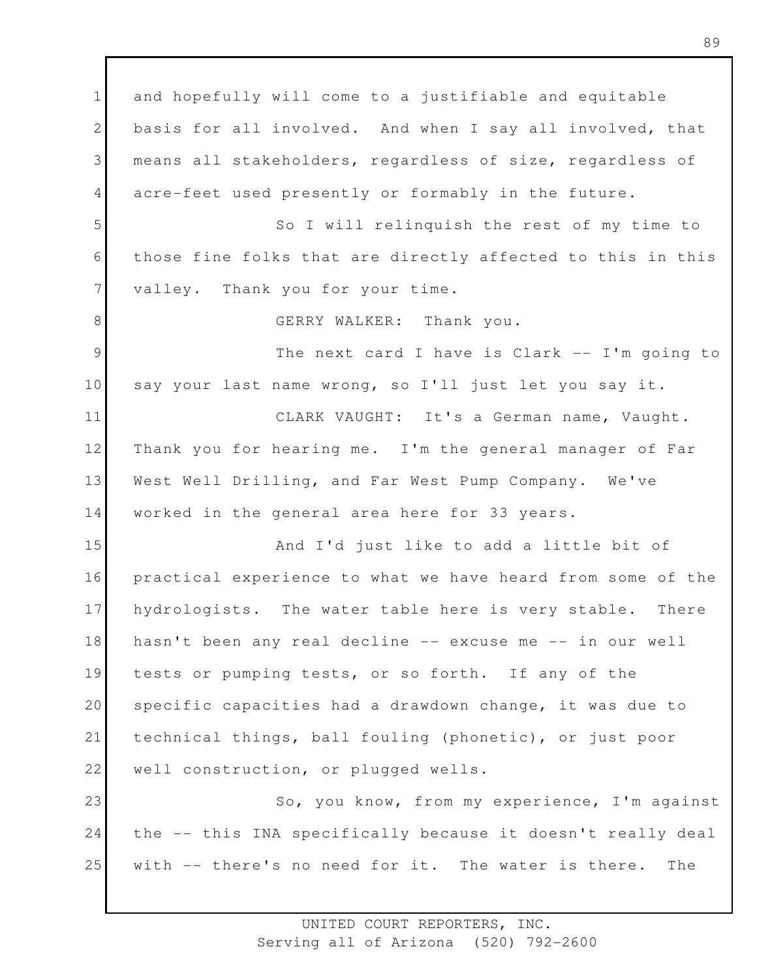1 2 3 4 5 6 7 8 9 10 11 12 13 14 15 16 17 18 19 20 21 22 23 24 25 and hopefully will come to a justifiable and equitable basis for all involved. And when I say all involved, that means all stakeholders, regardless of size, regardless of acre-feet used presently or formably in the future. So I will relinquish the rest of my time to those fine folks that are directly affected to this in this valley. Thank you for your time. GERRY WALKER: Thank you. The next card I have is Clark -- I'm going to say your last name wrong, so I'll just let you say it. CLARK VAUGHT: It's a German name, Vaught. Thank you for hearing me. I'm the general manager of Far West Well Drilling, and Far West Pump Company. We've worked in the general area here for 33 years. And I'd just like to add a little bit of practical experience to what we have heard from some of the hydrologists. The water table here is very stable. There hasn't been any real decline -- excuse me -- in our well tests or pumping tests, or so forth. If any of the specific capacities had a drawdown change, it was due to technical things, ball fouling (phonetic), or just poor well construction, or plugged wells. So, you know, from my experience, I'm against the -- this INA specifically because it doesn't really deal with -- there's no need for it. The water is there. The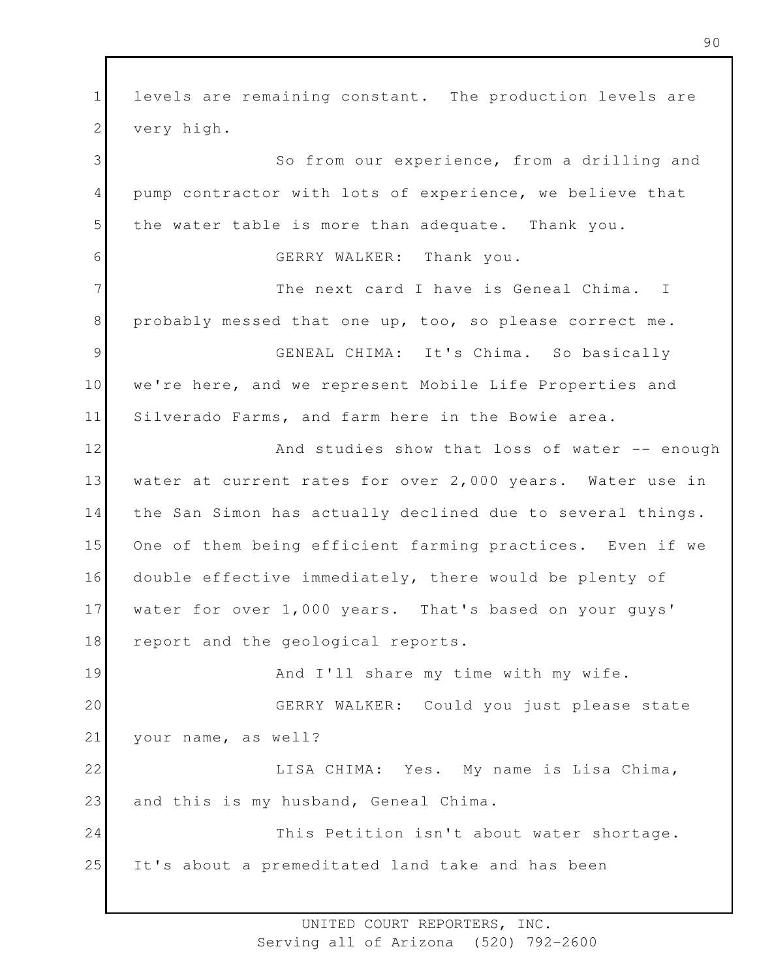1 2 3 4 5 6 7 8 9 10 11 12 13 14 15 16 17 18 19 20 21 22 23 24 25 levels are remaining constant. The production levels are very high. So from our experience, from a drilling and pump contractor with lots of experience, we believe that the water table is more than adequate. Thank you. GERRY WALKER: Thank you. The next card I have is Geneal Chima. I probably messed that one up, too, so please correct me. GENEAL CHIMA: It's Chima. So basically we're here, and we represent Mobile Life Properties and Silverado Farms, and farm here in the Bowie area. And studies show that loss of water -- enough water at current rates for over 2,000 years. Water use in the San Simon has actually declined due to several things. One of them being efficient farming practices. Even if we double effective immediately, there would be plenty of water for over 1,000 years. That's based on your guys' report and the geological reports. And I'll share my time with my wife. GERRY WALKER: Could you just please state your name, as well? LISA CHIMA: Yes. My name is Lisa Chima, and this is my husband, Geneal Chima. This Petition isn't about water shortage. It's about a premeditated land take and has been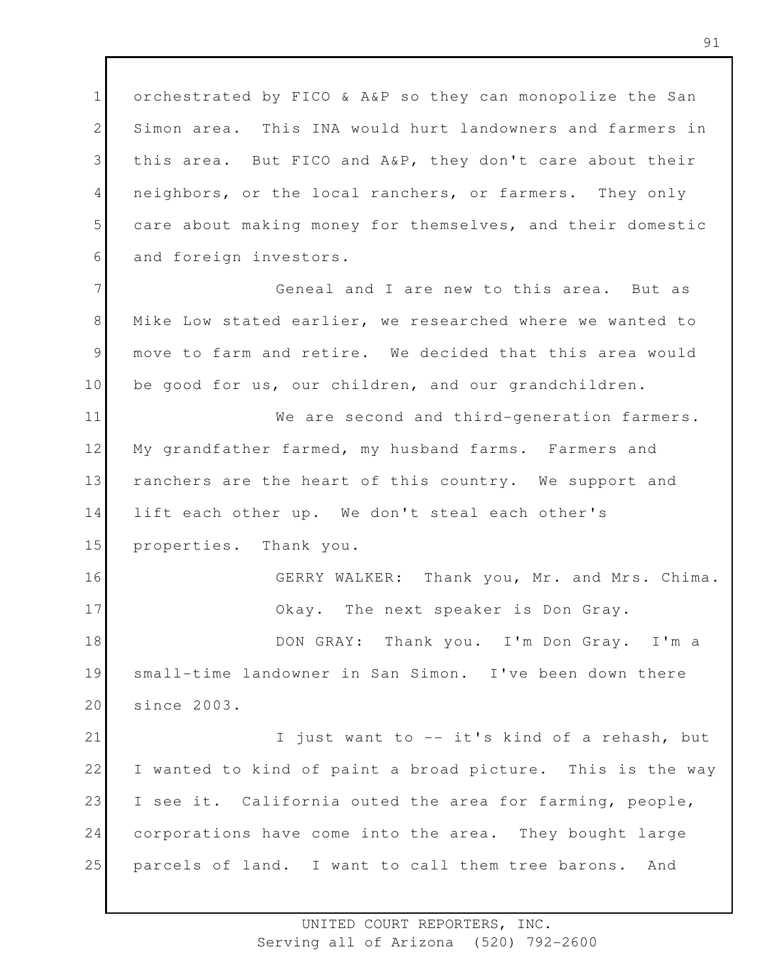1 2 3 4 5 6 orchestrated by FICO & A&P so they can monopolize the San Simon area. This INA would hurt landowners and farmers in this area. But FICO and A&P, they don't care about their neighbors, or the local ranchers, or farmers. They only care about making money for themselves, and their domestic and foreign investors.

7 8 9 10 Geneal and I are new to this area. But as Mike Low stated earlier, we researched where we wanted to move to farm and retire. We decided that this area would be good for us, our children, and our grandchildren.

11 12 13 14 15 We are second and third-generation farmers. My grandfather farmed, my husband farms. Farmers and ranchers are the heart of this country. We support and lift each other up. We don't steal each other's properties. Thank you.

16 17 18 19 20 GERRY WALKER: Thank you, Mr. and Mrs. Chima. Okay. The next speaker is Don Gray. DON GRAY: Thank you. I'm Don Gray. I'm a small-time landowner in San Simon. I've been down there since 2003.

21 22 23 24 25 I just want to -- it's kind of a rehash, but I wanted to kind of paint a broad picture. This is the way I see it. California outed the area for farming, people, corporations have come into the area. They bought large parcels of land. I want to call them tree barons. And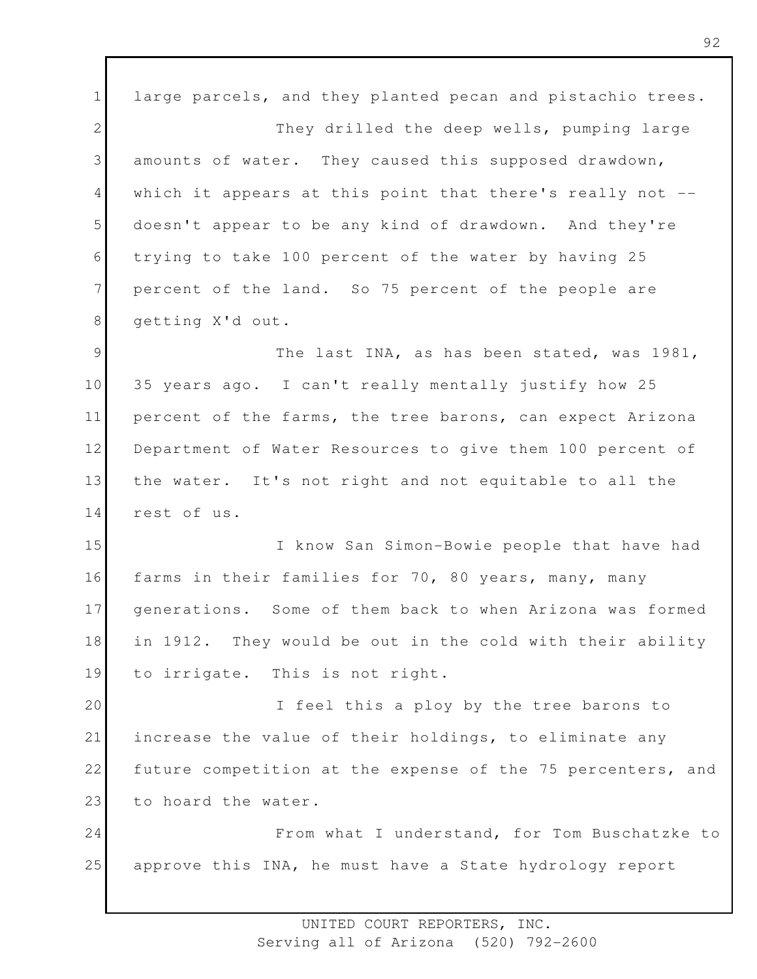1 2 3 4 5 6 7 8 9 10 11 12 13 14 15 16 17 18 19 20 21 22 23 large parcels, and they planted pecan and pistachio trees. They drilled the deep wells, pumping large amounts of water. They caused this supposed drawdown, which it appears at this point that there's really not -doesn't appear to be any kind of drawdown. And they're trying to take 100 percent of the water by having 25 percent of the land. So 75 percent of the people are getting X'd out. The last INA, as has been stated, was 1981, 35 years ago. I can't really mentally justify how 25 percent of the farms, the tree barons, can expect Arizona Department of Water Resources to give them 100 percent of the water. It's not right and not equitable to all the rest of us. I know San Simon-Bowie people that have had farms in their families for 70, 80 years, many, many generations. Some of them back to when Arizona was formed in 1912. They would be out in the cold with their ability to irrigate. This is not right. I feel this a ploy by the tree barons to increase the value of their holdings, to eliminate any future competition at the expense of the 75 percenters, and to hoard the water.

24 25 From what I understand, for Tom Buschatzke to approve this INA, he must have a State hydrology report

> UNITED COURT REPORTERS, INC. Serving all of Arizona (520) 792-2600

92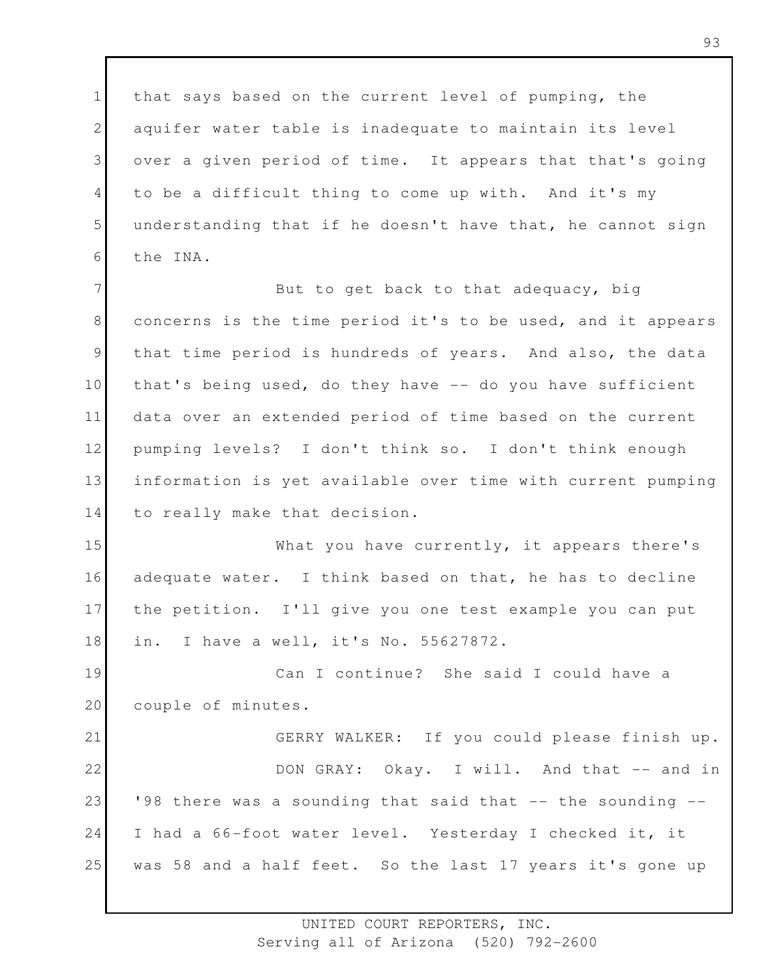1 2 3 4 5 6 that says based on the current level of pumping, the aquifer water table is inadequate to maintain its level over a given period of time. It appears that that's going to be a difficult thing to come up with. And it's my understanding that if he doesn't have that, he cannot sign the INA.

7 8 9 10 11 12 13 14 But to get back to that adequacy, big concerns is the time period it's to be used, and it appears that time period is hundreds of years. And also, the data that's being used, do they have -- do you have sufficient data over an extended period of time based on the current pumping levels? I don't think so. I don't think enough information is yet available over time with current pumping to really make that decision.

15 16 17 18 What you have currently, it appears there's adequate water. I think based on that, he has to decline the petition. I'll give you one test example you can put in. I have a well, it's No. 55627872.

19 20 Can I continue? She said I could have a couple of minutes.

21 22 23 24 25 GERRY WALKER: If you could please finish up. DON GRAY: Okay. I will. And that -- and in '98 there was a sounding that said that -- the sounding -- I had a 66-foot water level. Yesterday I checked it, it was 58 and a half feet. So the last 17 years it's gone up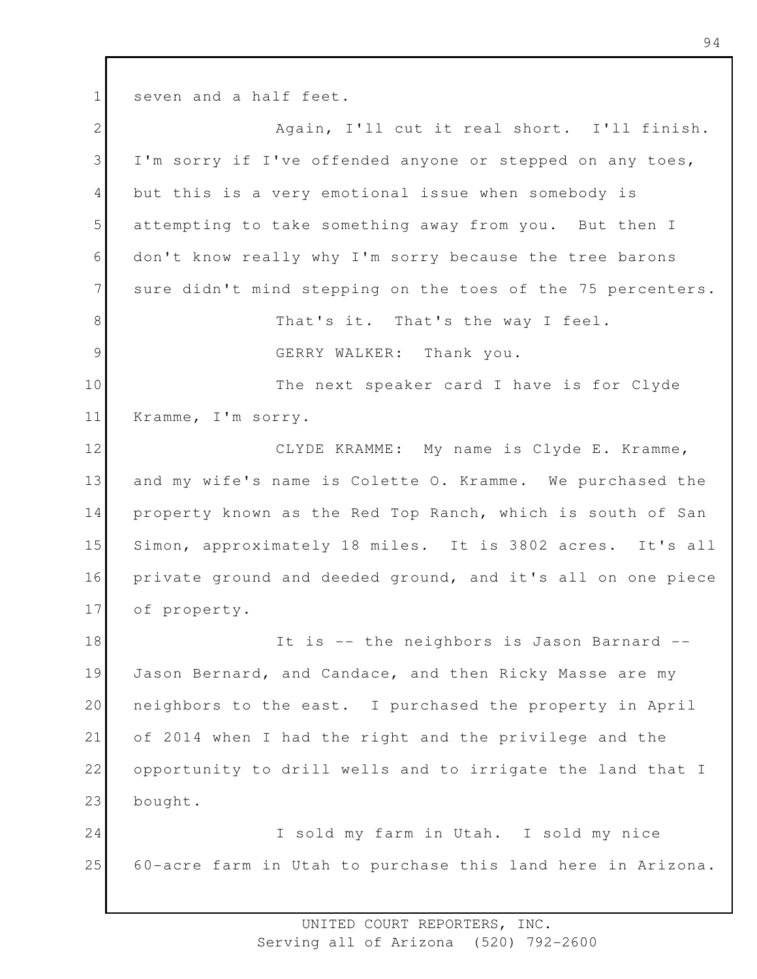1 seven and a half feet.

2 3 4 5 6 7 8 9 10 11 12 13 14 15 16 17 18 19 20 21 22 23 24 25 Again, I'll cut it real short. I'll finish. I'm sorry if I've offended anyone or stepped on any toes, but this is a very emotional issue when somebody is attempting to take something away from you. But then I don't know really why I'm sorry because the tree barons sure didn't mind stepping on the toes of the 75 percenters. That's it. That's the way I feel. GERRY WALKER: Thank you. The next speaker card I have is for Clyde Kramme, I'm sorry. CLYDE KRAMME: My name is Clyde E. Kramme, and my wife's name is Colette O. Kramme. We purchased the property known as the Red Top Ranch, which is south of San Simon, approximately 18 miles. It is 3802 acres. It's all private ground and deeded ground, and it's all on one piece of property. It is -- the neighbors is Jason Barnard -- Jason Bernard, and Candace, and then Ricky Masse are my neighbors to the east. I purchased the property in April of 2014 when I had the right and the privilege and the opportunity to drill wells and to irrigate the land that I bought. I sold my farm in Utah. I sold my nice 60-acre farm in Utah to purchase this land here in Arizona.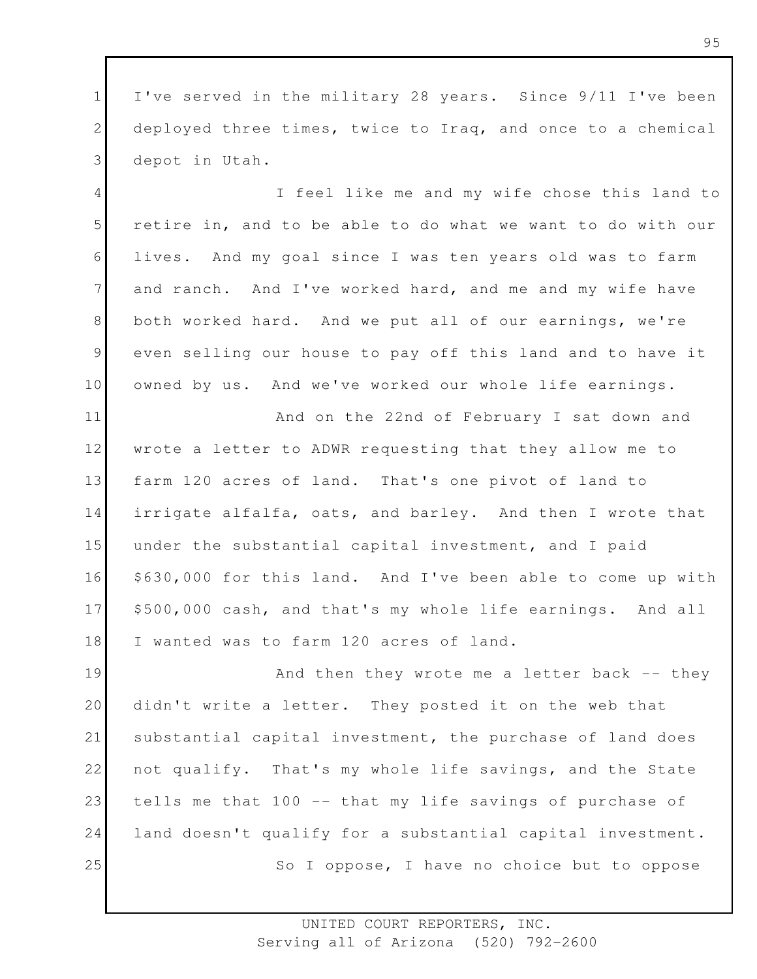1 2 3 I've served in the military 28 years. Since 9/11 I've been deployed three times, twice to Iraq, and once to a chemical depot in Utah.

4 5 6 7 8 9 10 I feel like me and my wife chose this land to retire in, and to be able to do what we want to do with our lives. And my goal since I was ten years old was to farm and ranch. And I've worked hard, and me and my wife have both worked hard. And we put all of our earnings, we're even selling our house to pay off this land and to have it owned by us. And we've worked our whole life earnings.

11 12 13 14 15 16 17 18 And on the 22nd of February I sat down and wrote a letter to ADWR requesting that they allow me to farm 120 acres of land. That's one pivot of land to irrigate alfalfa, oats, and barley. And then I wrote that under the substantial capital investment, and I paid \$630,000 for this land. And I've been able to come up with \$500,000 cash, and that's my whole life earnings. And all I wanted was to farm 120 acres of land.

19 20 21 22 23 24 25 And then they wrote me a letter back -- they didn't write a letter. They posted it on the web that substantial capital investment, the purchase of land does not qualify. That's my whole life savings, and the State tells me that 100 -- that my life savings of purchase of land doesn't qualify for a substantial capital investment. So I oppose, I have no choice but to oppose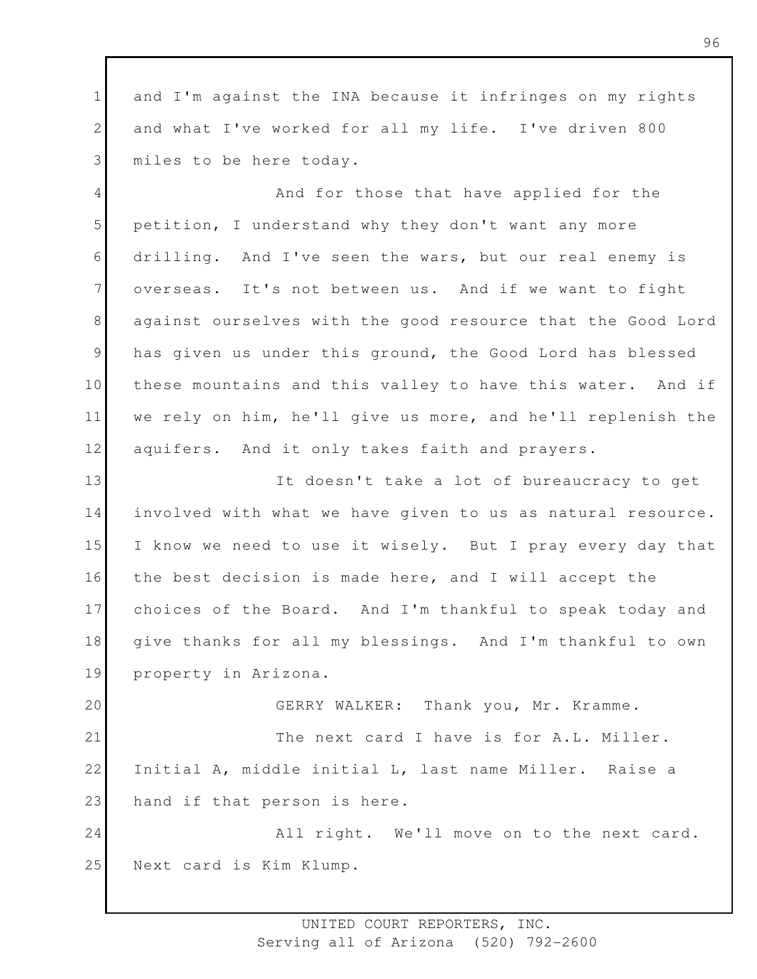1 2 3 and I'm against the INA because it infringes on my rights and what I've worked for all my life. I've driven 800 miles to be here today.

4 5 6 7 8 9 10 11 12 And for those that have applied for the petition, I understand why they don't want any more drilling. And I've seen the wars, but our real enemy is overseas. It's not between us. And if we want to fight against ourselves with the good resource that the Good Lord has given us under this ground, the Good Lord has blessed these mountains and this valley to have this water. And if we rely on him, he'll give us more, and he'll replenish the aquifers. And it only takes faith and prayers.

13 14 15 16 17 18 19 It doesn't take a lot of bureaucracy to get involved with what we have given to us as natural resource. I know we need to use it wisely. But I pray every day that the best decision is made here, and I will accept the choices of the Board. And I'm thankful to speak today and give thanks for all my blessings. And I'm thankful to own property in Arizona.

20 21 22 23 GERRY WALKER: Thank you, Mr. Kramme. The next card I have is for A.L. Miller. Initial A, middle initial L, last name Miller. Raise a hand if that person is here.

24 25 All right. We'll move on to the next card. Next card is Kim Klump.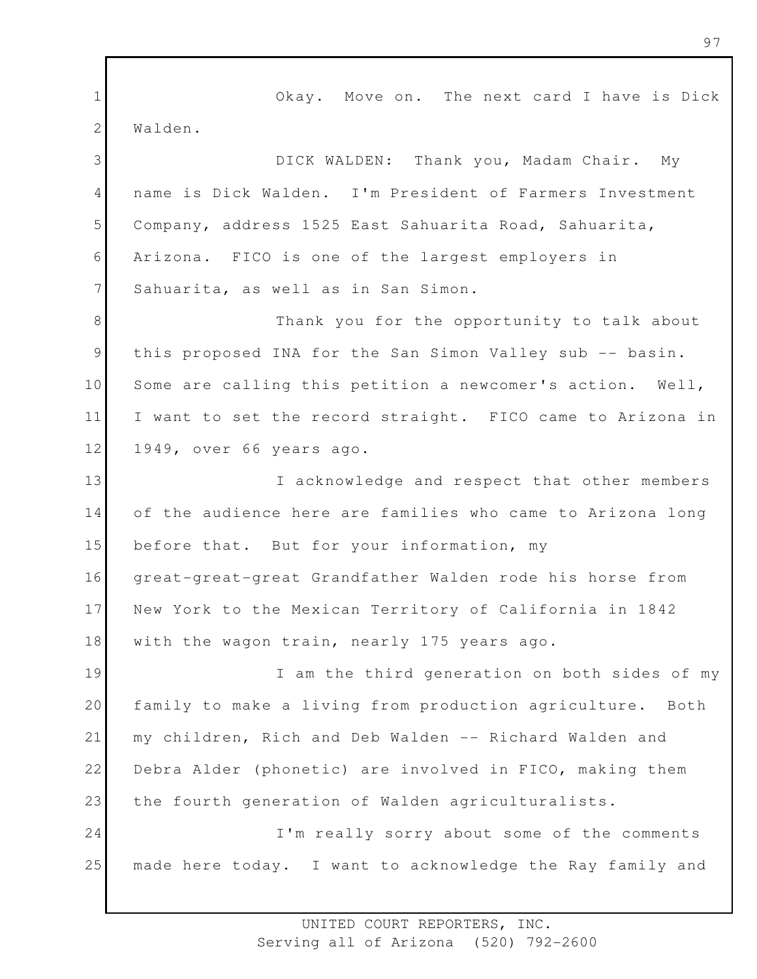1 2 3 4 5 6 7 8 9 10 11 12 13 14 15 16 17 18 19 20 21 22 23 24 25 Okay. Move on. The next card I have is Dick Walden. DICK WALDEN: Thank you, Madam Chair. My name is Dick Walden. I'm President of Farmers Investment Company, address 1525 East Sahuarita Road, Sahuarita, Arizona. FICO is one of the largest employers in Sahuarita, as well as in San Simon. Thank you for the opportunity to talk about this proposed INA for the San Simon Valley sub -- basin. Some are calling this petition a newcomer's action. Well, I want to set the record straight. FICO came to Arizona in 1949, over 66 years ago. I acknowledge and respect that other members of the audience here are families who came to Arizona long before that. But for your information, my great-great-great Grandfather Walden rode his horse from New York to the Mexican Territory of California in 1842 with the wagon train, nearly 175 years ago. I am the third generation on both sides of my family to make a living from production agriculture. Both my children, Rich and Deb Walden -- Richard Walden and Debra Alder (phonetic) are involved in FICO, making them the fourth generation of Walden agriculturalists. I'm really sorry about some of the comments made here today. I want to acknowledge the Ray family and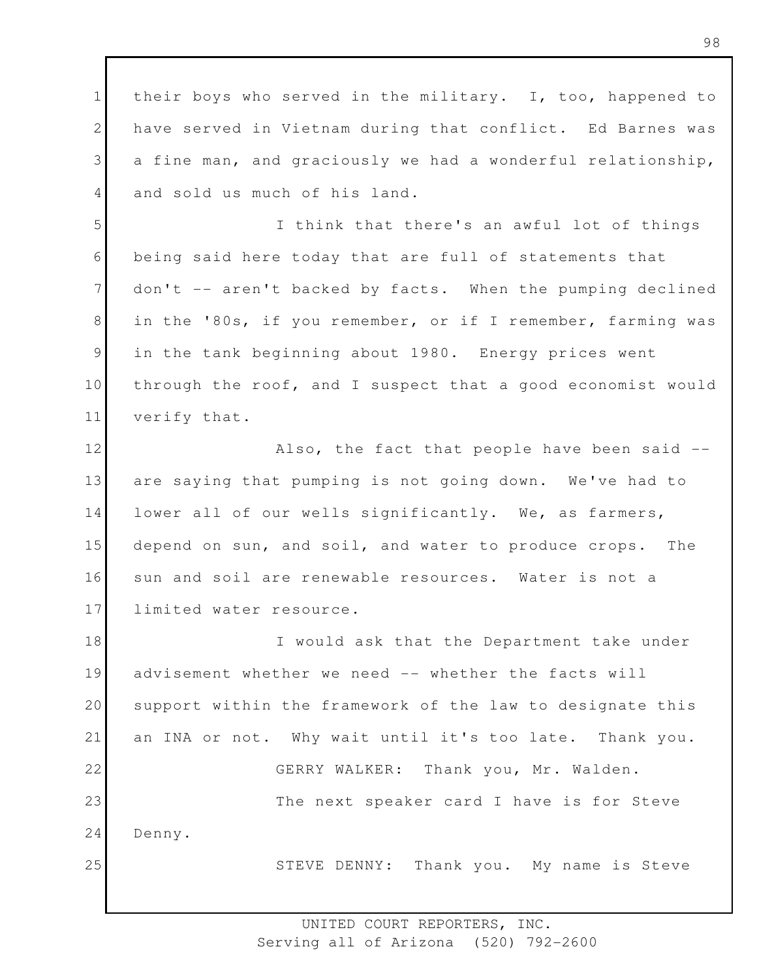1 2 3 4 their boys who served in the military. I, too, happened to have served in Vietnam during that conflict. Ed Barnes was a fine man, and graciously we had a wonderful relationship, and sold us much of his land.

5 6 7 8 9 10 11 I think that there's an awful lot of things being said here today that are full of statements that don't -- aren't backed by facts. When the pumping declined in the '80s, if you remember, or if I remember, farming was in the tank beginning about 1980. Energy prices went through the roof, and I suspect that a good economist would verify that.

12 13 14 15 16 17 Also, the fact that people have been said - are saying that pumping is not going down. We've had to lower all of our wells significantly. We, as farmers, depend on sun, and soil, and water to produce crops. The sun and soil are renewable resources. Water is not a limited water resource.

18 19 20 21 22 23 24 25 I would ask that the Department take under advisement whether we need -- whether the facts will support within the framework of the law to designate this an INA or not. Why wait until it's too late. Thank you. GERRY WALKER: Thank you, Mr. Walden. The next speaker card I have is for Steve Denny. STEVE DENNY: Thank you. My name is Steve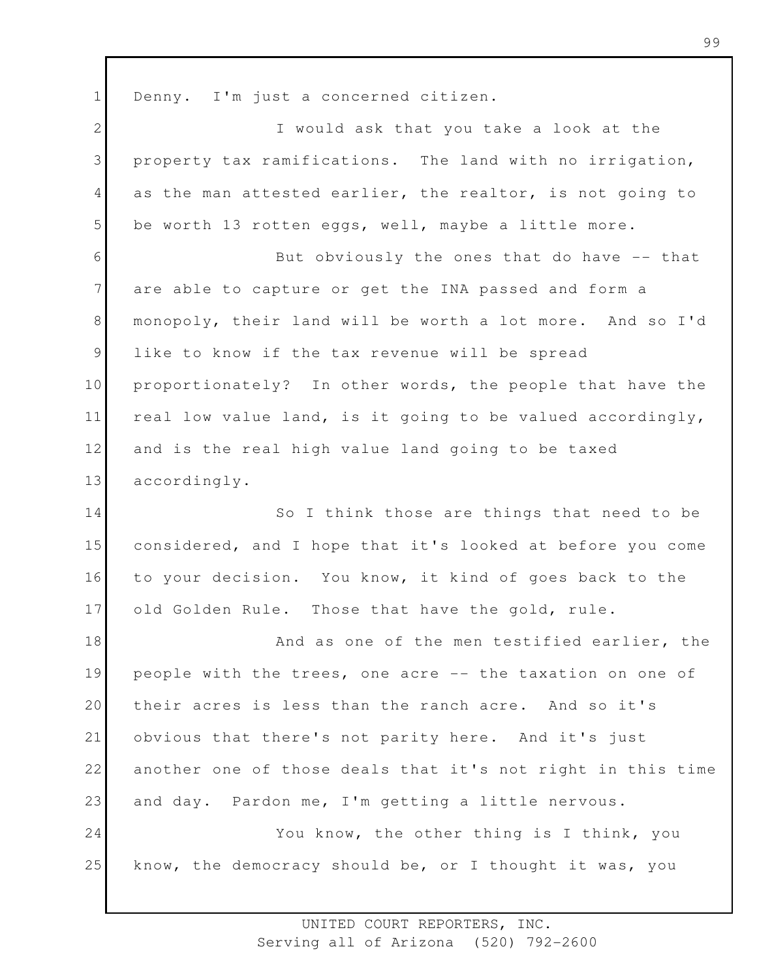1 Denny. I'm just a concerned citizen.

| $\overline{2}$ | I would ask that you take a look at the                     |
|----------------|-------------------------------------------------------------|
| 3              | property tax ramifications. The land with no irrigation,    |
| $\overline{4}$ | as the man attested earlier, the realtor, is not going to   |
| 5              | be worth 13 rotten eggs, well, maybe a little more.         |
| 6              | But obviously the ones that do have -- that                 |
| $7\phantom{.}$ | are able to capture or get the INA passed and form a        |
| 8              | monopoly, their land will be worth a lot more. And so I'd   |
| 9              | like to know if the tax revenue will be spread              |
| 10             | proportionately? In other words, the people that have the   |
| 11             | real low value land, is it going to be valued accordingly,  |
| 12             | and is the real high value land going to be taxed           |
| 13             | accordingly.                                                |
| 14             | So I think those are things that need to be                 |
| 15             | considered, and I hope that it's looked at before you come  |
| 16             | to your decision. You know, it kind of goes back to the     |
| 17             | old Golden Rule. Those that have the gold, rule.            |
| 18             | And as one of the men testified earlier, the                |
| 19             | people with the trees, one acre -- the taxation on one of   |
| 20             | their acres is less than the ranch acre. And so it's        |
| 21             | obvious that there's not parity here. And it's just         |
| 22             | another one of those deals that it's not right in this time |
| 23             | and day. Pardon me, I'm getting a little nervous.           |
| 24             | You know, the other thing is I think, you                   |
| 25             | know, the democracy should be, or I thought it was, you     |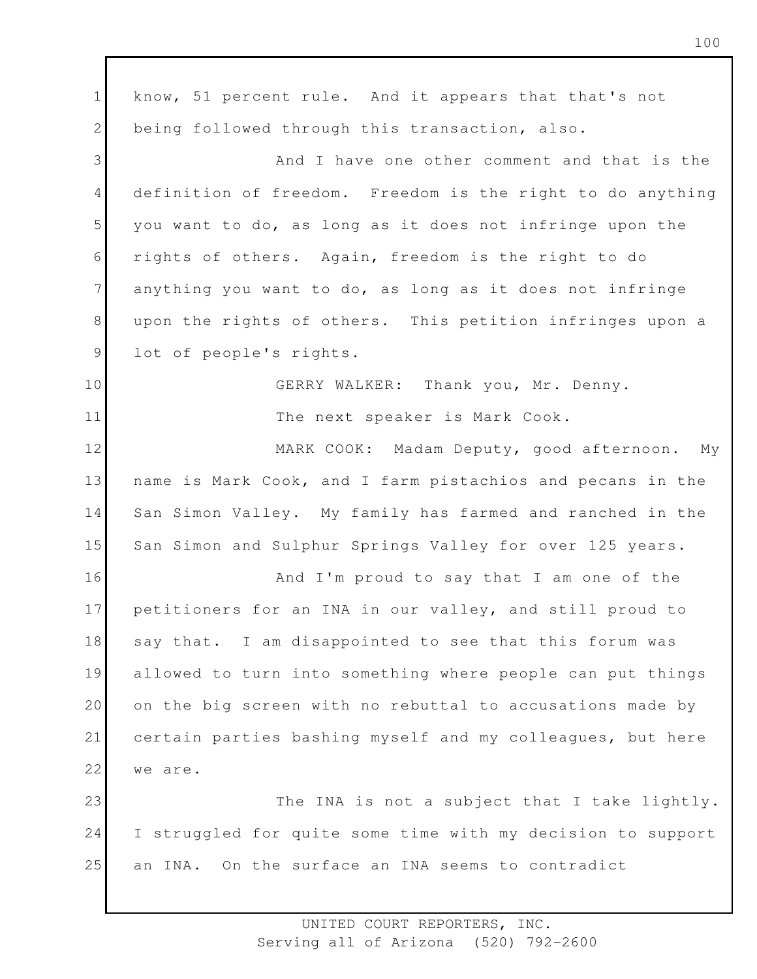1 2 3 4 5 6 7 8 9 10 11 12 13 14 15 16 17 18 19 20 21 22 23 24 25 know, 51 percent rule. And it appears that that's not being followed through this transaction, also. And I have one other comment and that is the definition of freedom. Freedom is the right to do anything you want to do, as long as it does not infringe upon the rights of others. Again, freedom is the right to do anything you want to do, as long as it does not infringe upon the rights of others. This petition infringes upon a lot of people's rights. GERRY WALKER: Thank you, Mr. Denny. The next speaker is Mark Cook. MARK COOK: Madam Deputy, good afternoon. My name is Mark Cook, and I farm pistachios and pecans in the San Simon Valley. My family has farmed and ranched in the San Simon and Sulphur Springs Valley for over 125 years. And I'm proud to say that I am one of the petitioners for an INA in our valley, and still proud to say that. I am disappointed to see that this forum was allowed to turn into something where people can put things on the big screen with no rebuttal to accusations made by certain parties bashing myself and my colleagues, but here we are. The INA is not a subject that I take lightly. I struggled for quite some time with my decision to support an INA. On the surface an INA seems to contradict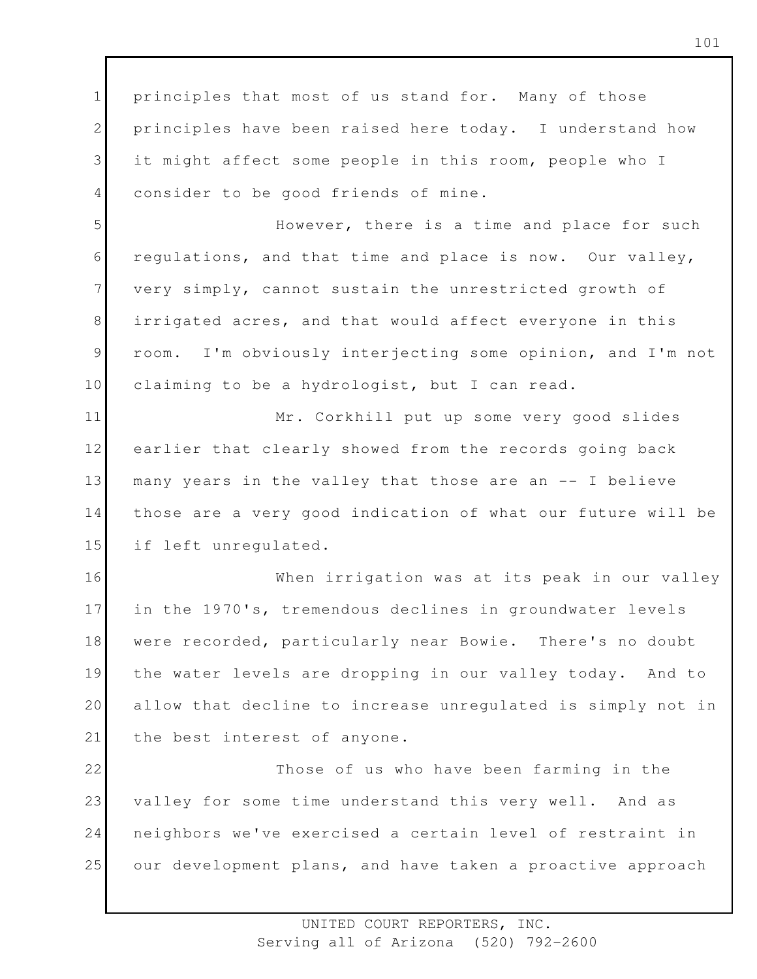1 2 3 4 principles that most of us stand for. Many of those principles have been raised here today. I understand how it might affect some people in this room, people who I consider to be good friends of mine.

5 6 7 8 9 10 However, there is a time and place for such regulations, and that time and place is now. Our valley, very simply, cannot sustain the unrestricted growth of irrigated acres, and that would affect everyone in this room. I'm obviously interjecting some opinion, and I'm not claiming to be a hydrologist, but I can read.

11 12 13 14 15 Mr. Corkhill put up some very good slides earlier that clearly showed from the records going back many years in the valley that those are an -- I believe those are a very good indication of what our future will be if left unregulated.

16 17 18 19 20 21 When irrigation was at its peak in our valley in the 1970's, tremendous declines in groundwater levels were recorded, particularly near Bowie. There's no doubt the water levels are dropping in our valley today. And to allow that decline to increase unregulated is simply not in the best interest of anyone.

22 23 24 25 Those of us who have been farming in the valley for some time understand this very well. And as neighbors we've exercised a certain level of restraint in our development plans, and have taken a proactive approach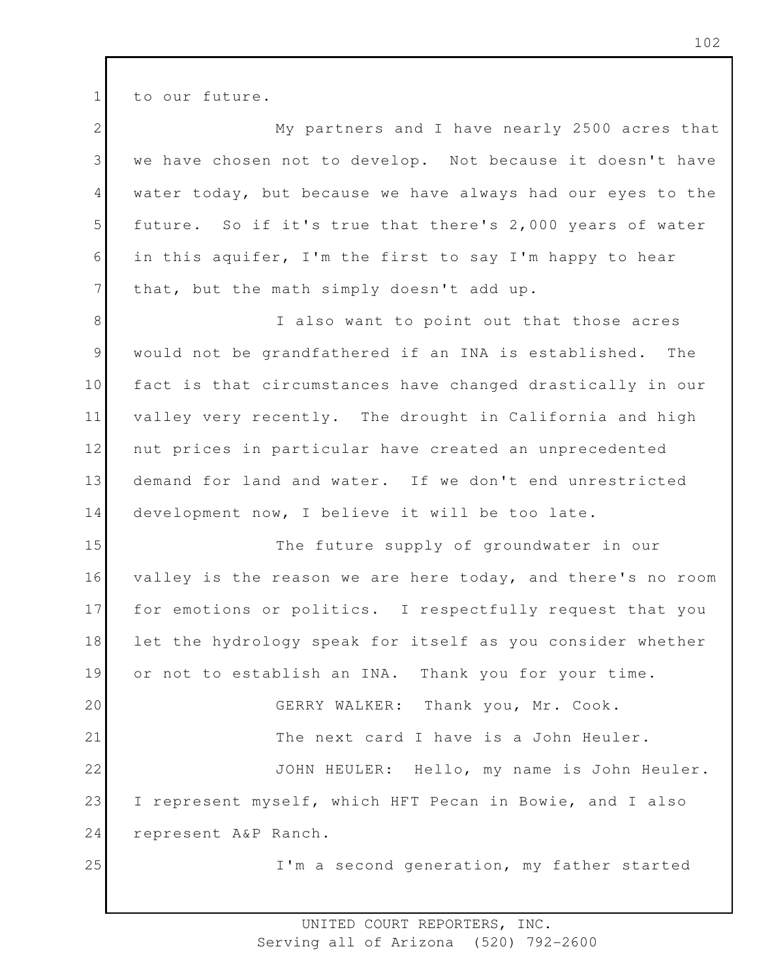to our future.

1

2 3 4 5 6 7 8 9 10 11 12 13 14 15 16 17 18 19 20 21 22 23 24 25 My partners and I have nearly 2500 acres that we have chosen not to develop. Not because it doesn't have water today, but because we have always had our eyes to the future. So if it's true that there's 2,000 years of water in this aquifer, I'm the first to say I'm happy to hear that, but the math simply doesn't add up. I also want to point out that those acres would not be grandfathered if an INA is established. The fact is that circumstances have changed drastically in our valley very recently. The drought in California and high nut prices in particular have created an unprecedented demand for land and water. If we don't end unrestricted development now, I believe it will be too late. The future supply of groundwater in our valley is the reason we are here today, and there's no room for emotions or politics. I respectfully request that you let the hydrology speak for itself as you consider whether or not to establish an INA. Thank you for your time. GERRY WALKER: Thank you, Mr. Cook. The next card I have is a John Heuler. JOHN HEULER: Hello, my name is John Heuler. I represent myself, which HFT Pecan in Bowie, and I also represent A&P Ranch. I'm a second generation, my father started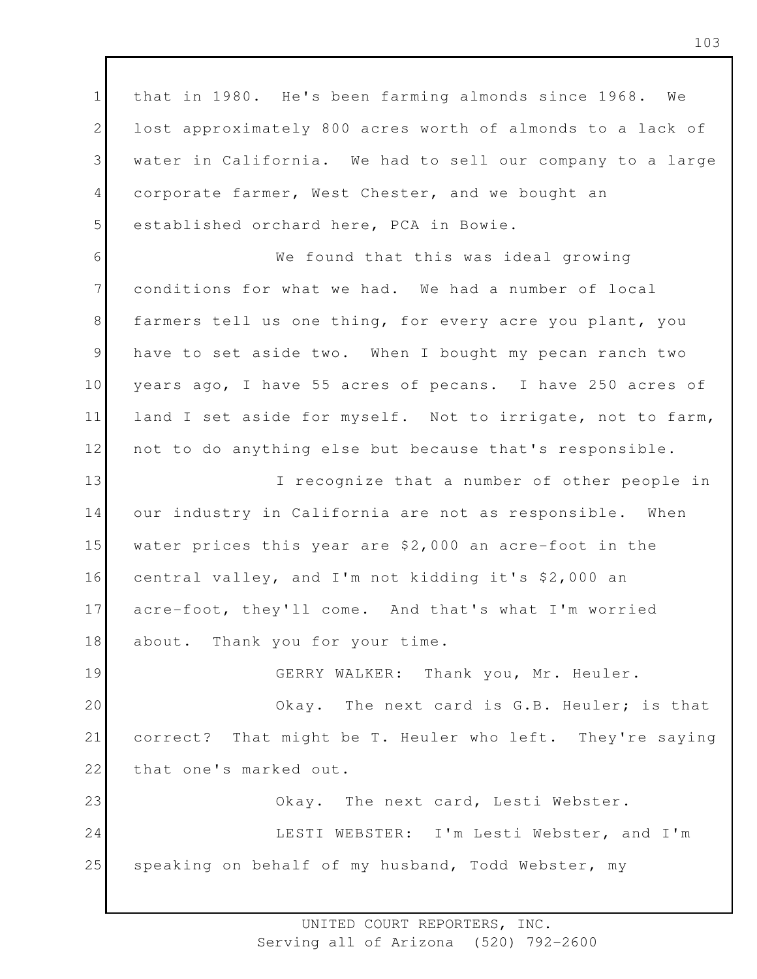1 2 3 4 5 6 7 8 9 10 11 12 13 14 15 16 17 18 19 20 21 22 23 24 25 that in 1980. He's been farming almonds since 1968. We lost approximately 800 acres worth of almonds to a lack of water in California. We had to sell our company to a large corporate farmer, West Chester, and we bought an established orchard here, PCA in Bowie. We found that this was ideal growing conditions for what we had. We had a number of local farmers tell us one thing, for every acre you plant, you have to set aside two. When I bought my pecan ranch two years ago, I have 55 acres of pecans. I have 250 acres of land I set aside for myself. Not to irrigate, not to farm, not to do anything else but because that's responsible. I recognize that a number of other people in our industry in California are not as responsible. When water prices this year are \$2,000 an acre-foot in the central valley, and I'm not kidding it's \$2,000 an acre-foot, they'll come. And that's what I'm worried about. Thank you for your time. GERRY WALKER: Thank you, Mr. Heuler. Okay. The next card is G.B. Heuler; is that correct? That might be T. Heuler who left. They're saying that one's marked out. Okay. The next card, Lesti Webster. LESTI WEBSTER: I'm Lesti Webster, and I'm speaking on behalf of my husband, Todd Webster, my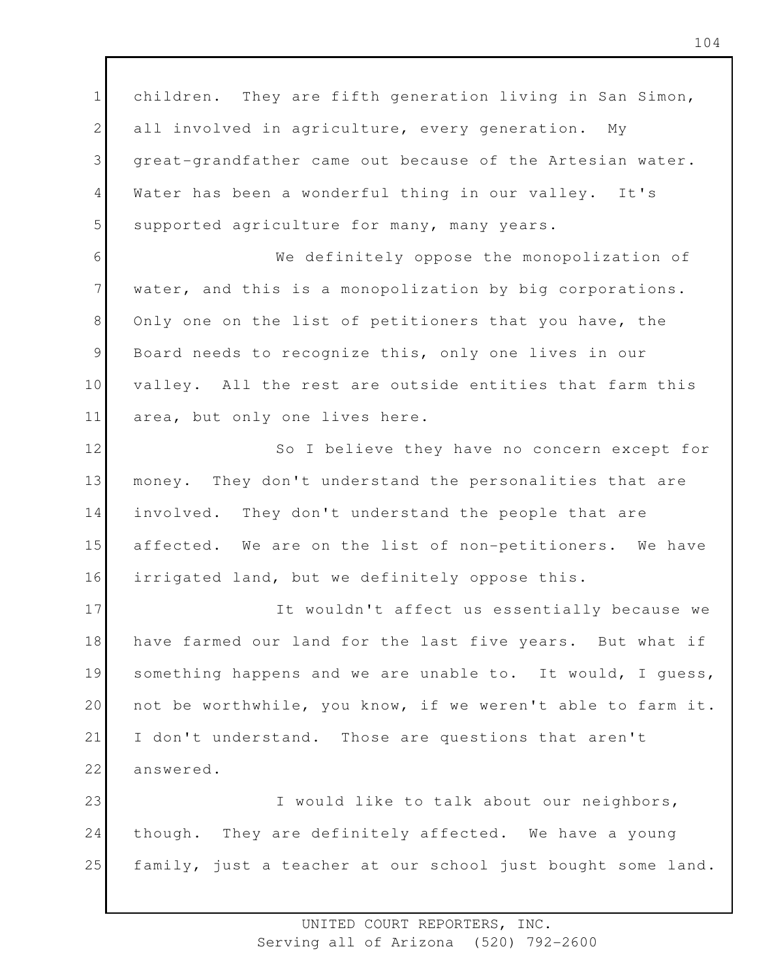1 2 3 4 5 children. They are fifth generation living in San Simon, all involved in agriculture, every generation. My great-grandfather came out because of the Artesian water. Water has been a wonderful thing in our valley. It's supported agriculture for many, many years.

6 7 8 9 10 11 We definitely oppose the monopolization of water, and this is a monopolization by big corporations. Only one on the list of petitioners that you have, the Board needs to recognize this, only one lives in our valley. All the rest are outside entities that farm this area, but only one lives here.

12 13 14 15 16 So I believe they have no concern except for money. They don't understand the personalities that are involved. They don't understand the people that are affected. We are on the list of non-petitioners. We have irrigated land, but we definitely oppose this.

17 18 19 20 21 22 It wouldn't affect us essentially because we have farmed our land for the last five years. But what if something happens and we are unable to. It would, I guess, not be worthwhile, you know, if we weren't able to farm it. I don't understand. Those are questions that aren't answered.

23 24 25 I would like to talk about our neighbors, though. They are definitely affected. We have a young family, just a teacher at our school just bought some land.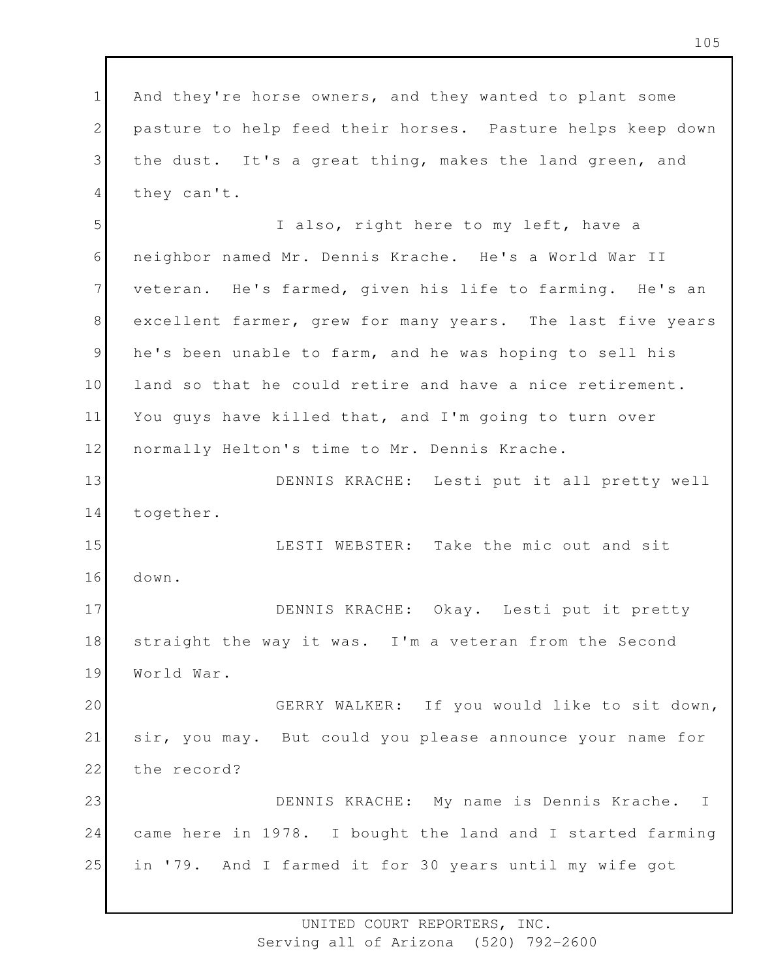1 2 3 4 And they're horse owners, and they wanted to plant some pasture to help feed their horses. Pasture helps keep down the dust. It's a great thing, makes the land green, and they can't.

5 6 7 8 9 10 11 12 I also, right here to my left, have a neighbor named Mr. Dennis Krache. He's a World War II veteran. He's farmed, given his life to farming. He's an excellent farmer, grew for many years. The last five years he's been unable to farm, and he was hoping to sell his land so that he could retire and have a nice retirement. You guys have killed that, and I'm going to turn over normally Helton's time to Mr. Dennis Krache.

13 14 DENNIS KRACHE: Lesti put it all pretty well together.

15 16 LESTI WEBSTER: Take the mic out and sit down.

17 18 19 DENNIS KRACHE: Okay. Lesti put it pretty straight the way it was. I'm a veteran from the Second World War.

20 21 22 GERRY WALKER: If you would like to sit down, sir, you may. But could you please announce your name for the record?

23 24 25 DENNIS KRACHE: My name is Dennis Krache. I came here in 1978. I bought the land and I started farming in '79. And I farmed it for 30 years until my wife got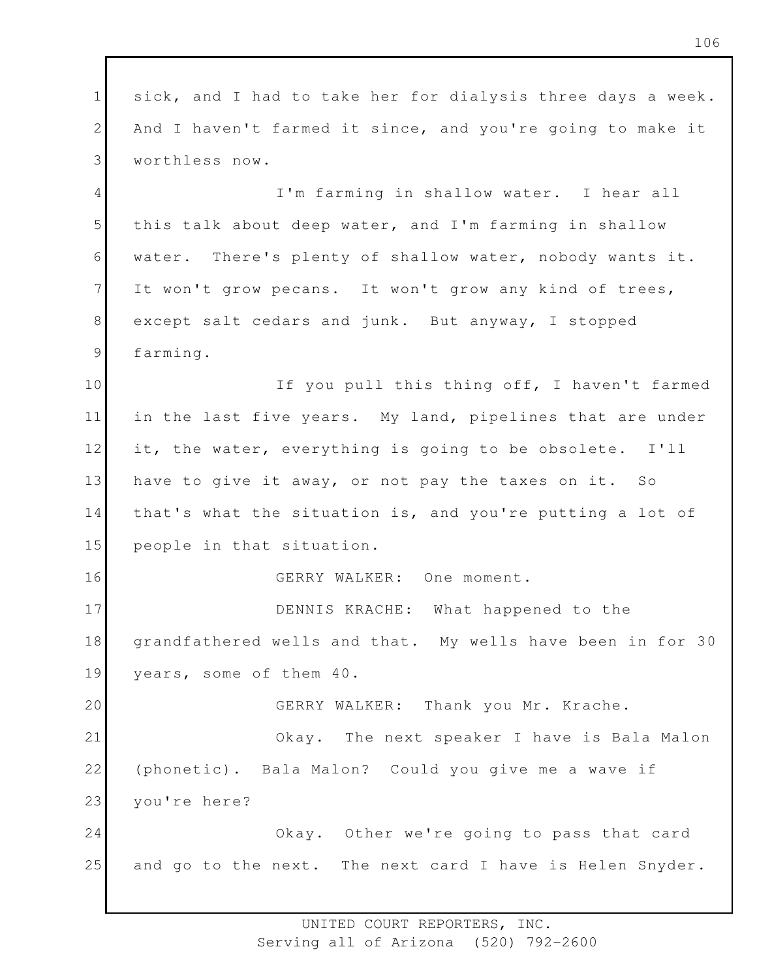1 2 3 4 5 6 7 8 9 10 11 12 13 14 15 16 17 18 19 20 21 22 23 24 25 sick, and I had to take her for dialysis three days a week. And I haven't farmed it since, and you're going to make it worthless now. I'm farming in shallow water. I hear all this talk about deep water, and I'm farming in shallow water. There's plenty of shallow water, nobody wants it. It won't grow pecans. It won't grow any kind of trees, except salt cedars and junk. But anyway, I stopped farming. If you pull this thing off, I haven't farmed in the last five years. My land, pipelines that are under it, the water, everything is going to be obsolete. I'll have to give it away, or not pay the taxes on it. So that's what the situation is, and you're putting a lot of people in that situation. GERRY WALKER: One moment. DENNIS KRACHE: What happened to the grandfathered wells and that. My wells have been in for 30 years, some of them 40. GERRY WALKER: Thank you Mr. Krache. Okay. The next speaker I have is Bala Malon (phonetic). Bala Malon? Could you give me a wave if you're here? Okay. Other we're going to pass that card and go to the next. The next card I have is Helen Snyder.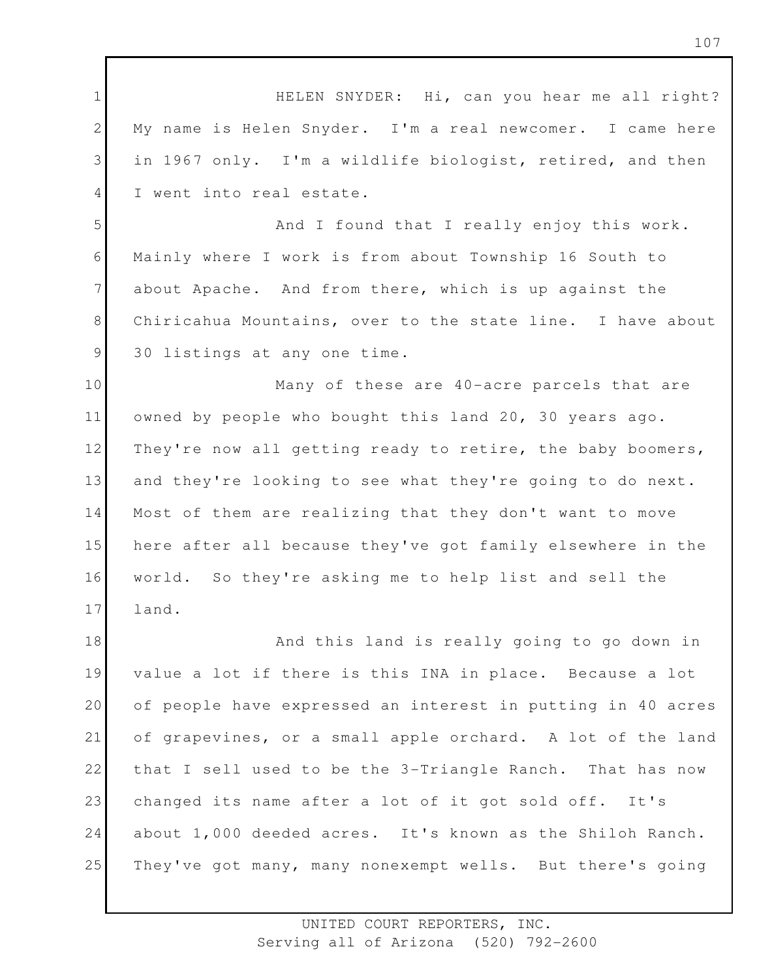1 2 3 4 5 6 7 8 9 10 11 12 13 14 15 16 17 18 19 20 21 22 23 24 25 HELEN SNYDER: Hi, can you hear me all right? My name is Helen Snyder. I'm a real newcomer. I came here in 1967 only. I'm a wildlife biologist, retired, and then I went into real estate. And I found that I really enjoy this work. Mainly where I work is from about Township 16 South to about Apache. And from there, which is up against the Chiricahua Mountains, over to the state line. I have about 30 listings at any one time. Many of these are 40-acre parcels that are owned by people who bought this land 20, 30 years ago. They're now all getting ready to retire, the baby boomers, and they're looking to see what they're going to do next. Most of them are realizing that they don't want to move here after all because they've got family elsewhere in the world. So they're asking me to help list and sell the land. And this land is really going to go down in value a lot if there is this INA in place. Because a lot of people have expressed an interest in putting in 40 acres of grapevines, or a small apple orchard. A lot of the land that I sell used to be the 3-Triangle Ranch. That has now changed its name after a lot of it got sold off. It's about 1,000 deeded acres. It's known as the Shiloh Ranch. They've got many, many nonexempt wells. But there's going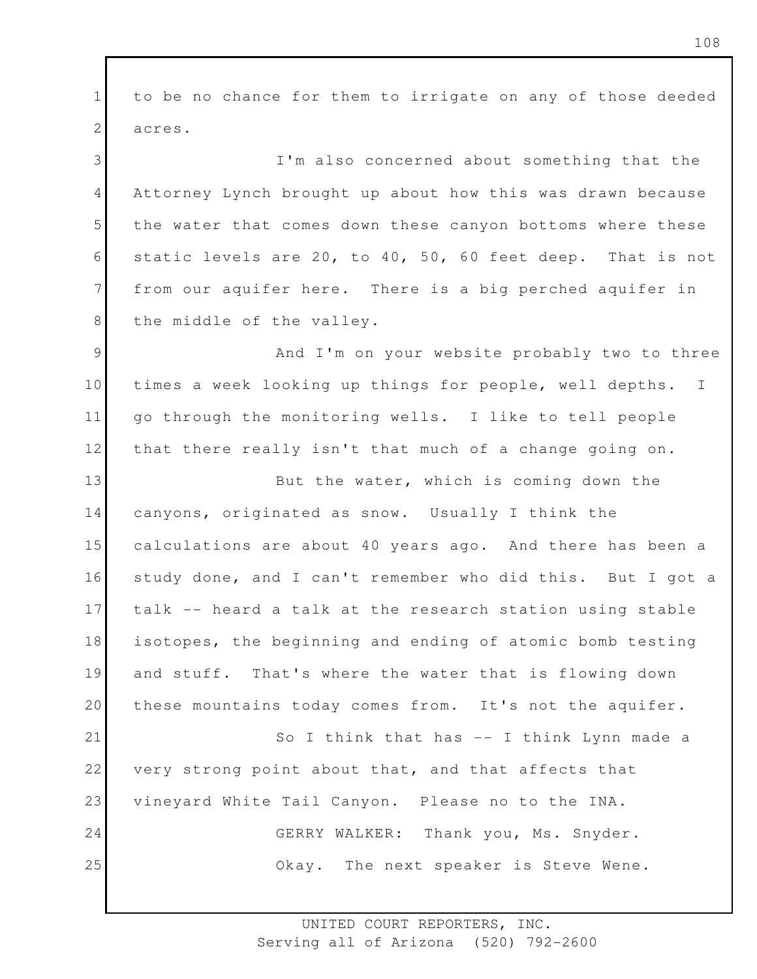1 2 to be no chance for them to irrigate on any of those deeded acres.

3 4 5 6 7 8 I'm also concerned about something that the Attorney Lynch brought up about how this was drawn because the water that comes down these canyon bottoms where these static levels are 20, to 40, 50, 60 feet deep. That is not from our aquifer here. There is a big perched aquifer in the middle of the valley.

9 10 11 12 And I'm on your website probably two to three times a week looking up things for people, well depths. I go through the monitoring wells. I like to tell people that there really isn't that much of a change going on.

13 14 15 16 17 18 19 20 21 22 23 24 25 But the water, which is coming down the canyons, originated as snow. Usually I think the calculations are about 40 years ago. And there has been a study done, and I can't remember who did this. But I got a talk -- heard a talk at the research station using stable isotopes, the beginning and ending of atomic bomb testing and stuff. That's where the water that is flowing down these mountains today comes from. It's not the aquifer. So I think that has -- I think Lynn made a very strong point about that, and that affects that vineyard White Tail Canyon. Please no to the INA. GERRY WALKER: Thank you, Ms. Snyder. Okay. The next speaker is Steve Wene.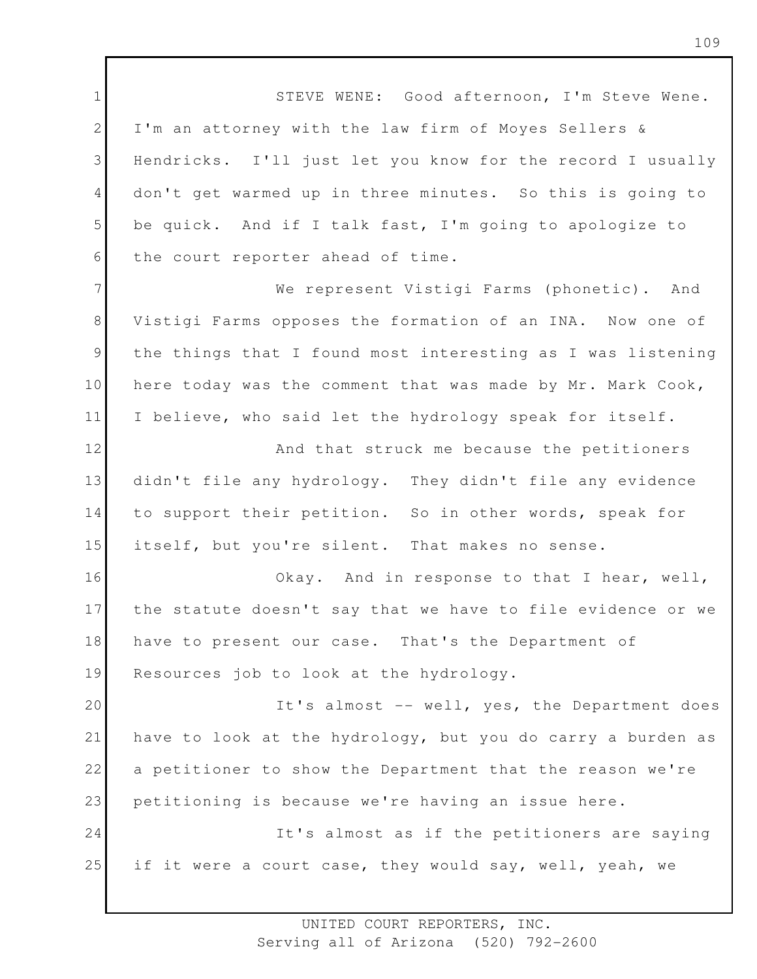1 2 3 4 5 6 7 8 9 10 11 12 13 14 15 16 17 18 19 20 21 22 23 24 25 STEVE WENE: Good afternoon, I'm Steve Wene. I'm an attorney with the law firm of Moyes Sellers & Hendricks. I'll just let you know for the record I usually don't get warmed up in three minutes. So this is going to be quick. And if I talk fast, I'm going to apologize to the court reporter ahead of time. We represent Vistigi Farms (phonetic). And Vistigi Farms opposes the formation of an INA. Now one of the things that I found most interesting as I was listening here today was the comment that was made by Mr. Mark Cook, I believe, who said let the hydrology speak for itself. And that struck me because the petitioners didn't file any hydrology. They didn't file any evidence to support their petition. So in other words, speak for itself, but you're silent. That makes no sense. Okay. And in response to that I hear, well, the statute doesn't say that we have to file evidence or we have to present our case. That's the Department of Resources job to look at the hydrology. It's almost -- well, yes, the Department does have to look at the hydrology, but you do carry a burden as a petitioner to show the Department that the reason we're petitioning is because we're having an issue here. It's almost as if the petitioners are saying if it were a court case, they would say, well, yeah, we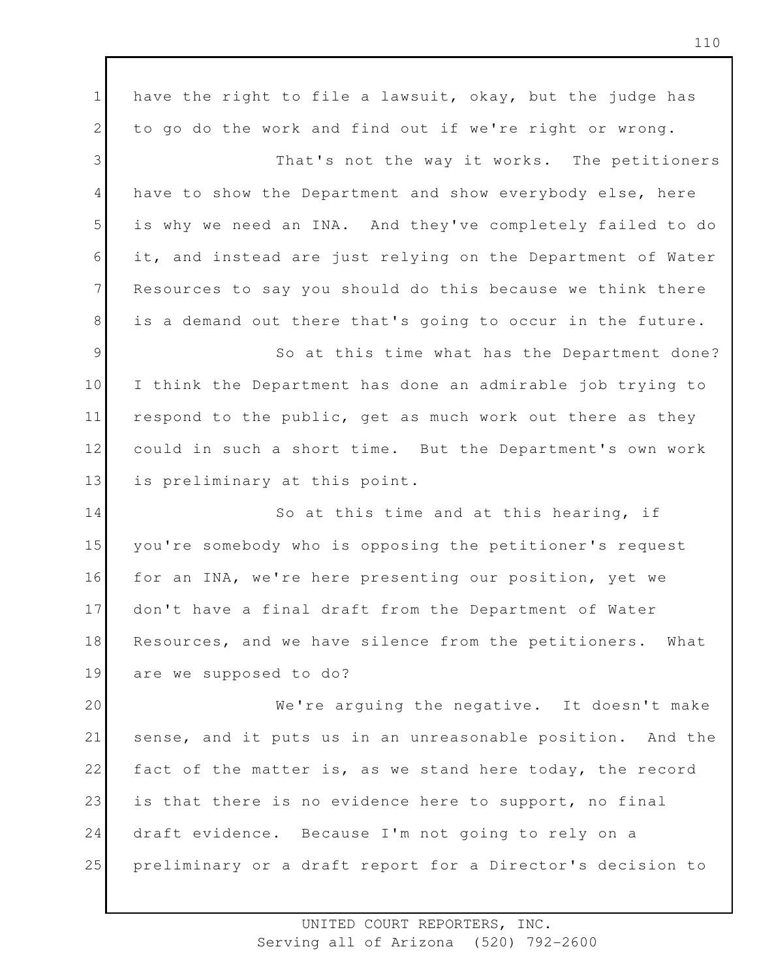1 2 3 4 5 6 7 8 9 10 11 12 13 14 15 16 17 18 19 20 21 22 23 24 25 have the right to file a lawsuit, okay, but the judge has to go do the work and find out if we're right or wrong. That's not the way it works. The petitioners have to show the Department and show everybody else, here is why we need an INA. And they've completely failed to do it, and instead are just relying on the Department of Water Resources to say you should do this because we think there is a demand out there that's going to occur in the future. So at this time what has the Department done? I think the Department has done an admirable job trying to respond to the public, get as much work out there as they could in such a short time. But the Department's own work is preliminary at this point. So at this time and at this hearing, if you're somebody who is opposing the petitioner's request for an INA, we're here presenting our position, yet we don't have a final draft from the Department of Water Resources, and we have silence from the petitioners. What are we supposed to do? We're arguing the negative. It doesn't make sense, and it puts us in an unreasonable position. And the fact of the matter is, as we stand here today, the record is that there is no evidence here to support, no final draft evidence. Because I'm not going to rely on a preliminary or a draft report for a Director's decision to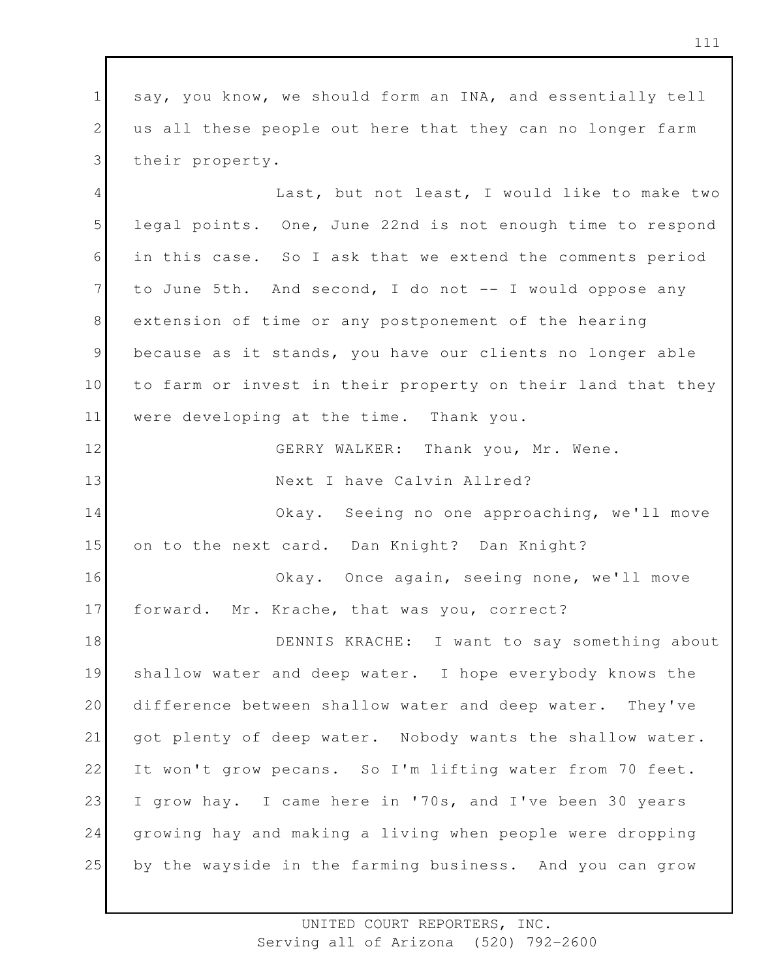1 2 3 say, you know, we should form an INA, and essentially tell us all these people out here that they can no longer farm their property.

4 5 6 7 8 9 10 11 Last, but not least, I would like to make two legal points. One, June 22nd is not enough time to respond in this case. So I ask that we extend the comments period to June 5th. And second, I do not  $-$  I would oppose any extension of time or any postponement of the hearing because as it stands, you have our clients no longer able to farm or invest in their property on their land that they were developing at the time. Thank you.

12 13 14 15 16 GERRY WALKER: Thank you, Mr. Wene. Next I have Calvin Allred? Okay. Seeing no one approaching, we'll move on to the next card. Dan Knight? Dan Knight? Okay. Once again, seeing none, we'll move

17 forward. Mr. Krache, that was you, correct?

18 19 20 21 22 23 24 25 DENNIS KRACHE: I want to say something about shallow water and deep water. I hope everybody knows the difference between shallow water and deep water. They've got plenty of deep water. Nobody wants the shallow water. It won't grow pecans. So I'm lifting water from 70 feet. I grow hay. I came here in '70s, and I've been 30 years growing hay and making a living when people were dropping by the wayside in the farming business. And you can grow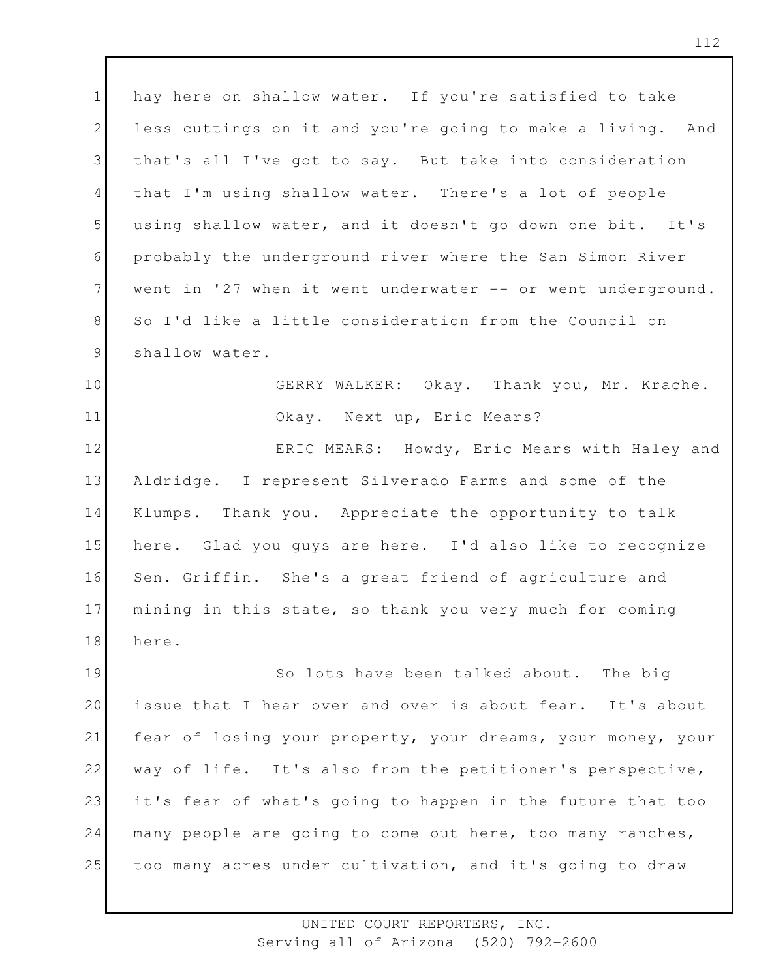1 2 3 4 5 6 7 8 9 hay here on shallow water. If you're satisfied to take less cuttings on it and you're going to make a living. And that's all I've got to say. But take into consideration that I'm using shallow water. There's a lot of people using shallow water, and it doesn't go down one bit. It's probably the underground river where the San Simon River went in '27 when it went underwater -- or went underground. So I'd like a little consideration from the Council on shallow water.

10 11 GERRY WALKER: Okay. Thank you, Mr. Krache. Okay. Next up, Eric Mears?

12 13 14 15 16 17 18 ERIC MEARS: Howdy, Eric Mears with Haley and Aldridge. I represent Silverado Farms and some of the Klumps. Thank you. Appreciate the opportunity to talk here. Glad you guys are here. I'd also like to recognize Sen. Griffin. She's a great friend of agriculture and mining in this state, so thank you very much for coming here.

19 20 21 22 23 24 25 So lots have been talked about. The big issue that I hear over and over is about fear. It's about fear of losing your property, your dreams, your money, your way of life. It's also from the petitioner's perspective, it's fear of what's going to happen in the future that too many people are going to come out here, too many ranches, too many acres under cultivation, and it's going to draw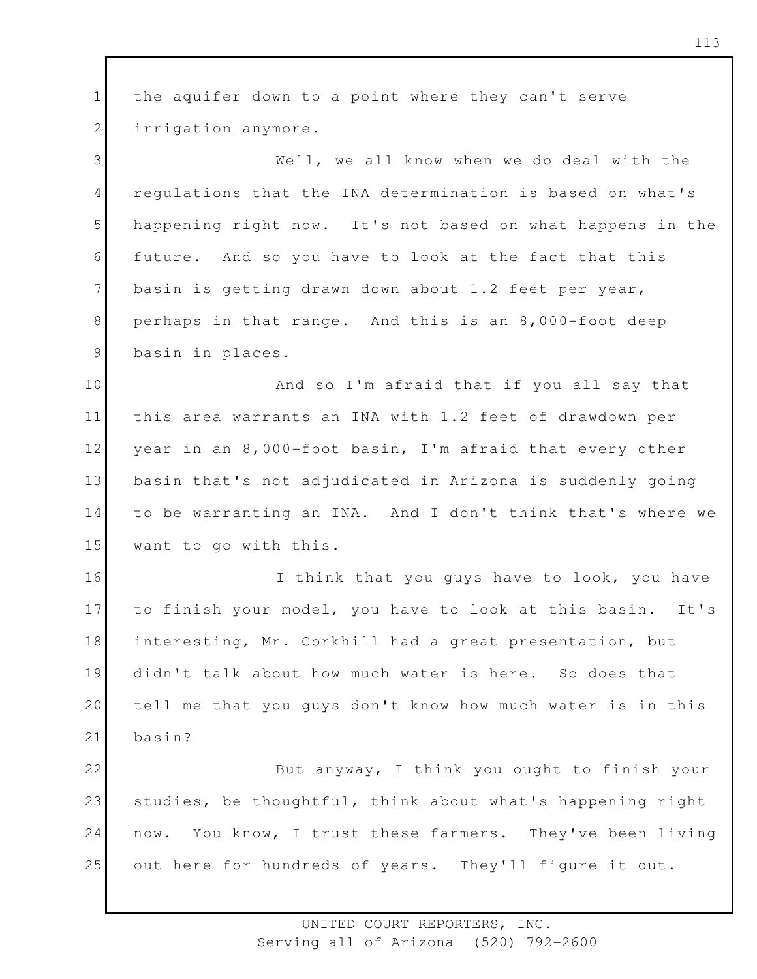1 2 3 4 5 6 7 8 9 10 11 12 13 14 15 16 17 18 19 20 21 22 23 24 25 the aquifer down to a point where they can't serve irrigation anymore. Well, we all know when we do deal with the regulations that the INA determination is based on what's happening right now. It's not based on what happens in the future. And so you have to look at the fact that this basin is getting drawn down about 1.2 feet per year, perhaps in that range. And this is an 8,000-foot deep basin in places. And so I'm afraid that if you all say that this area warrants an INA with 1.2 feet of drawdown per year in an 8,000-foot basin, I'm afraid that every other basin that's not adjudicated in Arizona is suddenly going to be warranting an INA. And I don't think that's where we want to go with this. I think that you guys have to look, you have to finish your model, you have to look at this basin. It's interesting, Mr. Corkhill had a great presentation, but didn't talk about how much water is here. So does that tell me that you guys don't know how much water is in this basin? But anyway, I think you ought to finish your studies, be thoughtful, think about what's happening right now. You know, I trust these farmers. They've been living out here for hundreds of years. They'll figure it out.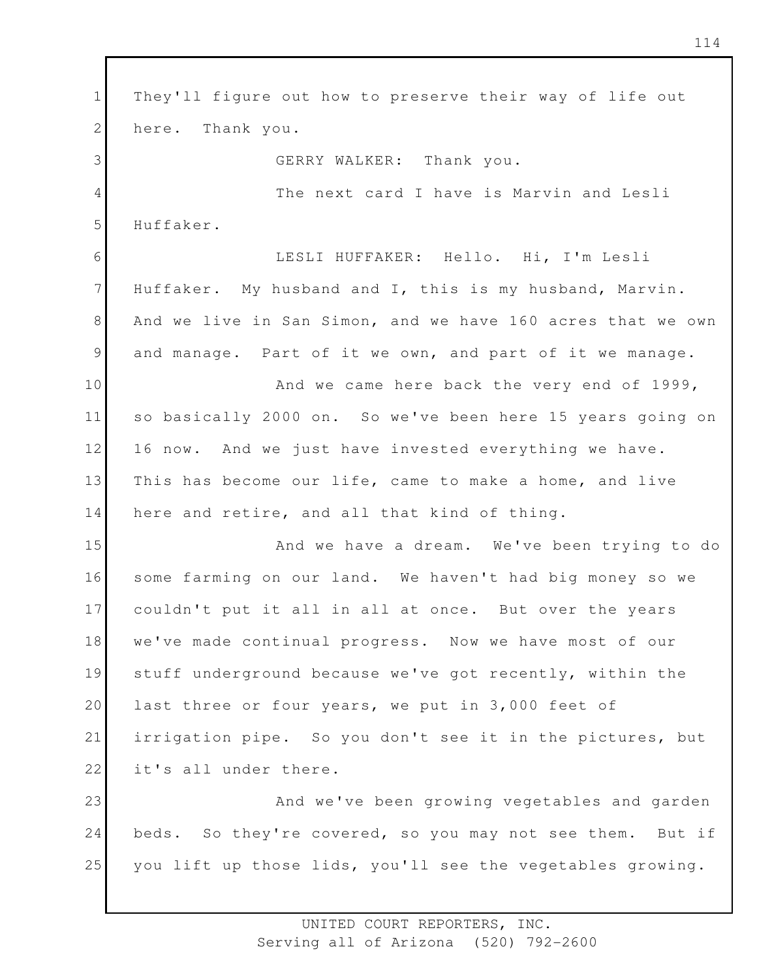1 2 3 4 5 6 7 8 9 10 11 12 13 14 15 16 17 18 19 20 21 22 23 24 25 They'll figure out how to preserve their way of life out here. Thank you. GERRY WALKER: Thank you. The next card I have is Marvin and Lesli Huffaker. LESLI HUFFAKER: Hello. Hi, I'm Lesli Huffaker. My husband and I, this is my husband, Marvin. And we live in San Simon, and we have 160 acres that we own and manage. Part of it we own, and part of it we manage. And we came here back the very end of 1999, so basically 2000 on. So we've been here 15 years going on 16 now. And we just have invested everything we have. This has become our life, came to make a home, and live here and retire, and all that kind of thing. And we have a dream. We've been trying to do some farming on our land. We haven't had big money so we couldn't put it all in all at once. But over the years we've made continual progress. Now we have most of our stuff underground because we've got recently, within the last three or four years, we put in 3,000 feet of irrigation pipe. So you don't see it in the pictures, but it's all under there. And we've been growing vegetables and garden beds. So they're covered, so you may not see them. But if you lift up those lids, you'll see the vegetables growing.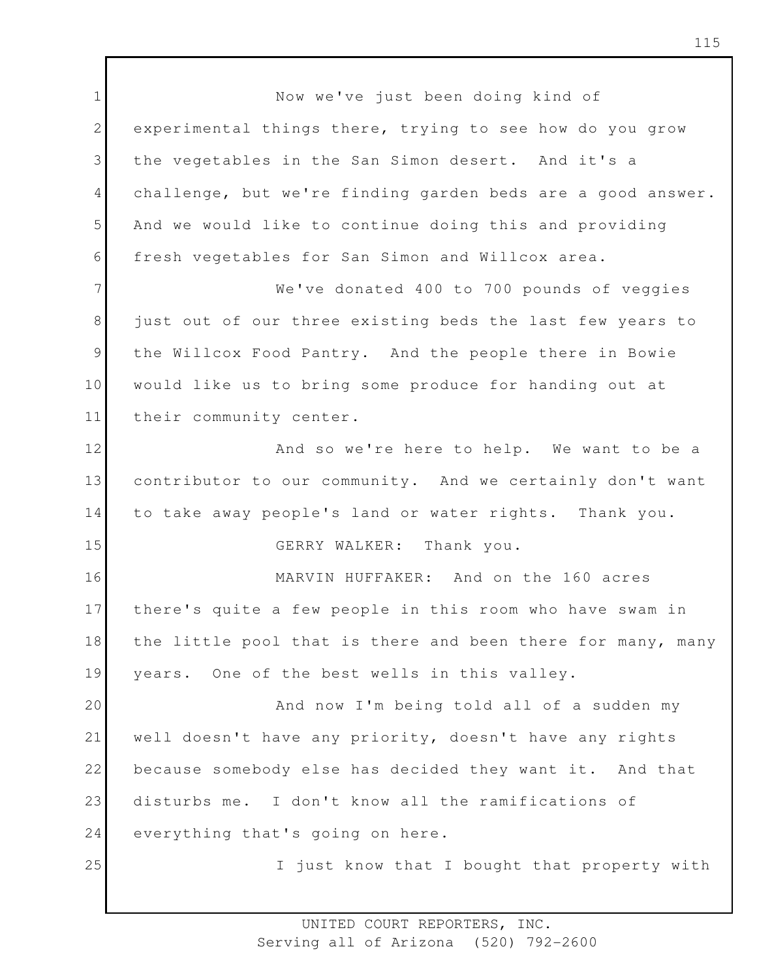1 2 3 4 5 6 7 8 9 10 11 12 13 14 15 16 17 18 19 20 21 22 23 24 25 Now we've just been doing kind of experimental things there, trying to see how do you grow the vegetables in the San Simon desert. And it's a challenge, but we're finding garden beds are a good answer. And we would like to continue doing this and providing fresh vegetables for San Simon and Willcox area. We've donated 400 to 700 pounds of veggies just out of our three existing beds the last few years to the Willcox Food Pantry. And the people there in Bowie would like us to bring some produce for handing out at their community center. And so we're here to help. We want to be a contributor to our community. And we certainly don't want to take away people's land or water rights. Thank you. GERRY WALKER: Thank you. MARVIN HUFFAKER: And on the 160 acres there's quite a few people in this room who have swam in the little pool that is there and been there for many, many years. One of the best wells in this valley. And now I'm being told all of a sudden my well doesn't have any priority, doesn't have any rights because somebody else has decided they want it. And that disturbs me. I don't know all the ramifications of everything that's going on here. I just know that I bought that property with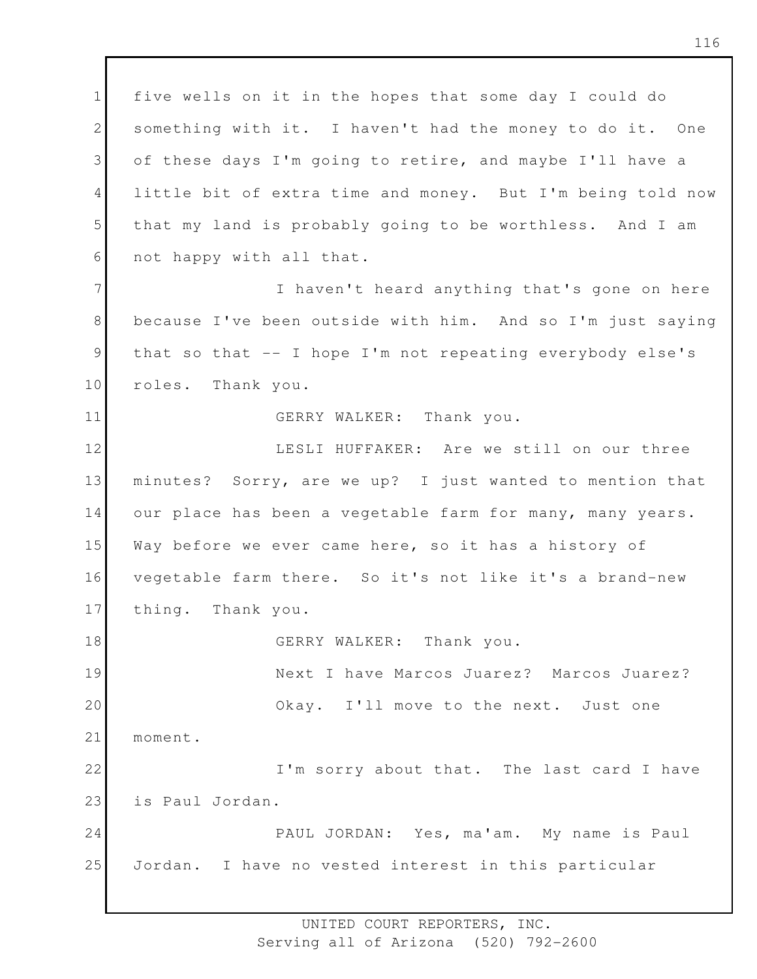1 2 3 4 5 6 five wells on it in the hopes that some day I could do something with it. I haven't had the money to do it. One of these days I'm going to retire, and maybe I'll have a little bit of extra time and money. But I'm being told now that my land is probably going to be worthless. And I am not happy with all that.

7 8 9 10 I haven't heard anything that's gone on here because I've been outside with him. And so I'm just saying that so that -- I hope I'm not repeating everybody else's roles. Thank you.

## GERRY WALKER: Thank you.

11

12 13 14 15 16 17 18 19 20 21 22 23 LESLI HUFFAKER: Are we still on our three minutes? Sorry, are we up? I just wanted to mention that our place has been a vegetable farm for many, many years. Way before we ever came here, so it has a history of vegetable farm there. So it's not like it's a brand-new thing. Thank you. GERRY WALKER: Thank you. Next I have Marcos Juarez? Marcos Juarez? Okay. I'll move to the next. Just one moment. I'm sorry about that. The last card I have is Paul Jordan.

24 25 PAUL JORDAN: Yes, ma'am. My name is Paul Jordan. I have no vested interest in this particular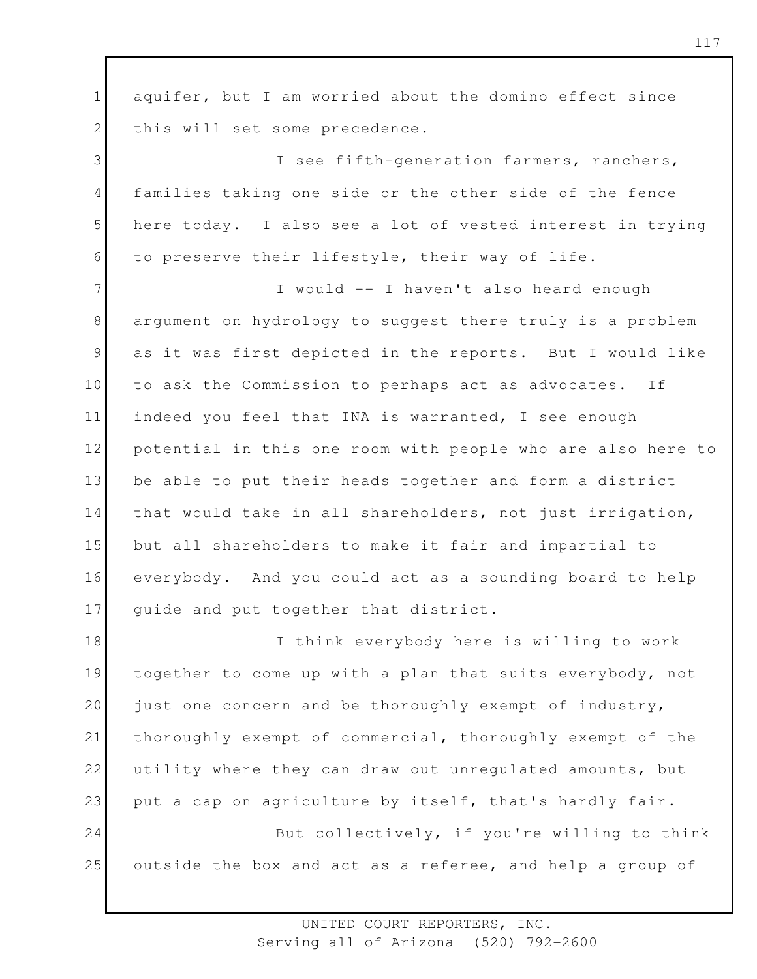1 2 3 4 5 6 7 8 9 10 11 12 13 14 15 16 17 18 19 20 21 22 23 24 25 aquifer, but I am worried about the domino effect since this will set some precedence. I see fifth-generation farmers, ranchers, families taking one side or the other side of the fence here today. I also see a lot of vested interest in trying to preserve their lifestyle, their way of life. I would -- I haven't also heard enough argument on hydrology to suggest there truly is a problem as it was first depicted in the reports. But I would like to ask the Commission to perhaps act as advocates. If indeed you feel that INA is warranted, I see enough potential in this one room with people who are also here to be able to put their heads together and form a district that would take in all shareholders, not just irrigation, but all shareholders to make it fair and impartial to everybody. And you could act as a sounding board to help guide and put together that district. I think everybody here is willing to work together to come up with a plan that suits everybody, not just one concern and be thoroughly exempt of industry, thoroughly exempt of commercial, thoroughly exempt of the utility where they can draw out unregulated amounts, but put a cap on agriculture by itself, that's hardly fair. But collectively, if you're willing to think outside the box and act as a referee, and help a group of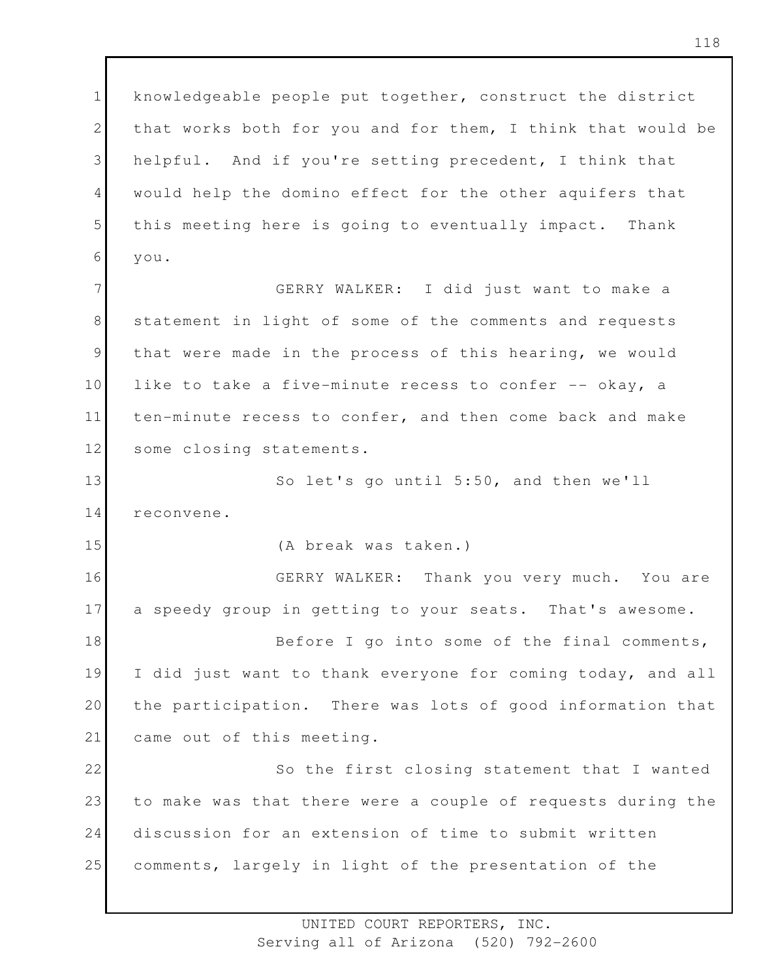1 2 3 4 5 6 knowledgeable people put together, construct the district that works both for you and for them, I think that would be helpful. And if you're setting precedent, I think that would help the domino effect for the other aquifers that this meeting here is going to eventually impact. Thank you.

7 8 9 10 11 12 GERRY WALKER: I did just want to make a statement in light of some of the comments and requests that were made in the process of this hearing, we would like to take a five-minute recess to confer -- okay, a ten-minute recess to confer, and then come back and make some closing statements.

13 14 So let's go until 5:50, and then we'll reconvene.

(A break was taken.)

15

16 17 GERRY WALKER: Thank you very much. You are a speedy group in getting to your seats. That's awesome.

18 19 20 21 Before I go into some of the final comments, I did just want to thank everyone for coming today, and all the participation. There was lots of good information that came out of this meeting.

22 23 24 25 So the first closing statement that I wanted to make was that there were a couple of requests during the discussion for an extension of time to submit written comments, largely in light of the presentation of the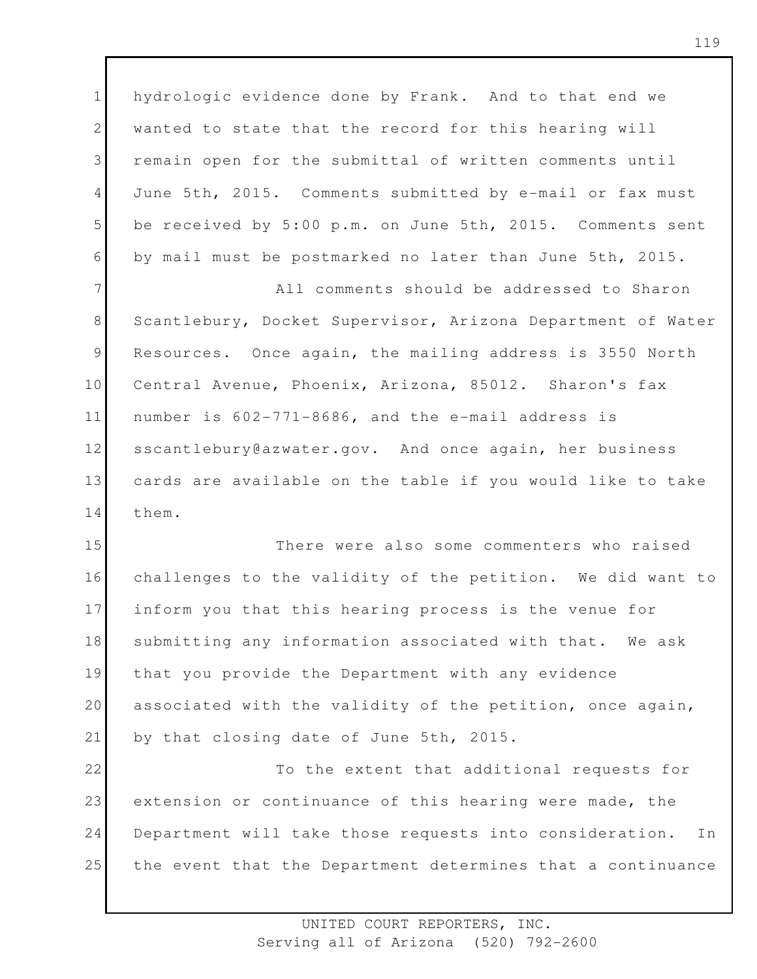1 2 3 4 5 6 hydrologic evidence done by Frank. And to that end we wanted to state that the record for this hearing will remain open for the submittal of written comments until June 5th, 2015. Comments submitted by e-mail or fax must be received by 5:00 p.m. on June 5th, 2015. Comments sent by mail must be postmarked no later than June 5th, 2015.

7 8 9 10 11 12 13 14 All comments should be addressed to Sharon Scantlebury, Docket Supervisor, Arizona Department of Water Resources. Once again, the mailing address is 3550 North Central Avenue, Phoenix, Arizona, 85012. Sharon's fax number is 602-771-8686, and the e-mail address is sscantlebury@azwater.gov. And once again, her business cards are available on the table if you would like to take them.

15 16 17 18 19 20 21 There were also some commenters who raised challenges to the validity of the petition. We did want to inform you that this hearing process is the venue for submitting any information associated with that. We ask that you provide the Department with any evidence associated with the validity of the petition, once again, by that closing date of June 5th, 2015.

22 23 24 25 To the extent that additional requests for extension or continuance of this hearing were made, the Department will take those requests into consideration. In the event that the Department determines that a continuance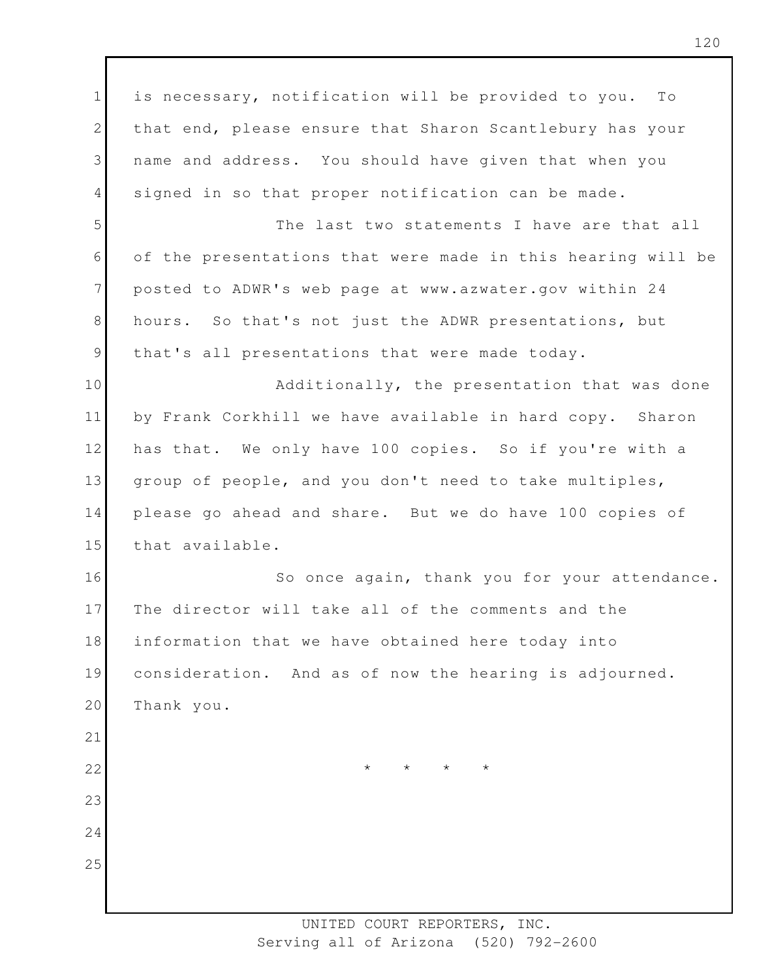1 2 3 4 5 6 7 8 9 10 11 12 13 14 15 16 17 18 19 20 21 22 23 24 25 is necessary, notification will be provided to you. To that end, please ensure that Sharon Scantlebury has your name and address. You should have given that when you signed in so that proper notification can be made. The last two statements I have are that all of the presentations that were made in this hearing will be posted to ADWR's web page at www.azwater.gov within 24 hours. So that's not just the ADWR presentations, but that's all presentations that were made today. Additionally, the presentation that was done by Frank Corkhill we have available in hard copy. Sharon has that. We only have 100 copies. So if you're with a group of people, and you don't need to take multiples, please go ahead and share. But we do have 100 copies of that available. So once again, thank you for your attendance. The director will take all of the comments and the information that we have obtained here today into consideration. And as of now the hearing is adjourned. Thank you. \* \* \* \*